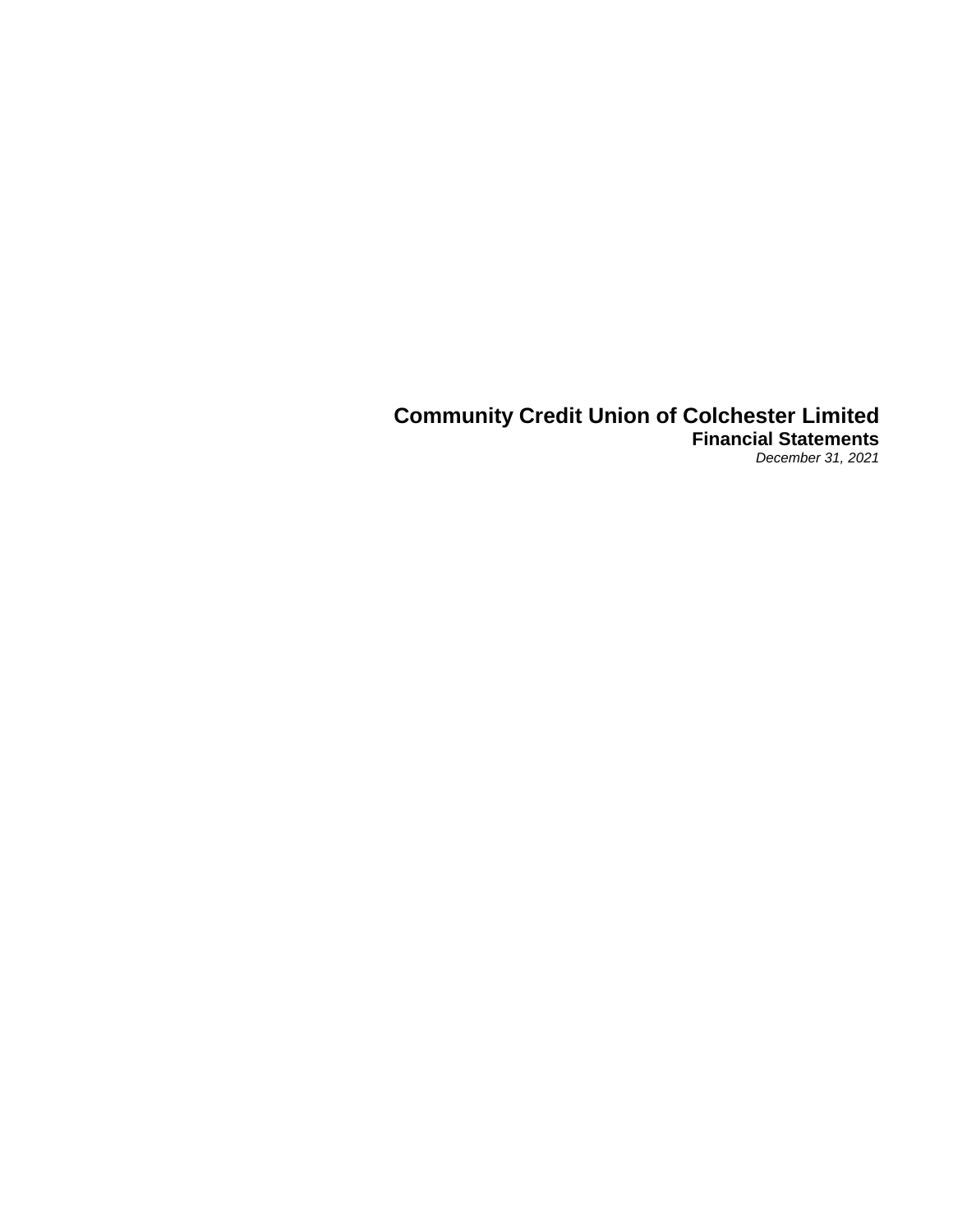## **Community Credit Union of Colchester Limited Financial Statements** *December 31, 2021*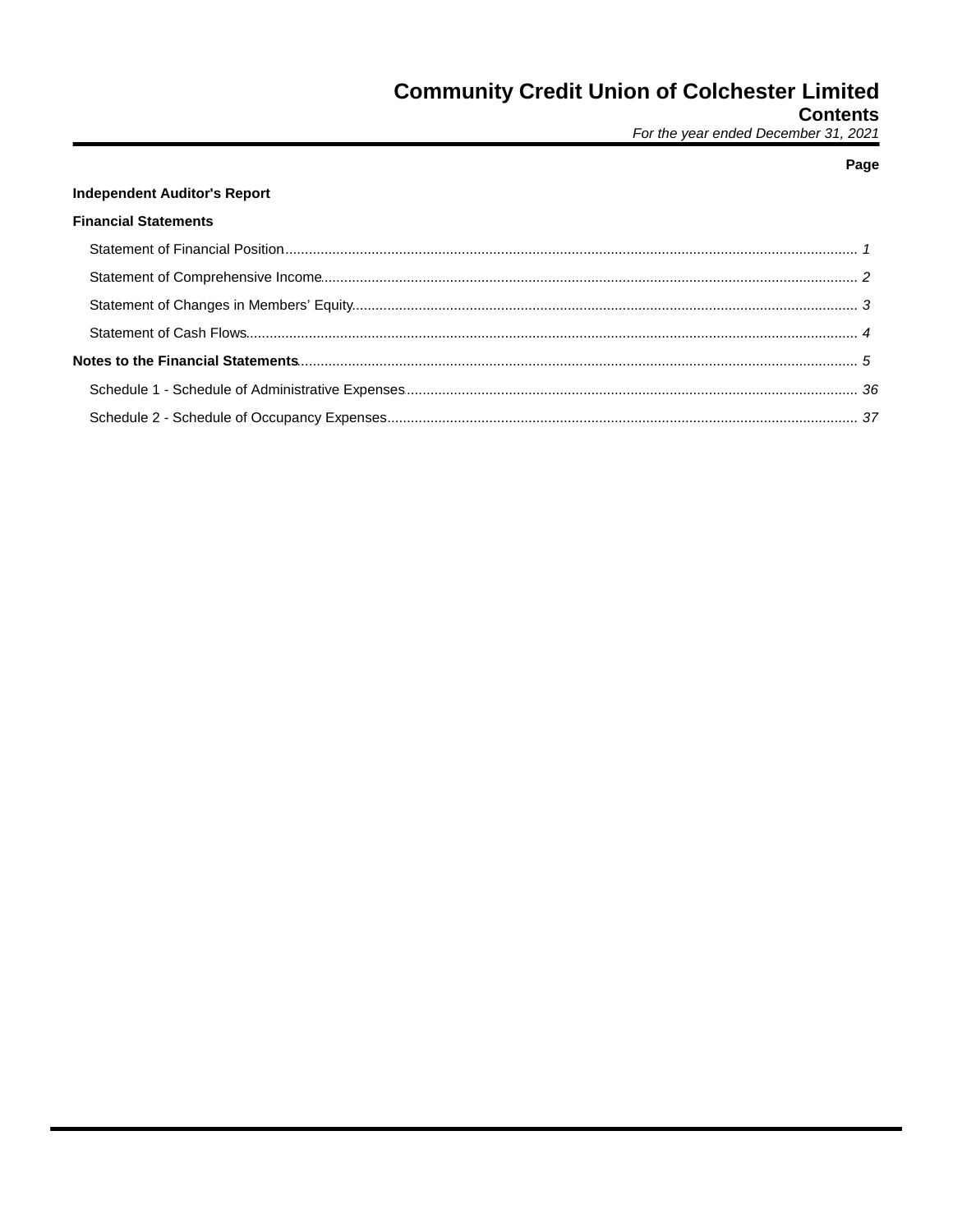# **Contents**

For the year ended December 31, 2021

## Page

## **Independent Auditor's Report**

## **Financial Statements**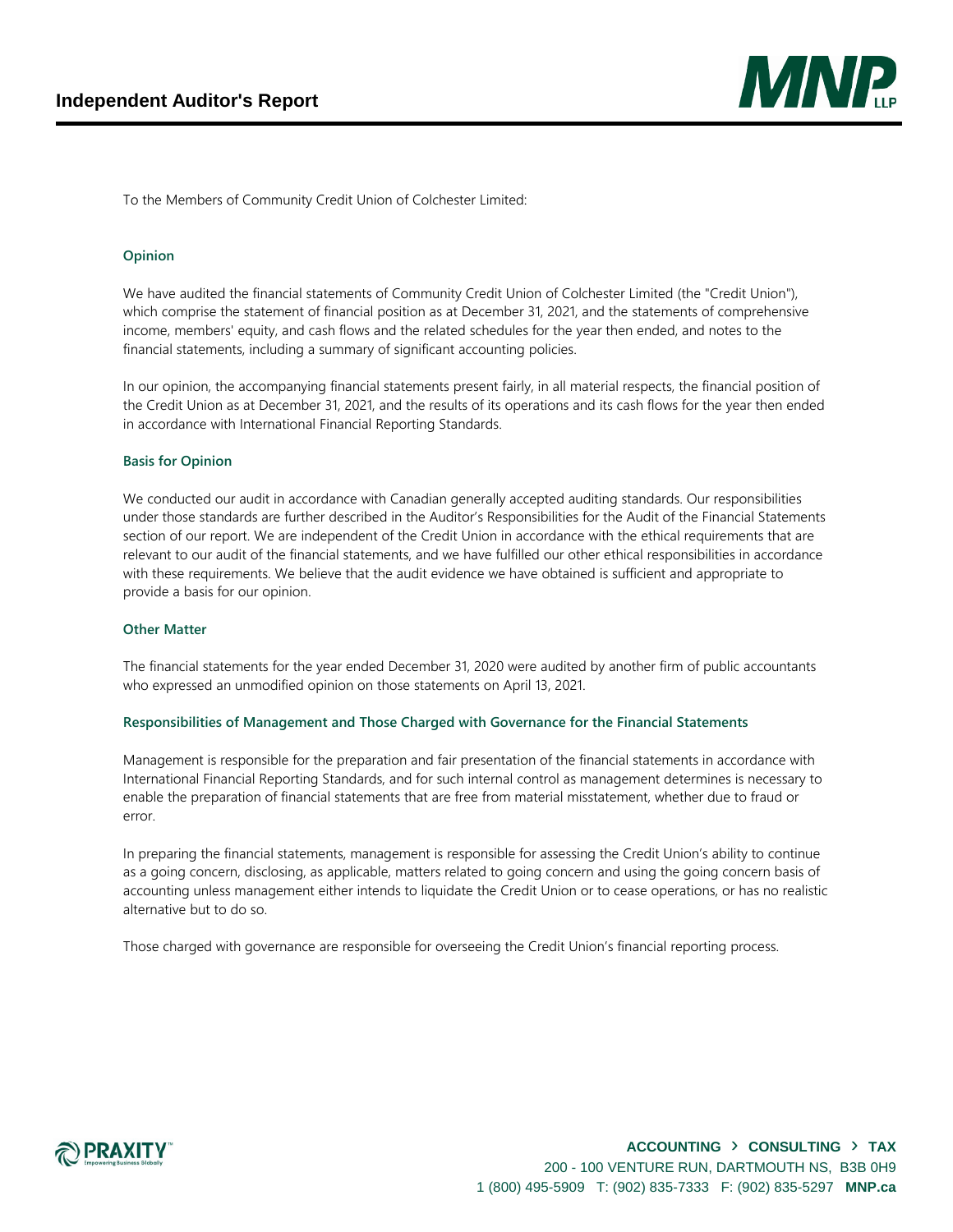

To the Members of Community Credit Union of Colchester Limited:

### **Opinion**

We have audited the financial statements of Community Credit Union of Colchester Limited (the "Credit Union"), which comprise the statement of financial position as at December 31, 2021, and the statements of comprehensive income, members' equity, and cash flows and the related schedules for the year then ended, and notes to the financial statements, including a summary of significant accounting policies.

In our opinion, the accompanying financial statements present fairly, in all material respects, the financial position of the Credit Union as at December 31, 2021, and the results of its operations and its cash flows for the year then ended in accordance with International Financial Reporting Standards.

#### **Basis for Opinion**

We conducted our audit in accordance with Canadian generally accepted auditing standards. Our responsibilities under those standards are further described in the Auditor's Responsibilities for the Audit of the Financial Statements section of our report. We are independent of the Credit Union in accordance with the ethical requirements that are relevant to our audit of the financial statements, and we have fulfilled our other ethical responsibilities in accordance with these requirements. We believe that the audit evidence we have obtained is sufficient and appropriate to provide a basis for our opinion.

#### **Other Matter**

The financial statements for the year ended December 31, 2020 were audited by another firm of public accountants who expressed an unmodified opinion on those statements on April 13, 2021.

#### **Responsibilities of Management and Those Charged with Governance for the Financial Statements**

Management is responsible for the preparation and fair presentation of the financial statements in accordance with International Financial Reporting Standards, and for such internal control as management determines is necessary to enable the preparation of financial statements that are free from material misstatement, whether due to fraud or error.

In preparing the financial statements, management is responsible for assessing the Credit Union's ability to continue as a going concern, disclosing, as applicable, matters related to going concern and using the going concern basis of accounting unless management either intends to liquidate the Credit Union or to cease operations, or has no realistic alternative but to do so.

Those charged with governance are responsible for overseeing the Credit Union's financial reporting process.

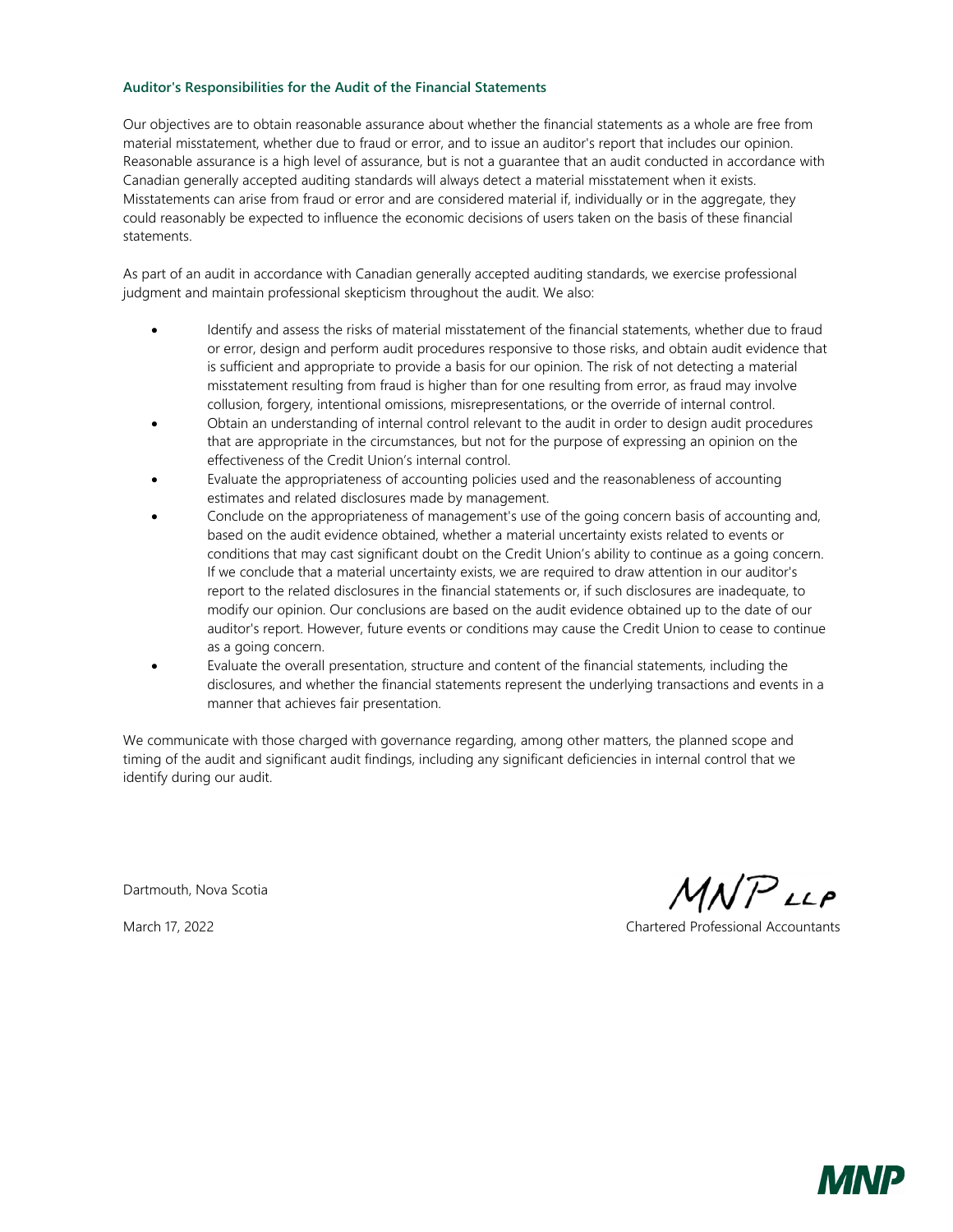### **Auditor's Responsibilities for the Audit of the Financial Statements**

Our objectives are to obtain reasonable assurance about whether the financial statements as a whole are free from material misstatement, whether due to fraud or error, and to issue an auditor's report that includes our opinion. Reasonable assurance is a high level of assurance, but is not a guarantee that an audit conducted in accordance with Canadian generally accepted auditing standards will always detect a material misstatement when it exists. Misstatements can arise from fraud or error and are considered material if, individually or in the aggregate, they could reasonably be expected to influence the economic decisions of users taken on the basis of these financial statements.

As part of an audit in accordance with Canadian generally accepted auditing standards, we exercise professional judgment and maintain professional skepticism throughout the audit. We also:

- Identify and assess the risks of material misstatement of the financial statements, whether due to fraud or error, design and perform audit procedures responsive to those risks, and obtain audit evidence that is sufficient and appropriate to provide a basis for our opinion. The risk of not detecting a material misstatement resulting from fraud is higher than for one resulting from error, as fraud may involve collusion, forgery, intentional omissions, misrepresentations, or the override of internal control.
- Obtain an understanding of internal control relevant to the audit in order to design audit procedures that are appropriate in the circumstances, but not for the purpose of expressing an opinion on the effectiveness of the Credit Union's internal control.
- Evaluate the appropriateness of accounting policies used and the reasonableness of accounting estimates and related disclosures made by management.
- Conclude on the appropriateness of management's use of the going concern basis of accounting and, based on the audit evidence obtained, whether a material uncertainty exists related to events or conditions that may cast significant doubt on the Credit Union's ability to continue as a going concern. If we conclude that a material uncertainty exists, we are required to draw attention in our auditor's report to the related disclosures in the financial statements or, if such disclosures are inadequate, to modify our opinion. Our conclusions are based on the audit evidence obtained up to the date of our auditor's report. However, future events or conditions may cause the Credit Union to cease to continue as a going concern.
- Evaluate the overall presentation, structure and content of the financial statements, including the disclosures, and whether the financial statements represent the underlying transactions and events in a manner that achieves fair presentation.

We communicate with those charged with governance regarding, among other matters, the planned scope and timing of the audit and significant audit findings, including any significant deficiencies in internal control that we identify during our audit.

Dartmouth, Nova Scotia

 $M$ N $P$ LLP

March 17, 2022 Chartered Professional Accountants

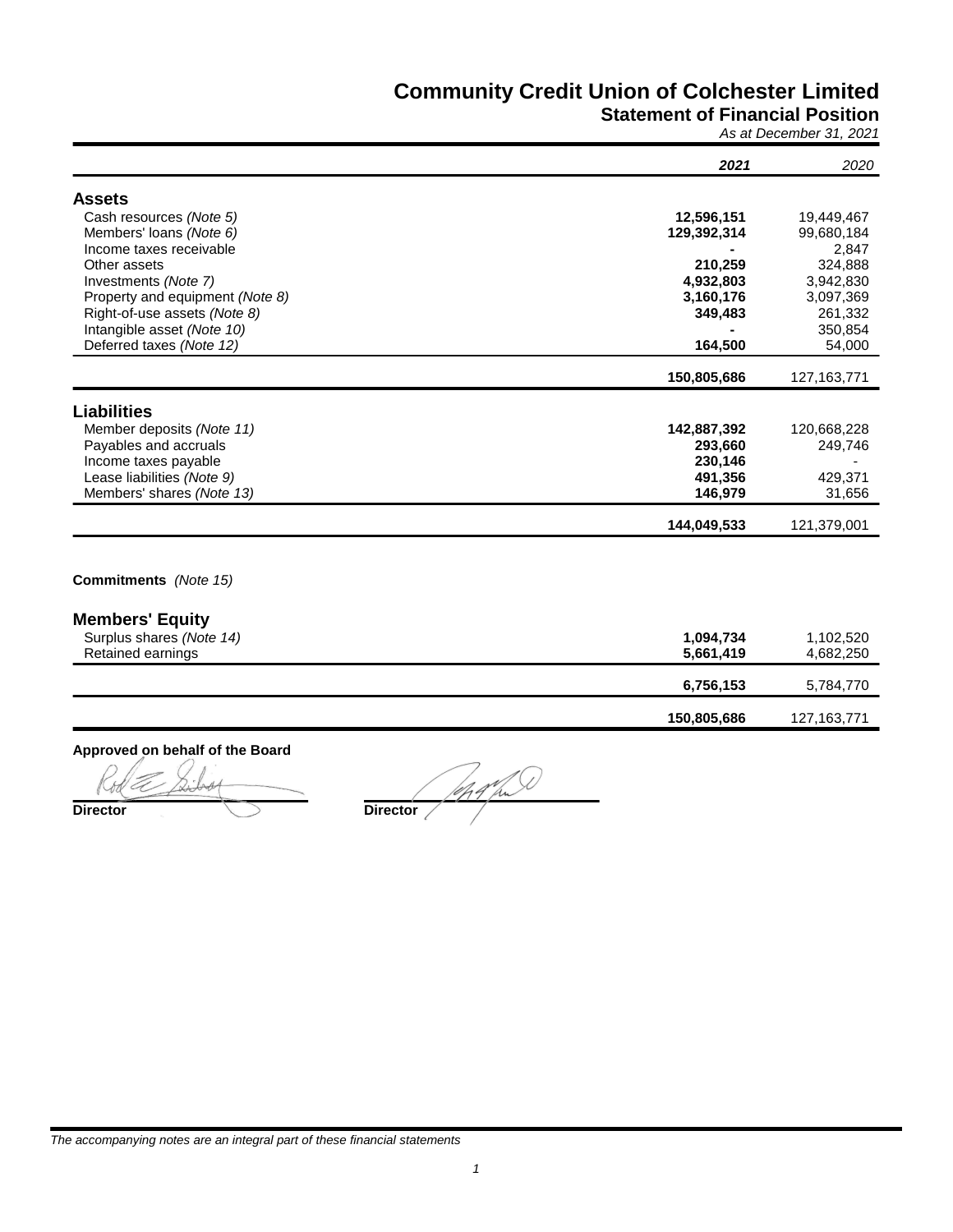# **Statement of Financial Position**

*As at December 31, 2021*

|                                 | 2021        | 2020          |
|---------------------------------|-------------|---------------|
| <b>Assets</b>                   |             |               |
| Cash resources (Note 5)         | 12,596,151  | 19,449,467    |
| Members' loans (Note 6)         | 129,392,314 | 99,680,184    |
| Income taxes receivable         |             | 2,847         |
| Other assets                    | 210,259     | 324,888       |
| Investments (Note 7)            | 4,932,803   | 3,942,830     |
| Property and equipment (Note 8) | 3,160,176   | 3,097,369     |
| Right-of-use assets (Note 8)    | 349,483     | 261,332       |
| Intangible asset (Note 10)      |             | 350,854       |
| Deferred taxes (Note 12)        | 164,500     | 54,000        |
|                                 | 150,805,686 | 127, 163, 771 |
| <b>Liabilities</b>              |             |               |
| Member deposits (Note 11)       | 142,887,392 | 120,668,228   |
| Payables and accruals           | 293,660     | 249,746       |
| Income taxes payable            | 230,146     |               |
| Lease liabilities (Note 9)      | 491,356     | 429,371       |
| Members' shares (Note 13)       | 146.979     | 31,656        |
|                                 | 144,049,533 | 121,379,001   |
| <b>Commitments</b> (Note 15)    |             |               |
| <b>Members' Equity</b>          |             |               |
| Surplus shares (Note 14)        | 1,094,734   | 1,102,520     |
| Retained earnings               | 5,661,419   | 4,682,250     |
|                                 | 6,756,153   | 5,784,770     |
|                                 | 150,805,686 | 127, 163, 771 |

## **Approved on behalf of the Board**

**Director Director** 

 ${2 \leq i \leq n}$ V/s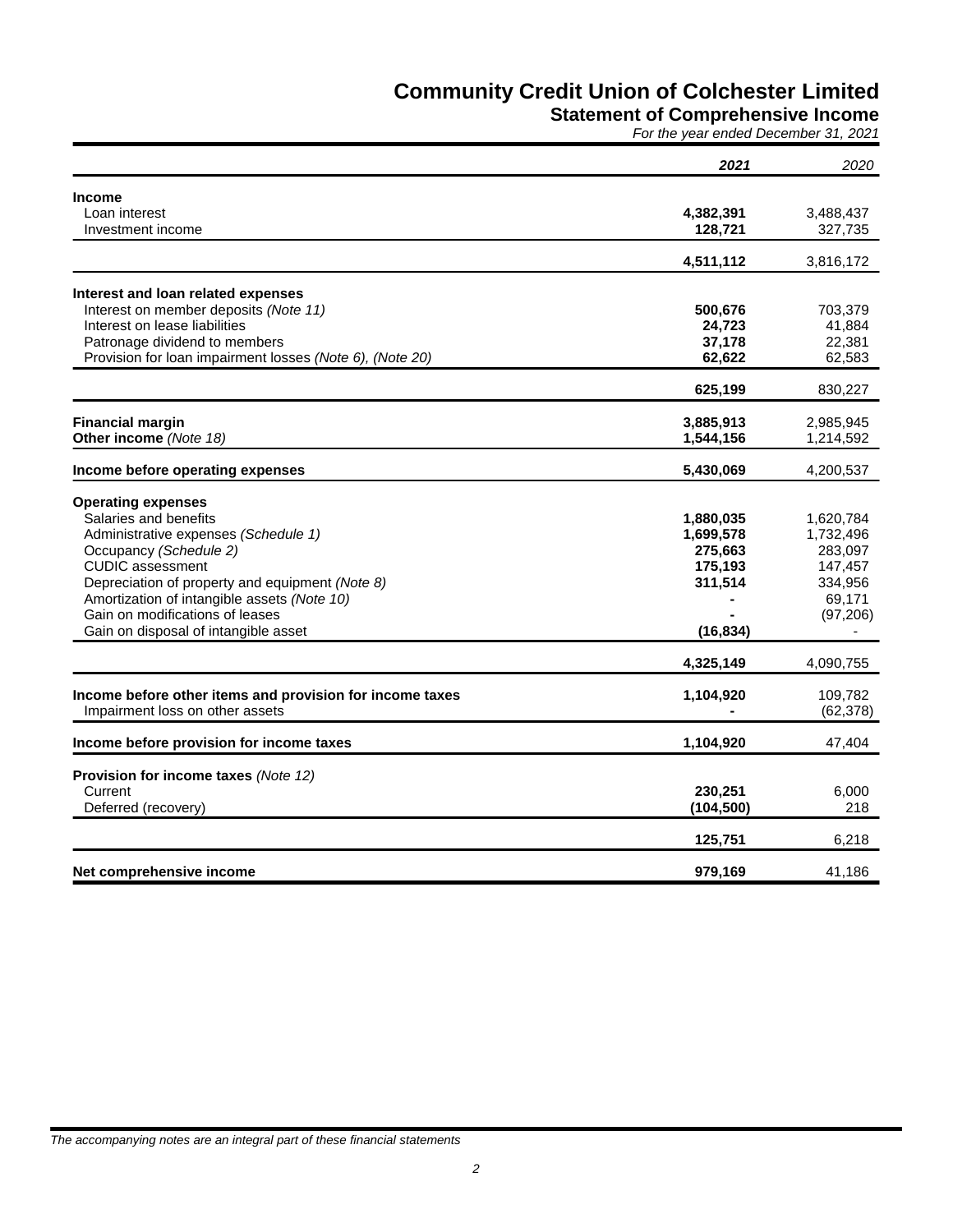**Statement of Comprehensive Income**

*For the year ended December 31, 2021*

|                                                          | 2021       | 2020      |
|----------------------------------------------------------|------------|-----------|
| <b>Income</b>                                            |            |           |
| Loan interest                                            | 4,382,391  | 3,488,437 |
| Investment income                                        | 128,721    | 327,735   |
|                                                          |            |           |
|                                                          | 4,511,112  | 3,816,172 |
| Interest and loan related expenses                       |            |           |
| Interest on member deposits (Note 11)                    | 500,676    | 703,379   |
| Interest on lease liabilities                            | 24,723     | 41,884    |
| Patronage dividend to members                            | 37,178     | 22,381    |
| Provision for loan impairment losses (Note 6), (Note 20) | 62,622     | 62,583    |
|                                                          | 625,199    | 830,227   |
| <b>Financial margin</b>                                  | 3,885,913  | 2,985,945 |
| Other income (Note 18)                                   | 1,544,156  | 1,214,592 |
|                                                          |            |           |
| Income before operating expenses                         | 5,430,069  | 4,200,537 |
| <b>Operating expenses</b>                                |            |           |
| Salaries and benefits                                    | 1,880,035  | 1,620,784 |
| Administrative expenses (Schedule 1)                     | 1,699,578  | 1,732,496 |
| Occupancy (Schedule 2)                                   | 275,663    | 283,097   |
| <b>CUDIC</b> assessment                                  | 175,193    | 147,457   |
| Depreciation of property and equipment (Note 8)          | 311,514    | 334,956   |
| Amortization of intangible assets (Note 10)              |            | 69,171    |
| Gain on modifications of leases                          |            | (97, 206) |
| Gain on disposal of intangible asset                     | (16, 834)  |           |
|                                                          | 4,325,149  | 4,090,755 |
| Income before other items and provision for income taxes | 1,104,920  | 109,782   |
| Impairment loss on other assets                          |            | (62, 378) |
|                                                          |            |           |
| Income before provision for income taxes                 | 1,104,920  | 47,404    |
| Provision for income taxes (Note 12)                     |            |           |
| Current                                                  | 230,251    | 6,000     |
| Deferred (recovery)                                      | (104, 500) | 218       |
|                                                          | 125,751    | 6,218     |
| Net comprehensive income                                 | 979,169    | 41,186    |
|                                                          |            |           |

*The accompanying notes are an integral part of these financial statements*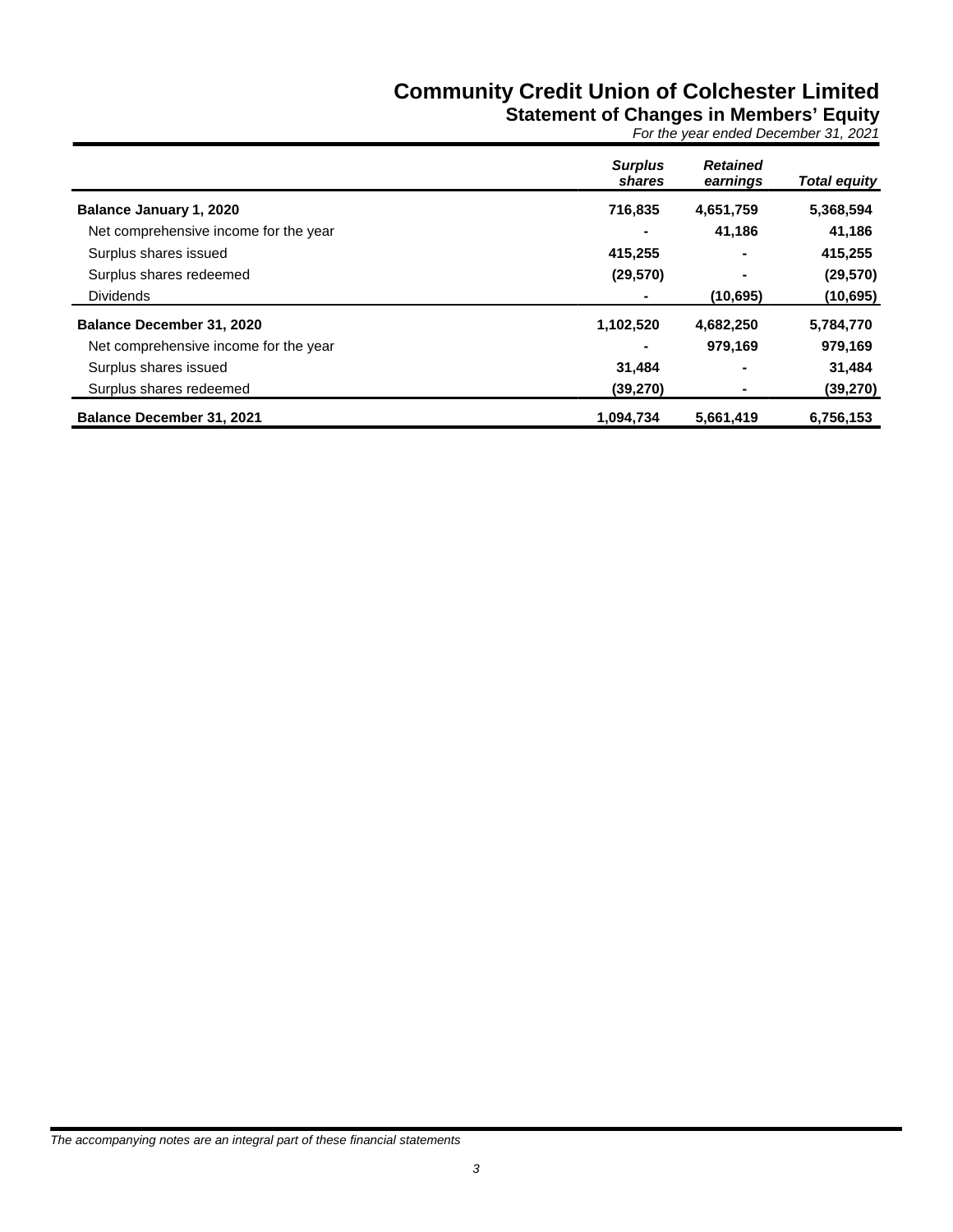**Statement of Changes in Members' Equity**

*For the year ended December 31, 2021*

|                                       | <b>Surplus</b><br>shares | <b>Retained</b><br>earnings | <b>Total equity</b> |
|---------------------------------------|--------------------------|-----------------------------|---------------------|
| Balance January 1, 2020               | 716,835                  | 4,651,759                   | 5,368,594           |
| Net comprehensive income for the year |                          | 41,186                      | 41,186              |
| Surplus shares issued                 | 415,255                  |                             | 415,255             |
| Surplus shares redeemed               | (29, 570)                |                             | (29, 570)           |
| <b>Dividends</b>                      |                          | (10, 695)                   | (10, 695)           |
| Balance December 31, 2020             | 1,102,520                | 4,682,250                   | 5,784,770           |
| Net comprehensive income for the year |                          | 979,169                     | 979,169             |
| Surplus shares issued                 | 31.484                   |                             | 31,484              |
| Surplus shares redeemed               | (39,270)                 |                             | (39, 270)           |
| <b>Balance December 31, 2021</b>      | 1,094,734                | 5,661,419                   | 6,756,153           |

*The accompanying notes are an integral part of these financial statements*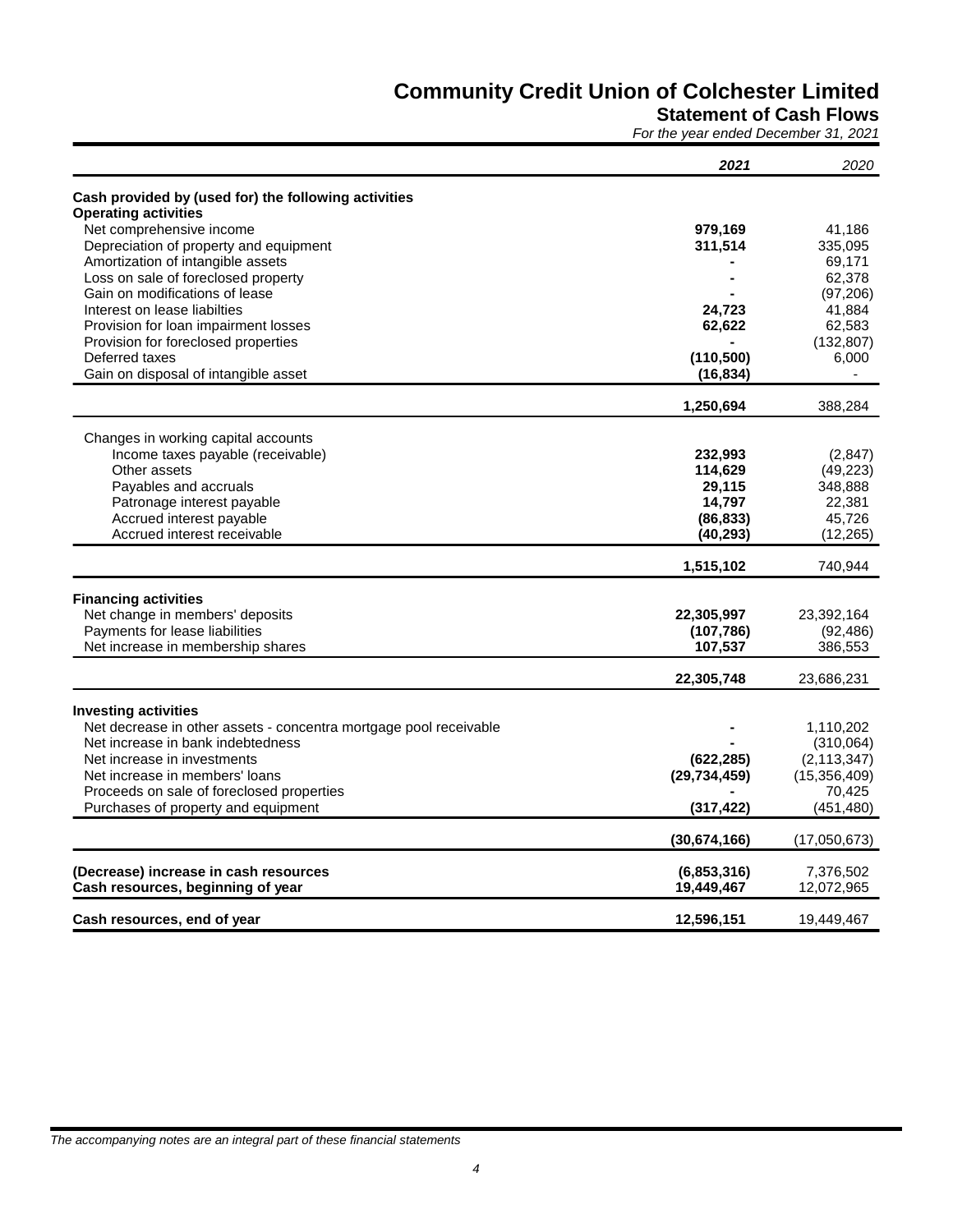## **Statement of Cash Flows**

*For the year ended December 31, 2021*

|                                                                   | 2021           | 2020           |
|-------------------------------------------------------------------|----------------|----------------|
| Cash provided by (used for) the following activities              |                |                |
| <b>Operating activities</b>                                       |                |                |
| Net comprehensive income                                          | 979,169        | 41,186         |
| Depreciation of property and equipment                            | 311,514        | 335,095        |
| Amortization of intangible assets                                 |                | 69,171         |
| Loss on sale of foreclosed property                               |                | 62,378         |
| Gain on modifications of lease                                    |                | (97, 206)      |
| Interest on lease liabilties                                      | 24,723         | 41,884         |
| Provision for loan impairment losses                              | 62,622         | 62,583         |
| Provision for foreclosed properties                               |                | (132, 807)     |
| Deferred taxes                                                    | (110, 500)     | 6,000          |
| Gain on disposal of intangible asset                              | (16, 834)      |                |
|                                                                   | 1,250,694      | 388,284        |
| Changes in working capital accounts                               |                |                |
| Income taxes payable (receivable)                                 | 232,993        | (2, 847)       |
| Other assets                                                      | 114,629        | (49, 223)      |
| Payables and accruals                                             | 29,115         | 348,888        |
| Patronage interest payable                                        | 14,797         | 22,381         |
|                                                                   |                |                |
| Accrued interest payable                                          | (86, 833)      | 45,726         |
| Accrued interest receivable                                       | (40, 293)      | (12, 265)      |
|                                                                   | 1,515,102      | 740,944        |
| <b>Financing activities</b>                                       |                |                |
| Net change in members' deposits                                   | 22,305,997     | 23,392,164     |
| Payments for lease liabilities                                    | (107,786)      | (92, 486)      |
| Net increase in membership shares                                 | 107,537        | 386,553        |
|                                                                   | 22,305,748     | 23,686,231     |
| <b>Investing activities</b>                                       |                |                |
|                                                                   |                | 1,110,202      |
| Net decrease in other assets - concentra mortgage pool receivable |                |                |
| Net increase in bank indebtedness<br>Net increase in investments  |                | (310,064)      |
|                                                                   | (622, 285)     | (2, 113, 347)  |
| Net increase in members' loans                                    | (29, 734, 459) | (15, 356, 409) |
| Proceeds on sale of foreclosed properties                         |                | 70,425         |
| Purchases of property and equipment                               | (317, 422)     | (451, 480)     |
|                                                                   | (30,674,166)   | (17,050,673)   |
| (Decrease) increase in cash resources                             | (6,853,316)    | 7,376,502      |
| Cash resources, beginning of year                                 | 19,449,467     | 12,072,965     |
| Cash resources, end of year                                       | 12,596,151     | 19,449,467     |
|                                                                   |                |                |

*The accompanying notes are an integral part of these financial statements*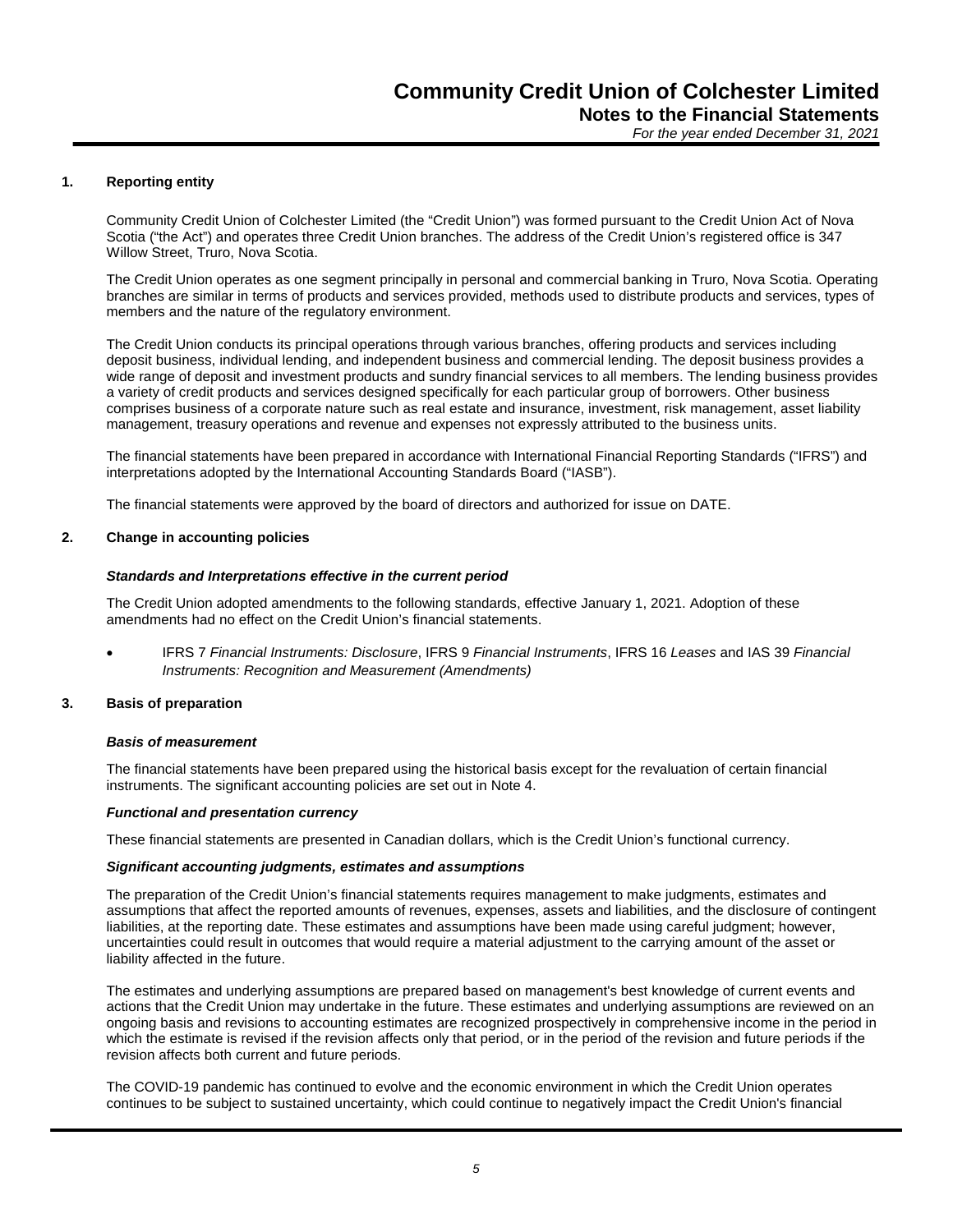#### **1. Reporting entity**

Community Credit Union of Colchester Limited (the "Credit Union") was formed pursuant to the Credit Union Act of Nova Scotia ("the Act") and operates three Credit Union branches. The address of the Credit Union's registered office is 347 Willow Street, Truro, Nova Scotia.

The Credit Union operates as one segment principally in personal and commercial banking in Truro, Nova Scotia. Operating branches are similar in terms of products and services provided, methods used to distribute products and services, types of members and the nature of the regulatory environment.

The Credit Union conducts its principal operations through various branches, offering products and services including deposit business, individual lending, and independent business and commercial lending. The deposit business provides a wide range of deposit and investment products and sundry financial services to all members. The lending business provides a variety of credit products and services designed specifically for each particular group of borrowers. Other business comprises business of a corporate nature such as real estate and insurance, investment, risk management, asset liability management, treasury operations and revenue and expenses not expressly attributed to the business units.

The financial statements have been prepared in accordance with International Financial Reporting Standards ("IFRS") and interpretations adopted by the International Accounting Standards Board ("IASB").

The financial statements were approved by the board of directors and authorized for issue on DATE.

#### **2. Change in accounting policies**

#### *Standards and Interpretations effective in the current period*

The Credit Union adopted amendments to the following standards, effective January 1, 2021. Adoption of these amendments had no effect on the Credit Union's financial statements.

 IFRS 7 *Financial Instruments: Disclosure*, IFRS 9 *Financial Instruments*, IFRS 16 *Leases* and IAS 39 *Financial Instruments: Recognition and Measurement (Amendments)*

#### **3. Basis of preparation**

#### *Basis of measurement*

The financial statements have been prepared using the historical basis except for the revaluation of certain financial instruments. The significant accounting policies are set out in Note 4.

#### *Functional and presentation currency*

These financial statements are presented in Canadian dollars, which is the Credit Union's functional currency.

#### *Significant accounting judgments, estimates and assumptions*

The preparation of the Credit Union's financial statements requires management to make judgments, estimates and assumptions that affect the reported amounts of revenues, expenses, assets and liabilities, and the disclosure of contingent liabilities, at the reporting date. These estimates and assumptions have been made using careful judgment; however, uncertainties could result in outcomes that would require a material adjustment to the carrying amount of the asset or liability affected in the future.

The estimates and underlying assumptions are prepared based on management's best knowledge of current events and actions that the Credit Union may undertake in the future. These estimates and underlying assumptions are reviewed on an ongoing basis and revisions to accounting estimates are recognized prospectively in comprehensive income in the period in which the estimate is revised if the revision affects only that period, or in the period of the revision and future periods if the revision affects both current and future periods.

The COVID-19 pandemic has continued to evolve and the economic environment in which the Credit Union operates continues to be subject to sustained uncertainty, which could continue to negatively impact the Credit Union's financial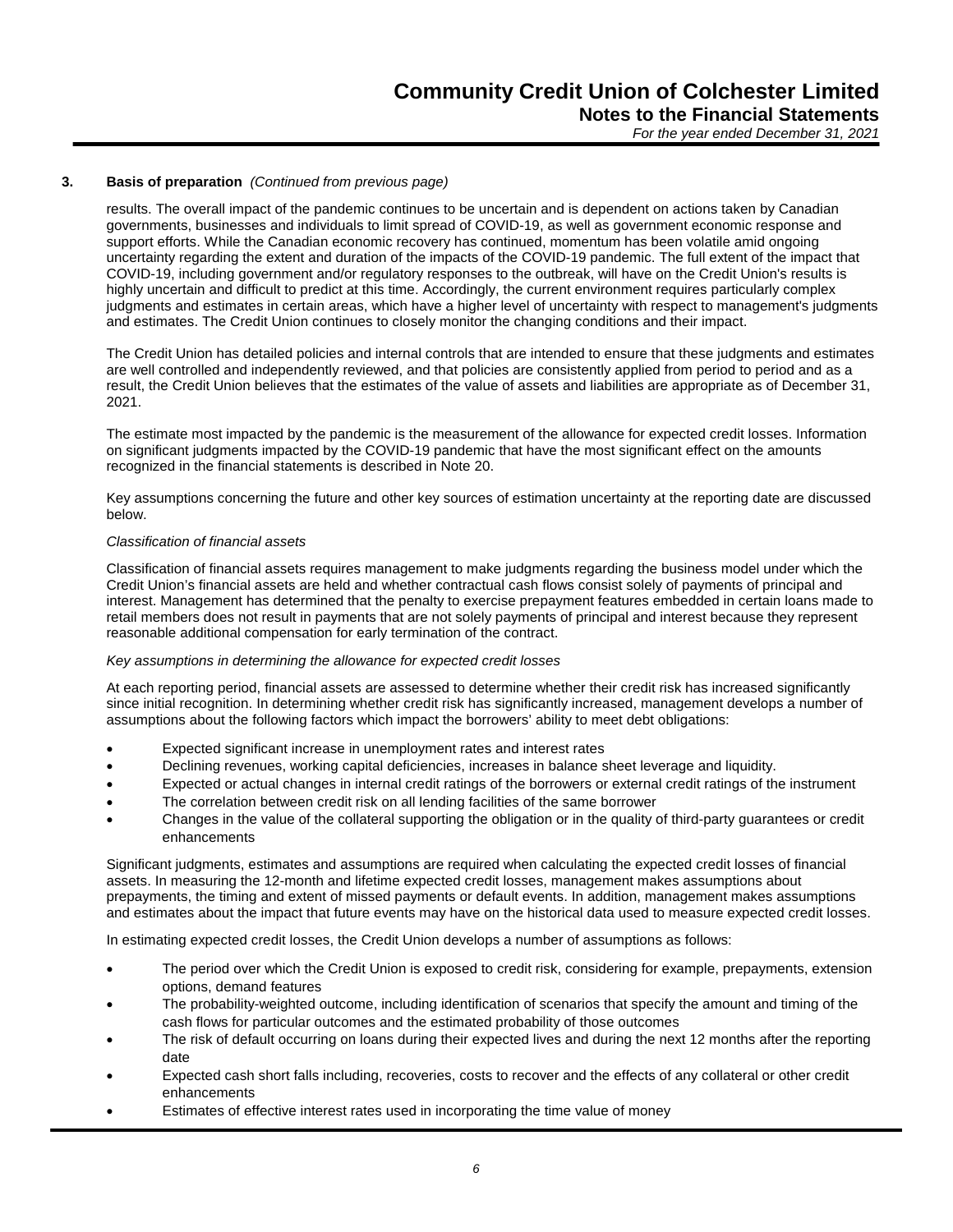## **3. Basis of preparation** *(Continued from previous page)*

results. The overall impact of the pandemic continues to be uncertain and is dependent on actions taken by Canadian governments, businesses and individuals to limit spread of COVID-19, as well as government economic response and support efforts. While the Canadian economic recovery has continued, momentum has been volatile amid ongoing uncertainty regarding the extent and duration of the impacts of the COVID-19 pandemic. The full extent of the impact that COVID-19, including government and/or regulatory responses to the outbreak, will have on the Credit Union's results is highly uncertain and difficult to predict at this time. Accordingly, the current environment requires particularly complex judgments and estimates in certain areas, which have a higher level of uncertainty with respect to management's judgments and estimates. The Credit Union continues to closely monitor the changing conditions and their impact.

The Credit Union has detailed policies and internal controls that are intended to ensure that these judgments and estimates are well controlled and independently reviewed, and that policies are consistently applied from period to period and as a result, the Credit Union believes that the estimates of the value of assets and liabilities are appropriate as of December 31, 2021.

The estimate most impacted by the pandemic is the measurement of the allowance for expected credit losses. Information on significant judgments impacted by the COVID-19 pandemic that have the most significant effect on the amounts recognized in the financial statements is described in Note 20.

Key assumptions concerning the future and other key sources of estimation uncertainty at the reporting date are discussed below.

#### *Classification of financial assets*

Classification of financial assets requires management to make judgments regarding the business model under which the Credit Union's financial assets are held and whether contractual cash flows consist solely of payments of principal and interest. Management has determined that the penalty to exercise prepayment features embedded in certain loans made to retail members does not result in payments that are not solely payments of principal and interest because they represent reasonable additional compensation for early termination of the contract.

#### *Key assumptions in determining the allowance for expected credit losses*

At each reporting period, financial assets are assessed to determine whether their credit risk has increased significantly since initial recognition. In determining whether credit risk has significantly increased, management develops a number of assumptions about the following factors which impact the borrowers' ability to meet debt obligations:

- Expected significant increase in unemployment rates and interest rates
- Declining revenues, working capital deficiencies, increases in balance sheet leverage and liquidity.
- Expected or actual changes in internal credit ratings of the borrowers or external credit ratings of the instrument
- The correlation between credit risk on all lending facilities of the same borrower
- Changes in the value of the collateral supporting the obligation or in the quality of third-party guarantees or credit enhancements

Significant judgments, estimates and assumptions are required when calculating the expected credit losses of financial assets. In measuring the 12-month and lifetime expected credit losses, management makes assumptions about prepayments, the timing and extent of missed payments or default events. In addition, management makes assumptions and estimates about the impact that future events may have on the historical data used to measure expected credit losses.

In estimating expected credit losses, the Credit Union develops a number of assumptions as follows:

- The period over which the Credit Union is exposed to credit risk, considering for example, prepayments, extension options, demand features
- The probability-weighted outcome, including identification of scenarios that specify the amount and timing of the cash flows for particular outcomes and the estimated probability of those outcomes
- The risk of default occurring on loans during their expected lives and during the next 12 months after the reporting date
- Expected cash short falls including, recoveries, costs to recover and the effects of any collateral or other credit enhancements
- Estimates of effective interest rates used in incorporating the time value of money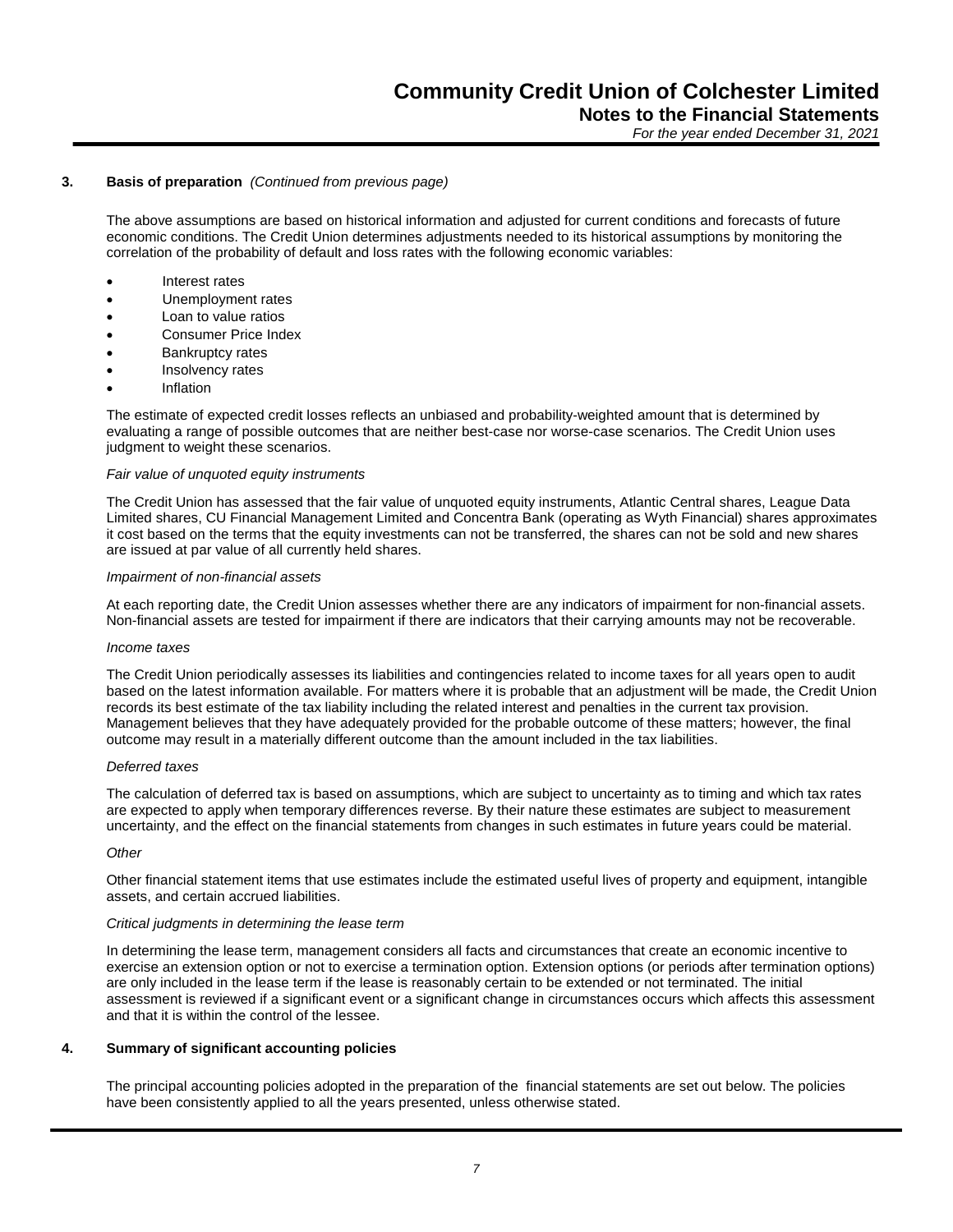#### **3. Basis of preparation** *(Continued from previous page)*

The above assumptions are based on historical information and adjusted for current conditions and forecasts of future economic conditions. The Credit Union determines adjustments needed to its historical assumptions by monitoring the correlation of the probability of default and loss rates with the following economic variables:

- Interest rates
- Unemployment rates
- Loan to value ratios
- Consumer Price Index
- Bankruptcy rates
- Insolvency rates
- Inflation

The estimate of expected credit losses reflects an unbiased and probability-weighted amount that is determined by evaluating a range of possible outcomes that are neither best-case nor worse-case scenarios. The Credit Union uses judgment to weight these scenarios.

#### *Fair value of unquoted equity instruments*

The Credit Union has assessed that the fair value of unquoted equity instruments, Atlantic Central shares, League Data Limited shares, CU Financial Management Limited and Concentra Bank (operating as Wyth Financial) shares approximates it cost based on the terms that the equity investments can not be transferred, the shares can not be sold and new shares are issued at par value of all currently held shares.

#### *Impairment of non-financial assets*

At each reporting date, the Credit Union assesses whether there are any indicators of impairment for non-financial assets. Non-financial assets are tested for impairment if there are indicators that their carrying amounts may not be recoverable.

#### *Income taxes*

The Credit Union periodically assesses its liabilities and contingencies related to income taxes for all years open to audit based on the latest information available. For matters where it is probable that an adjustment will be made, the Credit Union records its best estimate of the tax liability including the related interest and penalties in the current tax provision. Management believes that they have adequately provided for the probable outcome of these matters; however, the final outcome may result in a materially different outcome than the amount included in the tax liabilities.

#### *Deferred taxes*

The calculation of deferred tax is based on assumptions, which are subject to uncertainty as to timing and which tax rates are expected to apply when temporary differences reverse. By their nature these estimates are subject to measurement uncertainty, and the effect on the financial statements from changes in such estimates in future years could be material.

#### *Other*

Other financial statement items that use estimates include the estimated useful lives of property and equipment, intangible assets, and certain accrued liabilities.

#### *Critical judgments in determining the lease term*

In determining the lease term, management considers all facts and circumstances that create an economic incentive to exercise an extension option or not to exercise a termination option. Extension options (or periods after termination options) are only included in the lease term if the lease is reasonably certain to be extended or not terminated. The initial assessment is reviewed if a significant event or a significant change in circumstances occurs which affects this assessment and that it is within the control of the lessee.

#### **4. Summary of significant accounting policies**

The principal accounting policies adopted in the preparation of the financial statements are set out below. The policies have been consistently applied to all the years presented, unless otherwise stated.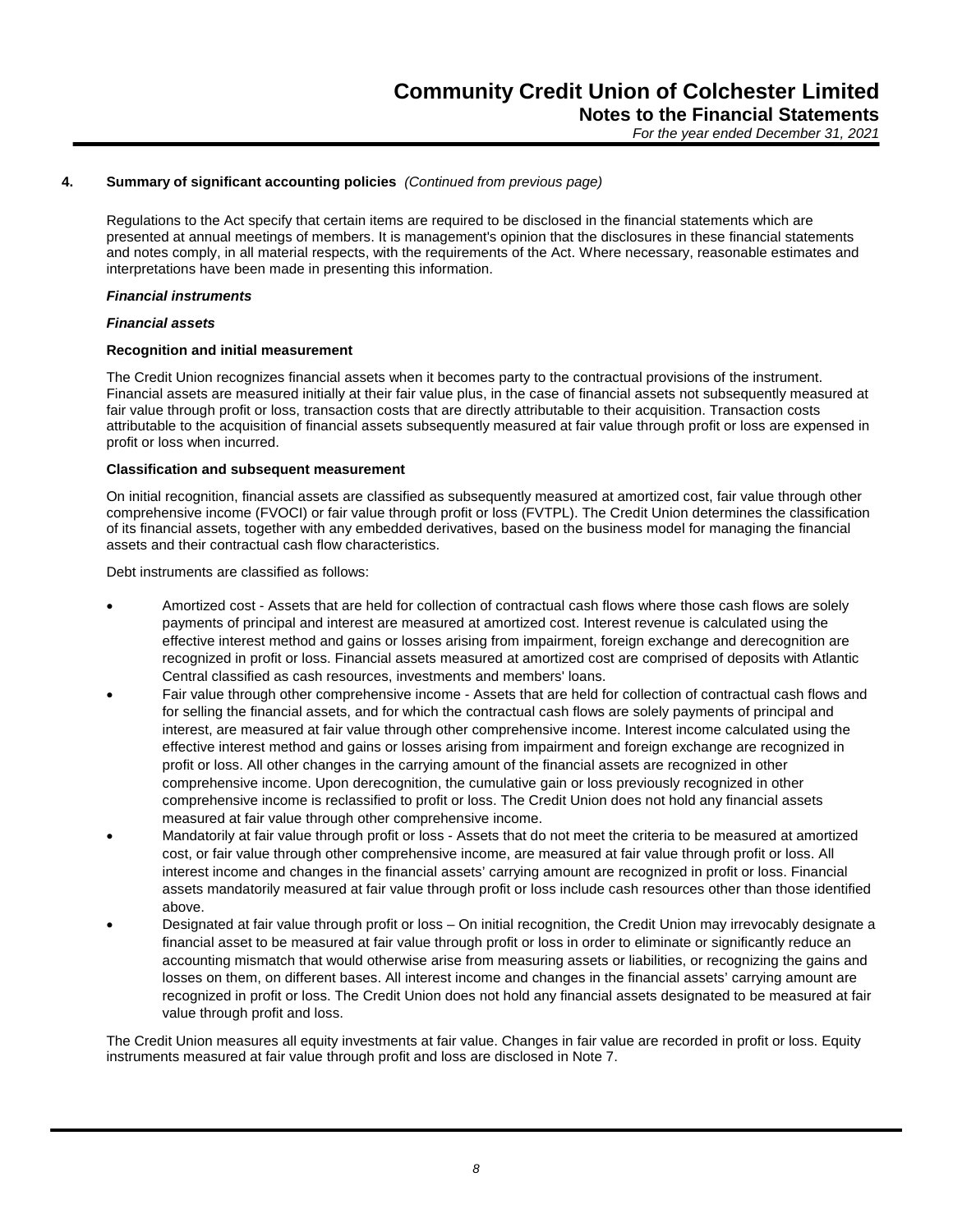Regulations to the Act specify that certain items are required to be disclosed in the financial statements which are presented at annual meetings of members. It is management's opinion that the disclosures in these financial statements and notes comply, in all material respects, with the requirements of the Act. Where necessary, reasonable estimates and interpretations have been made in presenting this information.

#### *Financial instruments*

#### *Financial assets*

#### **Recognition and initial measurement**

The Credit Union recognizes financial assets when it becomes party to the contractual provisions of the instrument. Financial assets are measured initially at their fair value plus, in the case of financial assets not subsequently measured at fair value through profit or loss, transaction costs that are directly attributable to their acquisition. Transaction costs attributable to the acquisition of financial assets subsequently measured at fair value through profit or loss are expensed in profit or loss when incurred.

#### **Classification and subsequent measurement**

On initial recognition, financial assets are classified as subsequently measured at amortized cost, fair value through other comprehensive income (FVOCI) or fair value through profit or loss (FVTPL). The Credit Union determines the classification of its financial assets, together with any embedded derivatives, based on the business model for managing the financial assets and their contractual cash flow characteristics.

Debt instruments are classified as follows:

- Amortized cost Assets that are held for collection of contractual cash flows where those cash flows are solely payments of principal and interest are measured at amortized cost. Interest revenue is calculated using the effective interest method and gains or losses arising from impairment, foreign exchange and derecognition are recognized in profit or loss. Financial assets measured at amortized cost are comprised of deposits with Atlantic Central classified as cash resources, investments and members' loans.
- Fair value through other comprehensive income Assets that are held for collection of contractual cash flows and for selling the financial assets, and for which the contractual cash flows are solely payments of principal and interest, are measured at fair value through other comprehensive income. Interest income calculated using the effective interest method and gains or losses arising from impairment and foreign exchange are recognized in profit or loss. All other changes in the carrying amount of the financial assets are recognized in other comprehensive income. Upon derecognition, the cumulative gain or loss previously recognized in other comprehensive income is reclassified to profit or loss. The Credit Union does not hold any financial assets measured at fair value through other comprehensive income.
- Mandatorily at fair value through profit or loss Assets that do not meet the criteria to be measured at amortized cost, or fair value through other comprehensive income, are measured at fair value through profit or loss. All interest income and changes in the financial assets' carrying amount are recognized in profit or loss. Financial assets mandatorily measured at fair value through profit or loss include cash resources other than those identified above.
- Designated at fair value through profit or loss On initial recognition, the Credit Union may irrevocably designate a financial asset to be measured at fair value through profit or loss in order to eliminate or significantly reduce an accounting mismatch that would otherwise arise from measuring assets or liabilities, or recognizing the gains and losses on them, on different bases. All interest income and changes in the financial assets' carrying amount are recognized in profit or loss. The Credit Union does not hold any financial assets designated to be measured at fair value through profit and loss.

The Credit Union measures all equity investments at fair value. Changes in fair value are recorded in profit or loss. Equity instruments measured at fair value through profit and loss are disclosed in Note 7.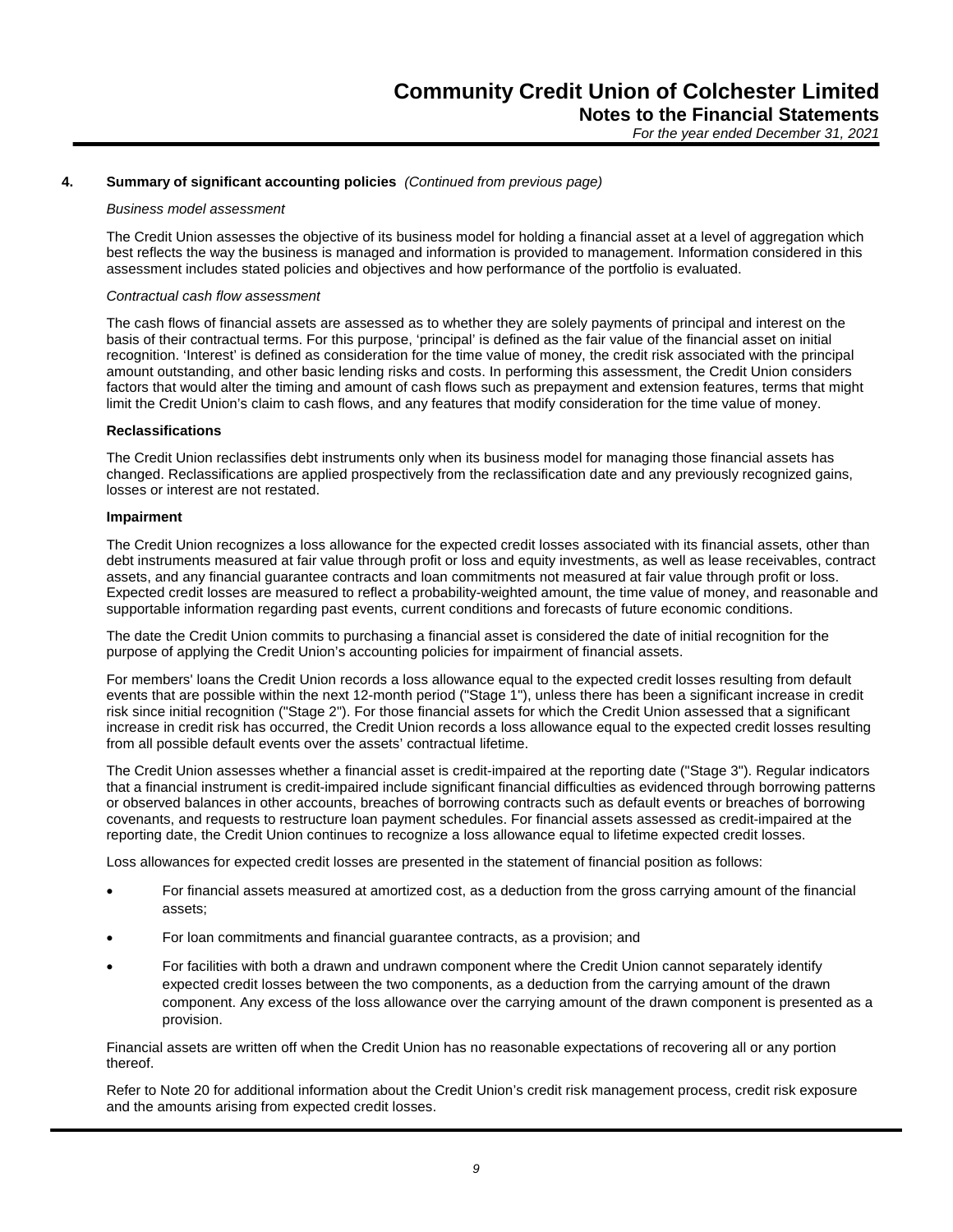#### *Business model assessment*

The Credit Union assesses the objective of its business model for holding a financial asset at a level of aggregation which best reflects the way the business is managed and information is provided to management. Information considered in this assessment includes stated policies and objectives and how performance of the portfolio is evaluated.

#### *Contractual cash flow assessment*

The cash flows of financial assets are assessed as to whether they are solely payments of principal and interest on the basis of their contractual terms. For this purpose, 'principal' is defined as the fair value of the financial asset on initial recognition. 'Interest' is defined as consideration for the time value of money, the credit risk associated with the principal amount outstanding, and other basic lending risks and costs. In performing this assessment, the Credit Union considers factors that would alter the timing and amount of cash flows such as prepayment and extension features, terms that might limit the Credit Union's claim to cash flows, and any features that modify consideration for the time value of money.

#### **Reclassifications**

The Credit Union reclassifies debt instruments only when its business model for managing those financial assets has changed. Reclassifications are applied prospectively from the reclassification date and any previously recognized gains, losses or interest are not restated.

#### **Impairment**

The Credit Union recognizes a loss allowance for the expected credit losses associated with its financial assets, other than debt instruments measured at fair value through profit or loss and equity investments, as well as lease receivables, contract assets, and any financial guarantee contracts and loan commitments not measured at fair value through profit or loss. Expected credit losses are measured to reflect a probability-weighted amount, the time value of money, and reasonable and supportable information regarding past events, current conditions and forecasts of future economic conditions.

The date the Credit Union commits to purchasing a financial asset is considered the date of initial recognition for the purpose of applying the Credit Union's accounting policies for impairment of financial assets.

For members' loans the Credit Union records a loss allowance equal to the expected credit losses resulting from default events that are possible within the next 12-month period ("Stage 1"), unless there has been a significant increase in credit risk since initial recognition ("Stage 2"). For those financial assets for which the Credit Union assessed that a significant increase in credit risk has occurred, the Credit Union records a loss allowance equal to the expected credit losses resulting from all possible default events over the assets' contractual lifetime.

The Credit Union assesses whether a financial asset is credit-impaired at the reporting date ("Stage 3"). Regular indicators that a financial instrument is credit-impaired include significant financial difficulties as evidenced through borrowing patterns or observed balances in other accounts, breaches of borrowing contracts such as default events or breaches of borrowing covenants, and requests to restructure loan payment schedules. For financial assets assessed as credit-impaired at the reporting date, the Credit Union continues to recognize a loss allowance equal to lifetime expected credit losses.

Loss allowances for expected credit losses are presented in the statement of financial position as follows:

- For financial assets measured at amortized cost, as a deduction from the gross carrying amount of the financial assets;
- For loan commitments and financial guarantee contracts, as a provision; and
- For facilities with both a drawn and undrawn component where the Credit Union cannot separately identify expected credit losses between the two components, as a deduction from the carrying amount of the drawn component. Any excess of the loss allowance over the carrying amount of the drawn component is presented as a provision.

Financial assets are written off when the Credit Union has no reasonable expectations of recovering all or any portion thereof.

Refer to Note 20 for additional information about the Credit Union's credit risk management process, credit risk exposure and the amounts arising from expected credit losses.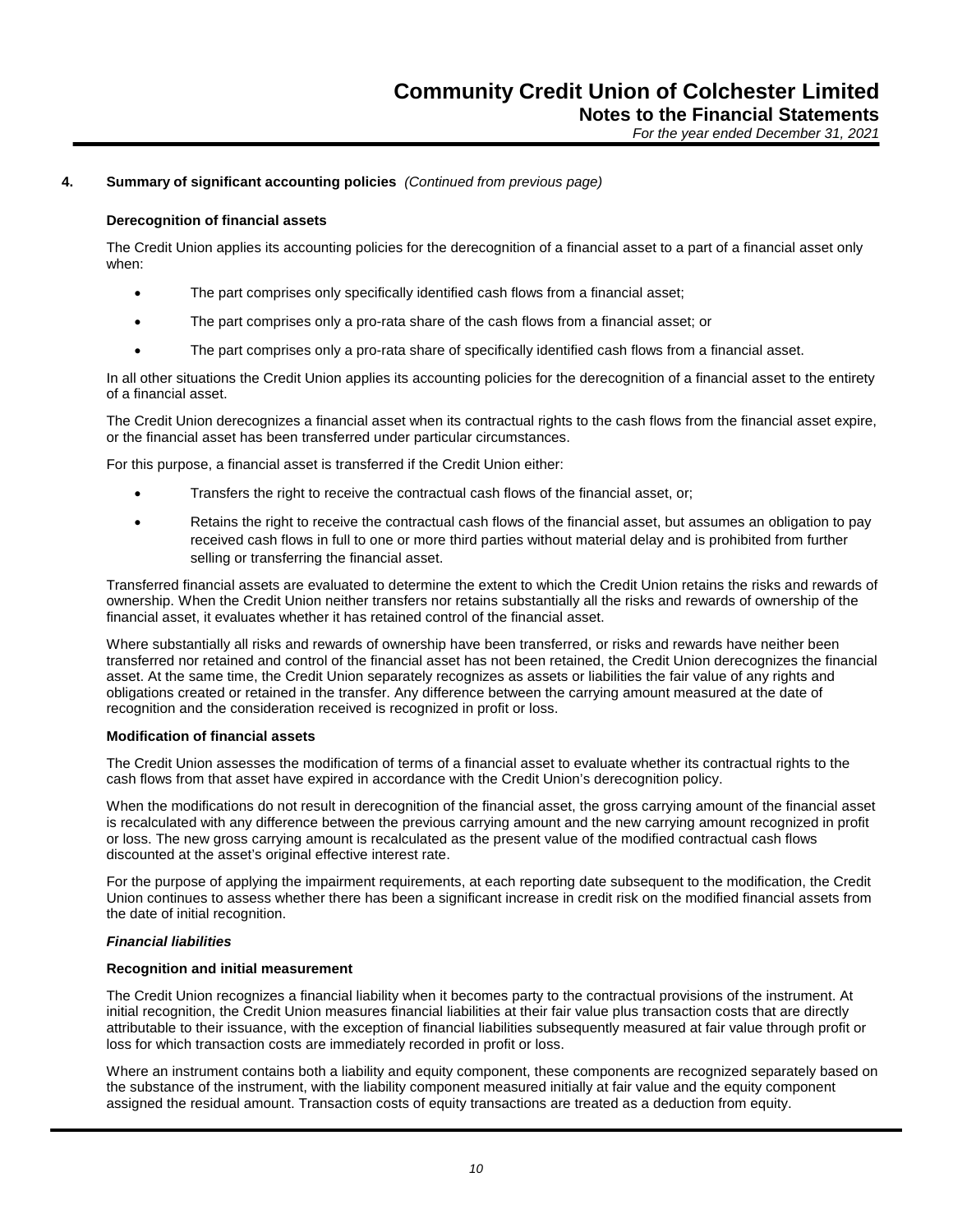#### **Derecognition of financial assets**

The Credit Union applies its accounting policies for the derecognition of a financial asset to a part of a financial asset only when:

- The part comprises only specifically identified cash flows from a financial asset;
- The part comprises only a pro-rata share of the cash flows from a financial asset; or
- The part comprises only a pro-rata share of specifically identified cash flows from a financial asset.

In all other situations the Credit Union applies its accounting policies for the derecognition of a financial asset to the entirety of a financial asset.

The Credit Union derecognizes a financial asset when its contractual rights to the cash flows from the financial asset expire, or the financial asset has been transferred under particular circumstances.

For this purpose, a financial asset is transferred if the Credit Union either:

- Transfers the right to receive the contractual cash flows of the financial asset, or;
- Retains the right to receive the contractual cash flows of the financial asset, but assumes an obligation to pay received cash flows in full to one or more third parties without material delay and is prohibited from further selling or transferring the financial asset.

Transferred financial assets are evaluated to determine the extent to which the Credit Union retains the risks and rewards of ownership. When the Credit Union neither transfers nor retains substantially all the risks and rewards of ownership of the financial asset, it evaluates whether it has retained control of the financial asset.

Where substantially all risks and rewards of ownership have been transferred, or risks and rewards have neither been transferred nor retained and control of the financial asset has not been retained, the Credit Union derecognizes the financial asset. At the same time, the Credit Union separately recognizes as assets or liabilities the fair value of any rights and obligations created or retained in the transfer. Any difference between the carrying amount measured at the date of recognition and the consideration received is recognized in profit or loss.

#### **Modification of financial assets**

The Credit Union assesses the modification of terms of a financial asset to evaluate whether its contractual rights to the cash flows from that asset have expired in accordance with the Credit Union's derecognition policy.

When the modifications do not result in derecognition of the financial asset, the gross carrying amount of the financial asset is recalculated with any difference between the previous carrying amount and the new carrying amount recognized in profit or loss. The new gross carrying amount is recalculated as the present value of the modified contractual cash flows discounted at the asset's original effective interest rate.

For the purpose of applying the impairment requirements, at each reporting date subsequent to the modification, the Credit Union continues to assess whether there has been a significant increase in credit risk on the modified financial assets from the date of initial recognition.

#### *Financial liabilities*

#### **Recognition and initial measurement**

The Credit Union recognizes a financial liability when it becomes party to the contractual provisions of the instrument. At initial recognition, the Credit Union measures financial liabilities at their fair value plus transaction costs that are directly attributable to their issuance, with the exception of financial liabilities subsequently measured at fair value through profit or loss for which transaction costs are immediately recorded in profit or loss.

Where an instrument contains both a liability and equity component, these components are recognized separately based on the substance of the instrument, with the liability component measured initially at fair value and the equity component assigned the residual amount. Transaction costs of equity transactions are treated as a deduction from equity.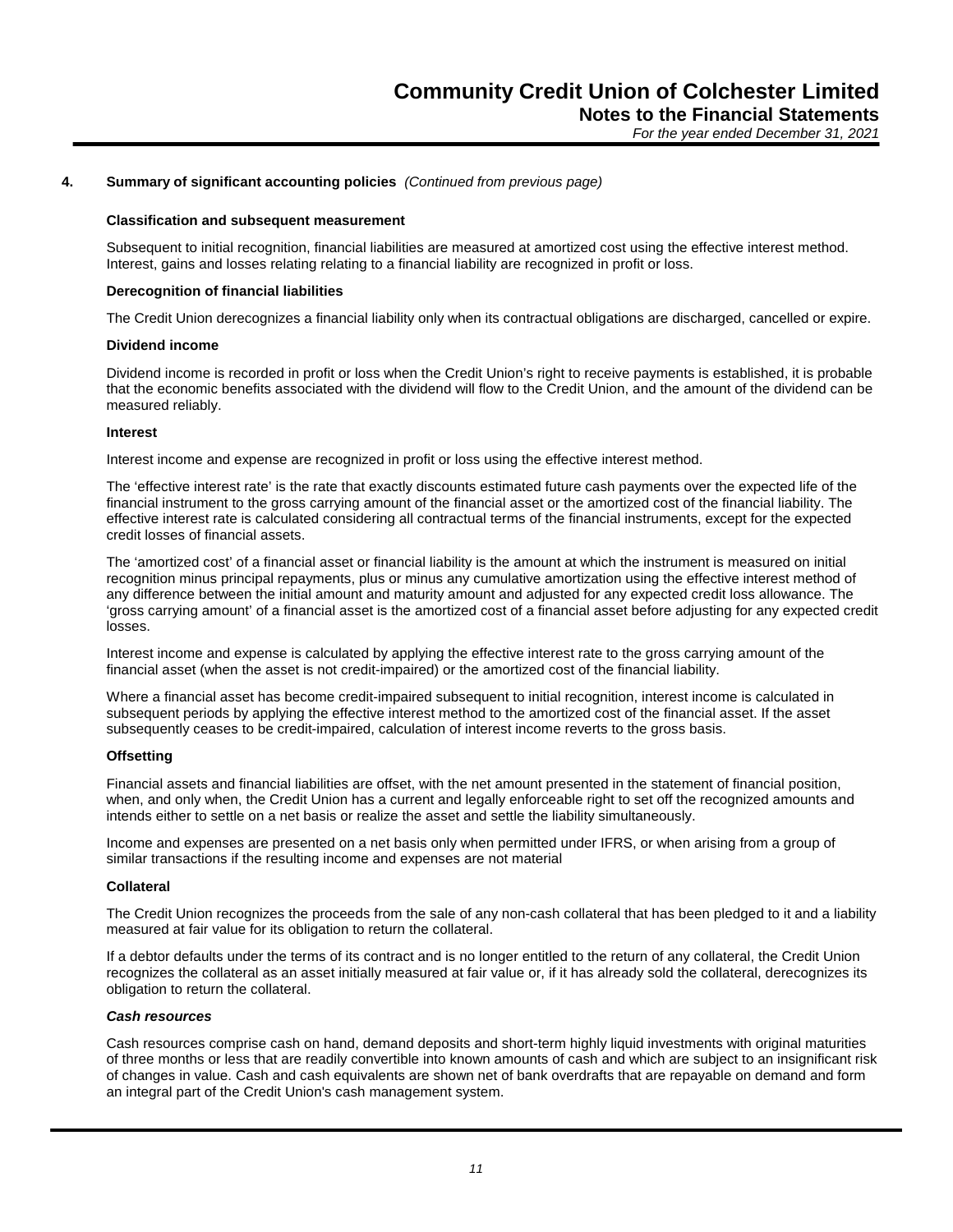#### **Classification and subsequent measurement**

Subsequent to initial recognition, financial liabilities are measured at amortized cost using the effective interest method. Interest, gains and losses relating relating to a financial liability are recognized in profit or loss.

#### **Derecognition of financial liabilities**

The Credit Union derecognizes a financial liability only when its contractual obligations are discharged, cancelled or expire.

#### **Dividend income**

Dividend income is recorded in profit or loss when the Credit Union's right to receive payments is established, it is probable that the economic benefits associated with the dividend will flow to the Credit Union, and the amount of the dividend can be measured reliably.

#### **Interest**

Interest income and expense are recognized in profit or loss using the effective interest method.

The 'effective interest rate' is the rate that exactly discounts estimated future cash payments over the expected life of the financial instrument to the gross carrying amount of the financial asset or the amortized cost of the financial liability. The effective interest rate is calculated considering all contractual terms of the financial instruments, except for the expected credit losses of financial assets.

The 'amortized cost' of a financial asset or financial liability is the amount at which the instrument is measured on initial recognition minus principal repayments, plus or minus any cumulative amortization using the effective interest method of any difference between the initial amount and maturity amount and adjusted for any expected credit loss allowance. The 'gross carrying amount' of a financial asset is the amortized cost of a financial asset before adjusting for any expected credit losses.

Interest income and expense is calculated by applying the effective interest rate to the gross carrying amount of the financial asset (when the asset is not credit-impaired) or the amortized cost of the financial liability.

Where a financial asset has become credit-impaired subsequent to initial recognition, interest income is calculated in subsequent periods by applying the effective interest method to the amortized cost of the financial asset. If the asset subsequently ceases to be credit-impaired, calculation of interest income reverts to the gross basis.

#### **Offsetting**

Financial assets and financial liabilities are offset, with the net amount presented in the statement of financial position, when, and only when, the Credit Union has a current and legally enforceable right to set off the recognized amounts and intends either to settle on a net basis or realize the asset and settle the liability simultaneously.

Income and expenses are presented on a net basis only when permitted under IFRS, or when arising from a group of similar transactions if the resulting income and expenses are not material

#### **Collateral**

The Credit Union recognizes the proceeds from the sale of any non-cash collateral that has been pledged to it and a liability measured at fair value for its obligation to return the collateral.

If a debtor defaults under the terms of its contract and is no longer entitled to the return of any collateral, the Credit Union recognizes the collateral as an asset initially measured at fair value or, if it has already sold the collateral, derecognizes its obligation to return the collateral.

#### *Cash resources*

Cash resources comprise cash on hand, demand deposits and short-term highly liquid investments with original maturities of three months or less that are readily convertible into known amounts of cash and which are subject to an insignificant risk of changes in value. Cash and cash equivalents are shown net of bank overdrafts that are repayable on demand and form an integral part of the Credit Union's cash management system.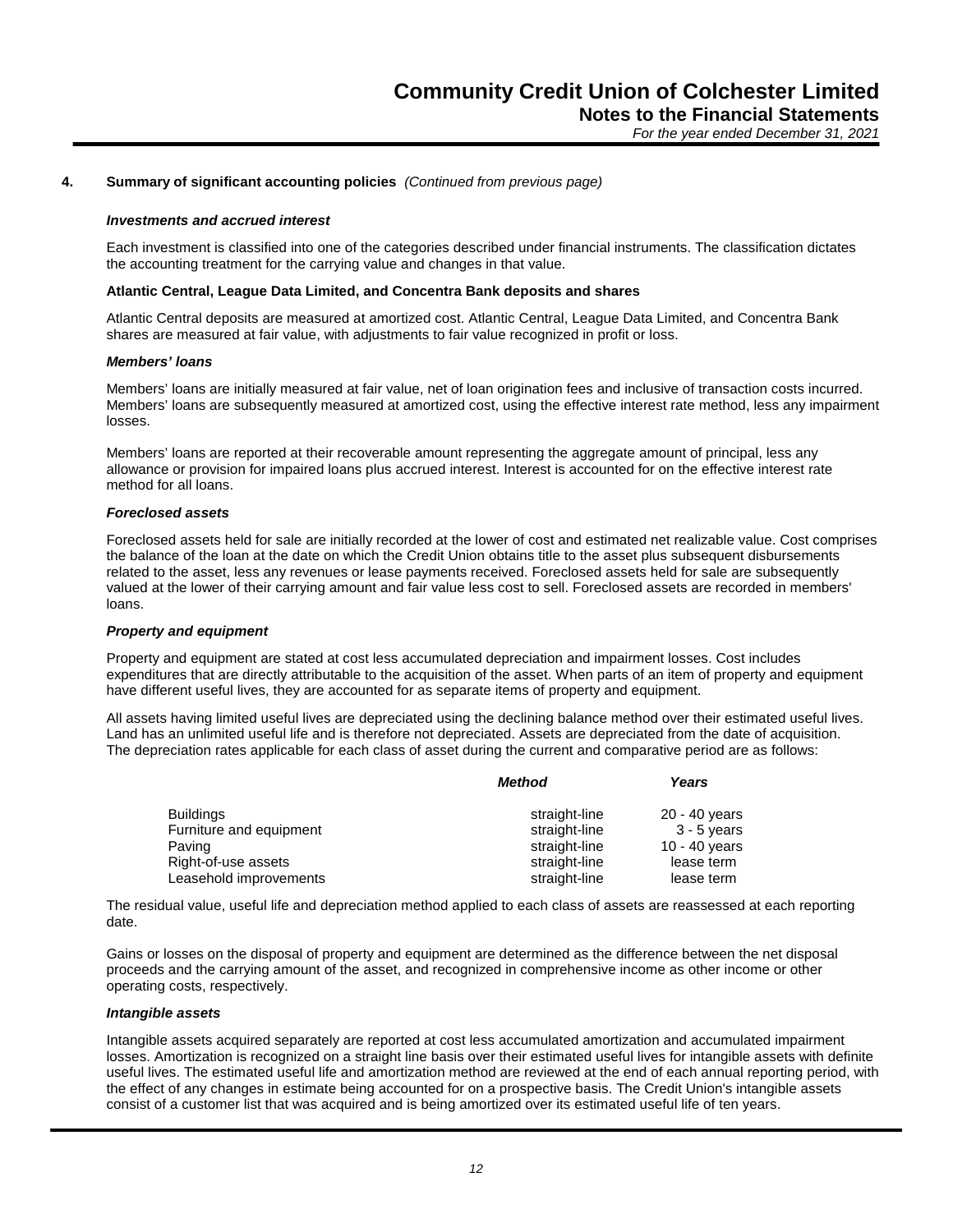#### *Investments and accrued interest*

Each investment is classified into one of the categories described under financial instruments. The classification dictates the accounting treatment for the carrying value and changes in that value.

#### **Atlantic Central, League Data Limited, and Concentra Bank deposits and shares**

Atlantic Central deposits are measured at amortized cost. Atlantic Central, League Data Limited, and Concentra Bank shares are measured at fair value, with adjustments to fair value recognized in profit or loss.

#### *Members' loans*

Members' loans are initially measured at fair value, net of loan origination fees and inclusive of transaction costs incurred. Members' loans are subsequently measured at amortized cost, using the effective interest rate method, less any impairment losses.

Members' loans are reported at their recoverable amount representing the aggregate amount of principal, less any allowance or provision for impaired loans plus accrued interest. Interest is accounted for on the effective interest rate method for all loans.

#### *Foreclosed assets*

Foreclosed assets held for sale are initially recorded at the lower of cost and estimated net realizable value. Cost comprises the balance of the loan at the date on which the Credit Union obtains title to the asset plus subsequent disbursements related to the asset, less any revenues or lease payments received. Foreclosed assets held for sale are subsequently valued at the lower of their carrying amount and fair value less cost to sell. Foreclosed assets are recorded in members' loans.

#### *Property and equipment*

Property and equipment are stated at cost less accumulated depreciation and impairment losses. Cost includes expenditures that are directly attributable to the acquisition of the asset. When parts of an item of property and equipment have different useful lives, they are accounted for as separate items of property and equipment.

All assets having limited useful lives are depreciated using the declining balance method over their estimated useful lives. Land has an unlimited useful life and is therefore not depreciated. Assets are depreciated from the date of acquisition. The depreciation rates applicable for each class of asset during the current and comparative period are as follows:

|                         | <b>Method</b> | Years         |  |
|-------------------------|---------------|---------------|--|
| <b>Buildings</b>        | straight-line | 20 - 40 years |  |
| Furniture and equipment | straight-line | $3 - 5$ years |  |
| Paving                  | straight-line | 10 - 40 years |  |
| Right-of-use assets     | straight-line | lease term    |  |
| Leasehold improvements  | straight-line | lease term    |  |

The residual value, useful life and depreciation method applied to each class of assets are reassessed at each reporting date.

Gains or losses on the disposal of property and equipment are determined as the difference between the net disposal proceeds and the carrying amount of the asset, and recognized in comprehensive income as other income or other operating costs, respectively.

#### *Intangible assets*

Intangible assets acquired separately are reported at cost less accumulated amortization and accumulated impairment losses. Amortization is recognized on a straight line basis over their estimated useful lives for intangible assets with definite useful lives. The estimated useful life and amortization method are reviewed at the end of each annual reporting period, with the effect of any changes in estimate being accounted for on a prospective basis. The Credit Union's intangible assets consist of a customer list that was acquired and is being amortized over its estimated useful life of ten years.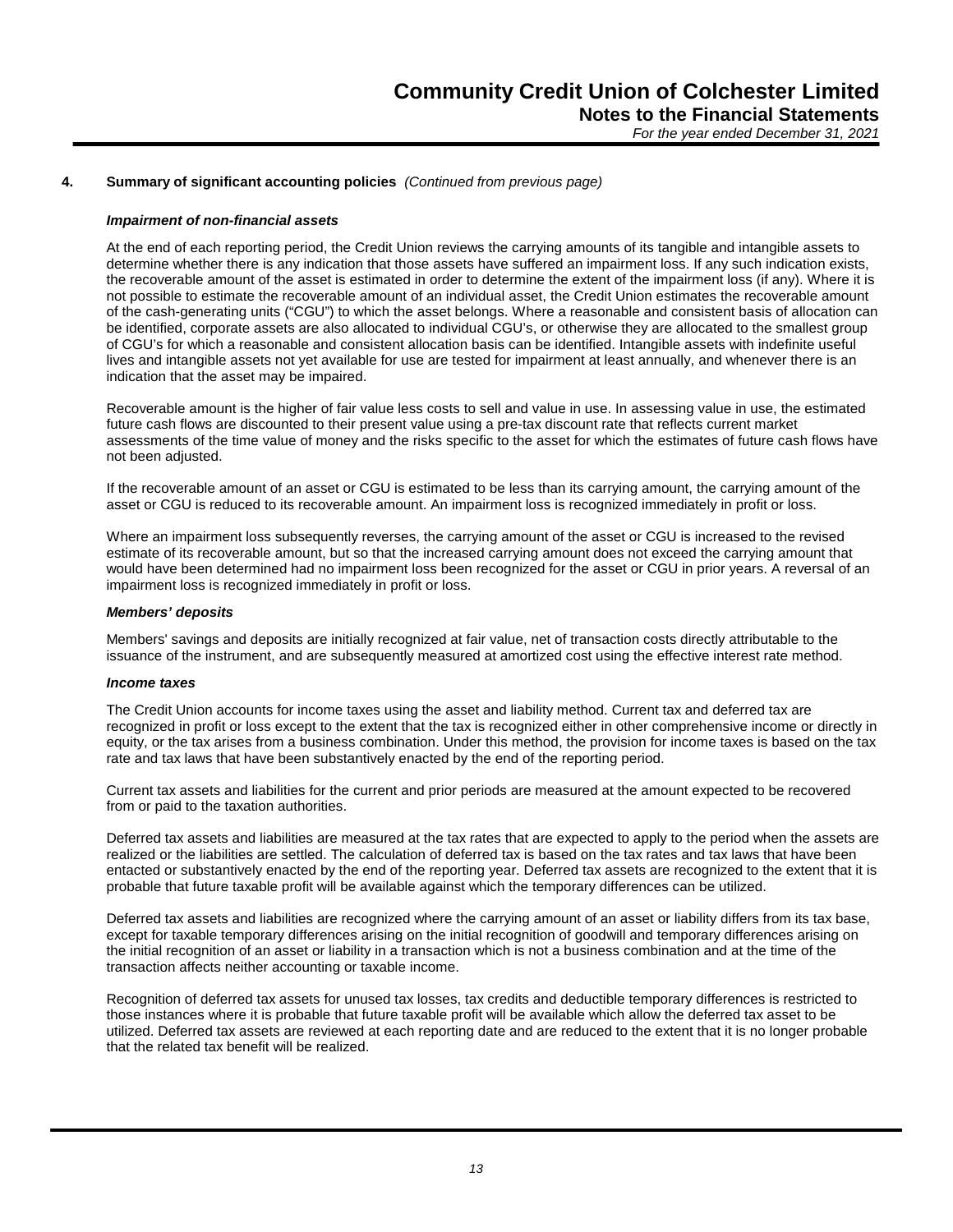#### *Impairment of non-financial assets*

At the end of each reporting period, the Credit Union reviews the carrying amounts of its tangible and intangible assets to determine whether there is any indication that those assets have suffered an impairment loss. If any such indication exists, the recoverable amount of the asset is estimated in order to determine the extent of the impairment loss (if any). Where it is not possible to estimate the recoverable amount of an individual asset, the Credit Union estimates the recoverable amount of the cash-generating units ("CGU") to which the asset belongs. Where a reasonable and consistent basis of allocation can be identified, corporate assets are also allocated to individual CGU's, or otherwise they are allocated to the smallest group of CGU's for which a reasonable and consistent allocation basis can be identified. Intangible assets with indefinite useful lives and intangible assets not yet available for use are tested for impairment at least annually, and whenever there is an indication that the asset may be impaired.

Recoverable amount is the higher of fair value less costs to sell and value in use. In assessing value in use, the estimated future cash flows are discounted to their present value using a pre-tax discount rate that reflects current market assessments of the time value of money and the risks specific to the asset for which the estimates of future cash flows have not been adjusted.

If the recoverable amount of an asset or CGU is estimated to be less than its carrying amount, the carrying amount of the asset or CGU is reduced to its recoverable amount. An impairment loss is recognized immediately in profit or loss.

Where an impairment loss subsequently reverses, the carrying amount of the asset or CGU is increased to the revised estimate of its recoverable amount, but so that the increased carrying amount does not exceed the carrying amount that would have been determined had no impairment loss been recognized for the asset or CGU in prior years. A reversal of an impairment loss is recognized immediately in profit or loss.

#### *Members' deposits*

Members' savings and deposits are initially recognized at fair value, net of transaction costs directly attributable to the issuance of the instrument, and are subsequently measured at amortized cost using the effective interest rate method.

#### *Income taxes*

The Credit Union accounts for income taxes using the asset and liability method. Current tax and deferred tax are recognized in profit or loss except to the extent that the tax is recognized either in other comprehensive income or directly in equity, or the tax arises from a business combination. Under this method, the provision for income taxes is based on the tax rate and tax laws that have been substantively enacted by the end of the reporting period.

Current tax assets and liabilities for the current and prior periods are measured at the amount expected to be recovered from or paid to the taxation authorities.

Deferred tax assets and liabilities are measured at the tax rates that are expected to apply to the period when the assets are realized or the liabilities are settled. The calculation of deferred tax is based on the tax rates and tax laws that have been entacted or substantively enacted by the end of the reporting year. Deferred tax assets are recognized to the extent that it is probable that future taxable profit will be available against which the temporary differences can be utilized.

Deferred tax assets and liabilities are recognized where the carrying amount of an asset or liability differs from its tax base, except for taxable temporary differences arising on the initial recognition of goodwill and temporary differences arising on the initial recognition of an asset or liability in a transaction which is not a business combination and at the time of the transaction affects neither accounting or taxable income.

Recognition of deferred tax assets for unused tax losses, tax credits and deductible temporary differences is restricted to those instances where it is probable that future taxable profit will be available which allow the deferred tax asset to be utilized. Deferred tax assets are reviewed at each reporting date and are reduced to the extent that it is no longer probable that the related tax benefit will be realized.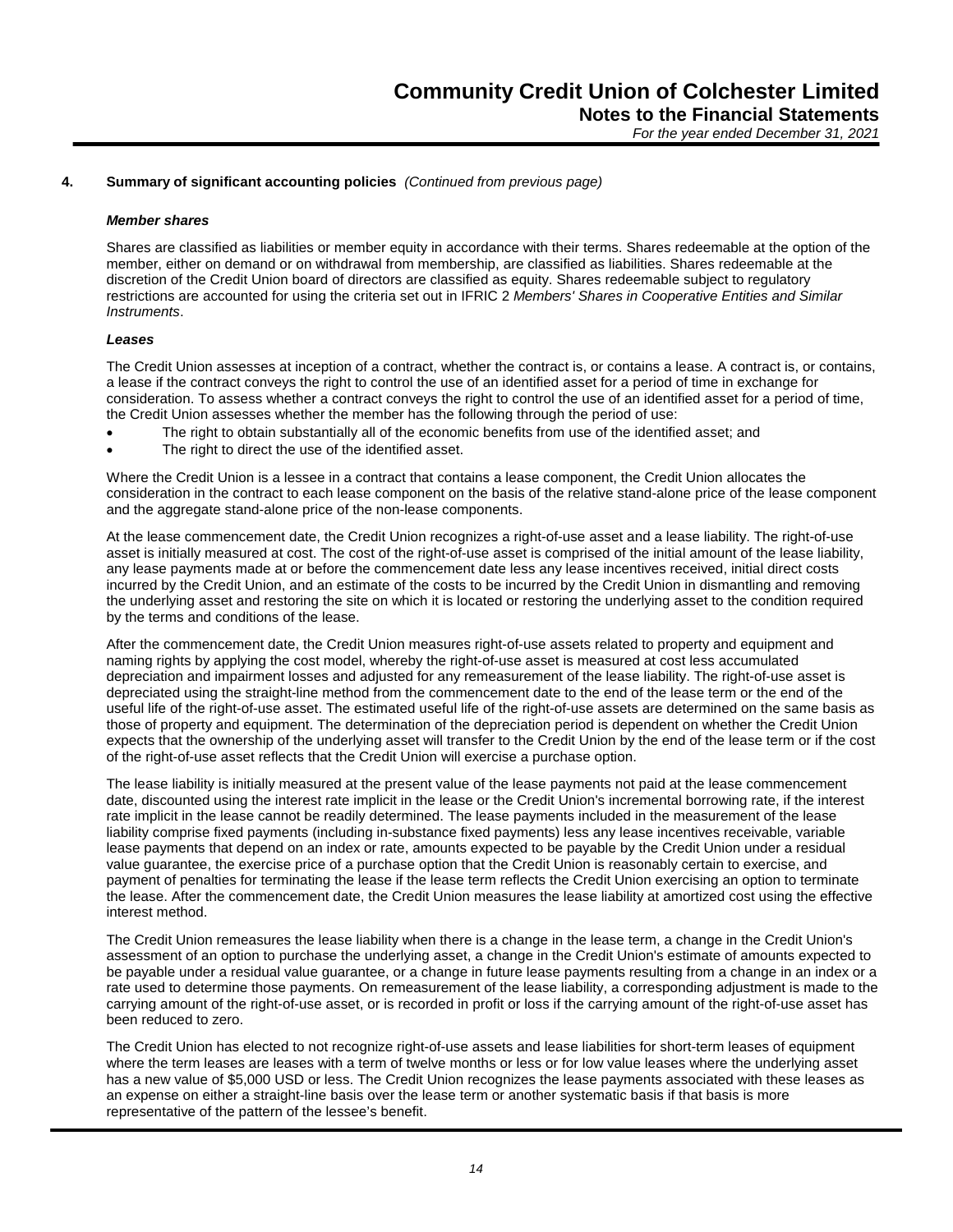#### *Member shares*

Shares are classified as liabilities or member equity in accordance with their terms. Shares redeemable at the option of the member, either on demand or on withdrawal from membership, are classified as liabilities. Shares redeemable at the discretion of the Credit Union board of directors are classified as equity. Shares redeemable subject to regulatory restrictions are accounted for using the criteria set out in IFRIC 2 *Members' Shares in Cooperative Entities and Similar Instruments*.

#### *Leases*

The Credit Union assesses at inception of a contract, whether the contract is, or contains a lease. A contract is, or contains, a lease if the contract conveys the right to control the use of an identified asset for a period of time in exchange for consideration. To assess whether a contract conveys the right to control the use of an identified asset for a period of time, the Credit Union assesses whether the member has the following through the period of use:

- The right to obtain substantially all of the economic benefits from use of the identified asset; and
- The right to direct the use of the identified asset.

Where the Credit Union is a lessee in a contract that contains a lease component, the Credit Union allocates the consideration in the contract to each lease component on the basis of the relative stand-alone price of the lease component and the aggregate stand-alone price of the non-lease components.

At the lease commencement date, the Credit Union recognizes a right-of-use asset and a lease liability. The right-of-use asset is initially measured at cost. The cost of the right-of-use asset is comprised of the initial amount of the lease liability, any lease payments made at or before the commencement date less any lease incentives received, initial direct costs incurred by the Credit Union, and an estimate of the costs to be incurred by the Credit Union in dismantling and removing the underlying asset and restoring the site on which it is located or restoring the underlying asset to the condition required by the terms and conditions of the lease.

After the commencement date, the Credit Union measures right-of-use assets related to property and equipment and naming rights by applying the cost model, whereby the right-of-use asset is measured at cost less accumulated depreciation and impairment losses and adjusted for any remeasurement of the lease liability. The right-of-use asset is depreciated using the straight-line method from the commencement date to the end of the lease term or the end of the useful life of the right-of-use asset. The estimated useful life of the right-of-use assets are determined on the same basis as those of property and equipment. The determination of the depreciation period is dependent on whether the Credit Union expects that the ownership of the underlying asset will transfer to the Credit Union by the end of the lease term or if the cost of the right-of-use asset reflects that the Credit Union will exercise a purchase option.

The lease liability is initially measured at the present value of the lease payments not paid at the lease commencement date, discounted using the interest rate implicit in the lease or the Credit Union's incremental borrowing rate, if the interest rate implicit in the lease cannot be readily determined. The lease payments included in the measurement of the lease liability comprise fixed payments (including in-substance fixed payments) less any lease incentives receivable, variable lease payments that depend on an index or rate, amounts expected to be payable by the Credit Union under a residual value guarantee, the exercise price of a purchase option that the Credit Union is reasonably certain to exercise, and payment of penalties for terminating the lease if the lease term reflects the Credit Union exercising an option to terminate the lease. After the commencement date, the Credit Union measures the lease liability at amortized cost using the effective interest method.

The Credit Union remeasures the lease liability when there is a change in the lease term, a change in the Credit Union's assessment of an option to purchase the underlying asset, a change in the Credit Union's estimate of amounts expected to be payable under a residual value guarantee, or a change in future lease payments resulting from a change in an index or a rate used to determine those payments. On remeasurement of the lease liability, a corresponding adjustment is made to the carrying amount of the right-of-use asset, or is recorded in profit or loss if the carrying amount of the right-of-use asset has been reduced to zero.

The Credit Union has elected to not recognize right-of-use assets and lease liabilities for short-term leases of equipment where the term leases are leases with a term of twelve months or less or for low value leases where the underlying asset has a new value of \$5,000 USD or less. The Credit Union recognizes the lease payments associated with these leases as an expense on either a straight-line basis over the lease term or another systematic basis if that basis is more representative of the pattern of the lessee's benefit.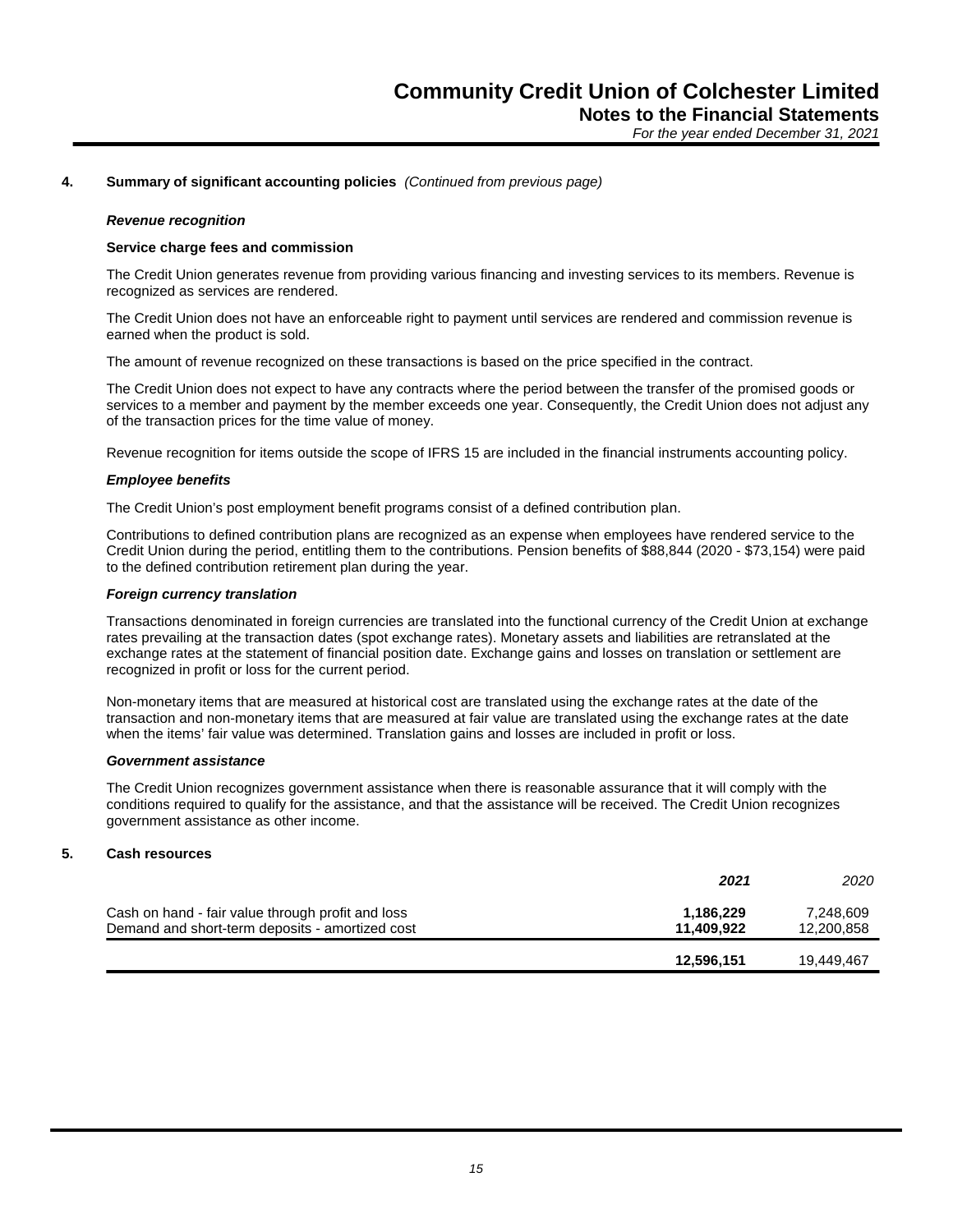#### *Revenue recognition*

#### **Service charge fees and commission**

The Credit Union generates revenue from providing various financing and investing services to its members. Revenue is recognized as services are rendered.

The Credit Union does not have an enforceable right to payment until services are rendered and commission revenue is earned when the product is sold.

The amount of revenue recognized on these transactions is based on the price specified in the contract.

The Credit Union does not expect to have any contracts where the period between the transfer of the promised goods or services to a member and payment by the member exceeds one year. Consequently, the Credit Union does not adjust any of the transaction prices for the time value of money.

Revenue recognition for items outside the scope of IFRS 15 are included in the financial instruments accounting policy.

#### *Employee benefits*

The Credit Union's post employment benefit programs consist of a defined contribution plan.

Contributions to defined contribution plans are recognized as an expense when employees have rendered service to the Credit Union during the period, entitling them to the contributions. Pension benefits of \$88,844 (2020 - \$73,154) were paid to the defined contribution retirement plan during the year.

#### *Foreign currency translation*

Transactions denominated in foreign currencies are translated into the functional currency of the Credit Union at exchange rates prevailing at the transaction dates (spot exchange rates). Monetary assets and liabilities are retranslated at the exchange rates at the statement of financial position date. Exchange gains and losses on translation or settlement are recognized in profit or loss for the current period.

Non-monetary items that are measured at historical cost are translated using the exchange rates at the date of the transaction and non-monetary items that are measured at fair value are translated using the exchange rates at the date when the items' fair value was determined. Translation gains and losses are included in profit or loss.

#### *Government assistance*

The Credit Union recognizes government assistance when there is reasonable assurance that it will comply with the conditions required to qualify for the assistance, and that the assistance will be received. The Credit Union recognizes government assistance as other income.

#### **5. Cash resources**

|                                                                                                      | 2021                    | 2020                    |
|------------------------------------------------------------------------------------------------------|-------------------------|-------------------------|
| Cash on hand - fair value through profit and loss<br>Demand and short-term deposits - amortized cost | 1,186,229<br>11.409.922 | 7,248,609<br>12,200,858 |
|                                                                                                      | 12,596,151              | 19,449,467              |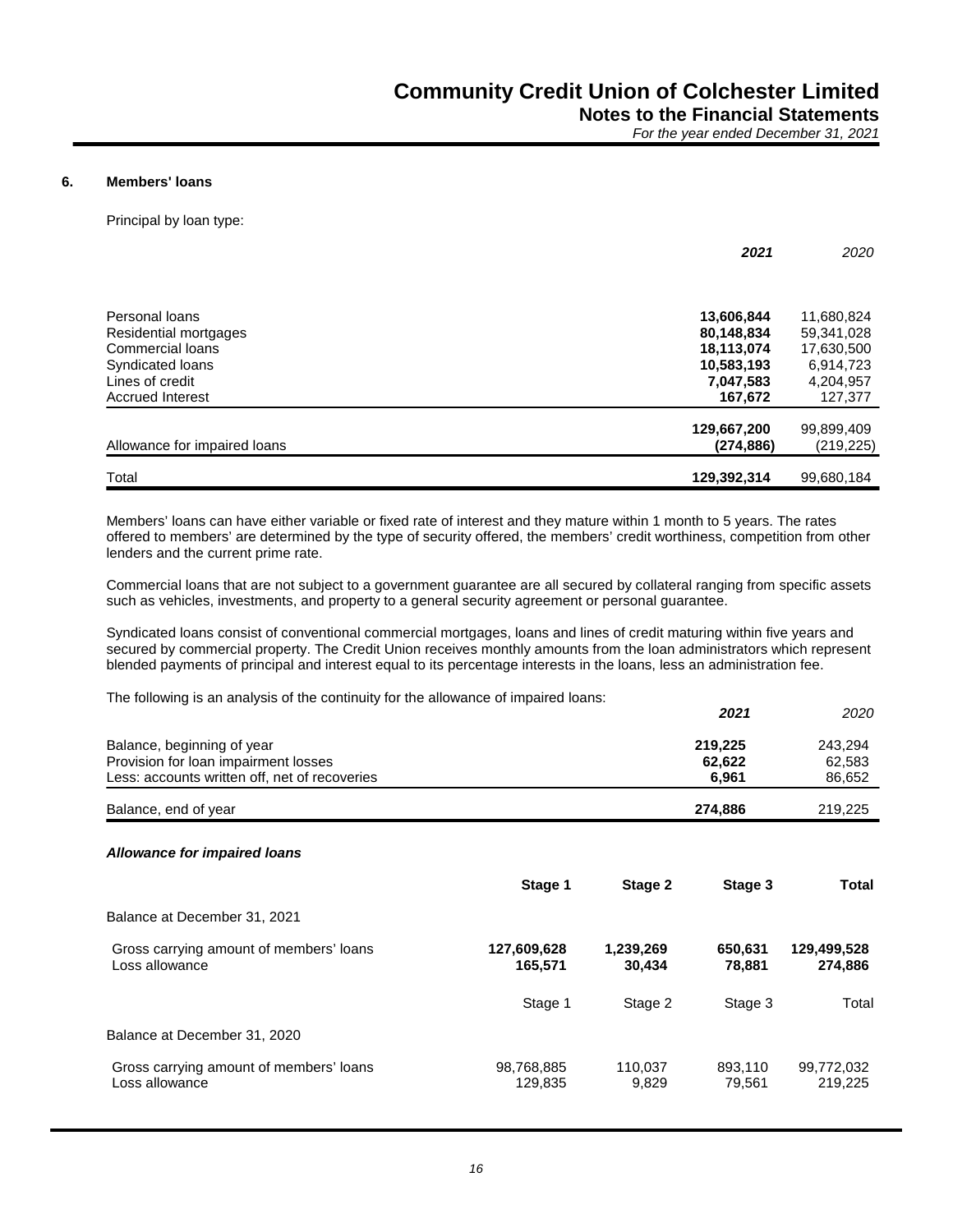#### **6. Members' loans**

Principal by loan type:

| Allowance for impaired loans | 129,667,200<br>(274, 886) | 99,899,409<br>(219, 225) |
|------------------------------|---------------------------|--------------------------|
|                              |                           |                          |
| <b>Accrued Interest</b>      | 167,672                   | 127,377                  |
| Lines of credit              | 7,047,583                 | 4,204,957                |
| Syndicated loans             | 10,583,193                | 6,914,723                |
| Commercial loans             | 18,113,074                | 17,630,500               |
| Residential mortgages        | 80,148,834                | 59,341,028               |
| Personal loans               | 13,606,844                | 11,680,824               |
|                              |                           |                          |
|                              | 2021                      | 2020                     |

Members' loans can have either variable or fixed rate of interest and they mature within 1 month to 5 years. The rates offered to members' are determined by the type of security offered, the members' credit worthiness, competition from other lenders and the current prime rate.

Commercial loans that are not subject to a government guarantee are all secured by collateral ranging from specific assets such as vehicles, investments, and property to a general security agreement or personal guarantee.

Syndicated loans consist of conventional commercial mortgages, loans and lines of credit maturing within five years and secured by commercial property. The Credit Union receives monthly amounts from the loan administrators which represent blended payments of principal and interest equal to its percentage interests in the loans, less an administration fee.

The following is an analysis of the continuity for the allowance of impaired loans:

| Balance, end of year                                                                                                | 274.886                    | 219.225                     |
|---------------------------------------------------------------------------------------------------------------------|----------------------------|-----------------------------|
| Balance, beginning of year<br>Provision for loan impairment losses<br>Less: accounts written off, net of recoveries | 219.225<br>62,622<br>6.961 | 243,294<br>62,583<br>86,652 |
|                                                                                                                     | 2021                       | 2020                        |

#### *Allowance for impaired loans*

|                                                           | Stage 1                | Stage 2             | Stage 3           | Total                  |
|-----------------------------------------------------------|------------------------|---------------------|-------------------|------------------------|
| Balance at December 31, 2021                              |                        |                     |                   |                        |
| Gross carrying amount of members' loans<br>Loss allowance | 127,609,628<br>165.571 | 1,239,269<br>30.434 | 650.631<br>78.881 | 129,499,528<br>274.886 |
|                                                           | Stage 1                | Stage 2             | Stage 3           | Total                  |
| Balance at December 31, 2020                              |                        |                     |                   |                        |
| Gross carrying amount of members' loans<br>Loss allowance | 98,768,885<br>129,835  | 110.037<br>9.829    | 893.110<br>79.561 | 99,772,032<br>219.225  |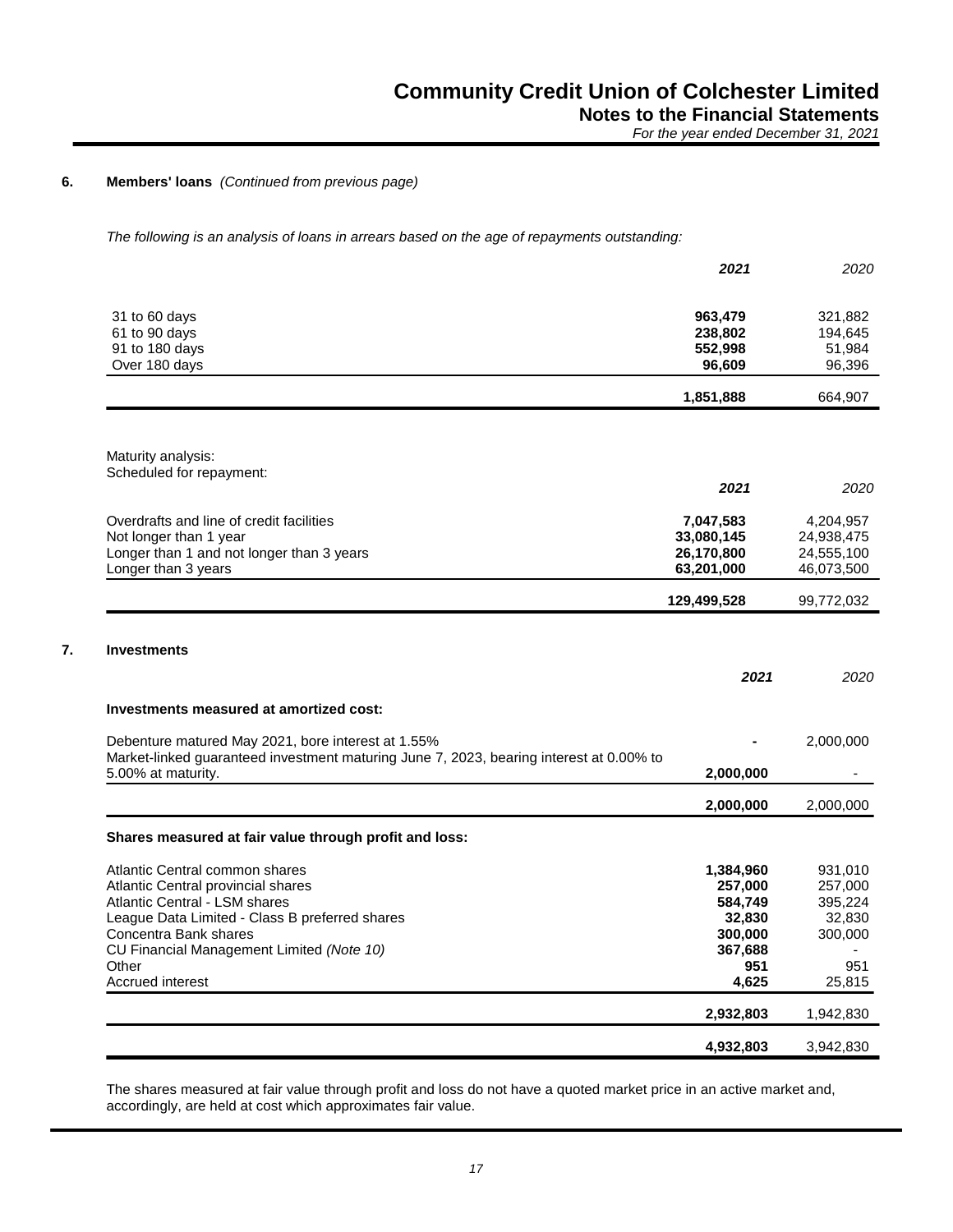### **6. Members' loans** *(Continued from previous page)*

*The following is an analysis of loans in arrears based on the age of repayments outstanding:* 

|                                                                                                                                               | 2021                 |                                                                   |
|-----------------------------------------------------------------------------------------------------------------------------------------------|----------------------|-------------------------------------------------------------------|
| 31 to 60 days                                                                                                                                 | 963,479              | 321,882                                                           |
| 61 to 90 days                                                                                                                                 | 238,802              | 194,645                                                           |
| 91 to 180 days                                                                                                                                | 552,998              | 51,984                                                            |
| Over 180 days                                                                                                                                 | 96,609               | 96,396                                                            |
|                                                                                                                                               | 1,851,888            | 664,907                                                           |
|                                                                                                                                               |                      |                                                                   |
| Maturity analysis:                                                                                                                            |                      |                                                                   |
| Scheduled for repayment:                                                                                                                      |                      |                                                                   |
|                                                                                                                                               | 2021                 |                                                                   |
| Overdrafts and line of credit facilities                                                                                                      | 7,047,583            | 4,204,957                                                         |
| Not longer than 1 year                                                                                                                        | 33,080,145           | 24,938,475                                                        |
| Longer than 1 and not longer than 3 years                                                                                                     | 26,170,800           | 24,555,100                                                        |
| Longer than 3 years                                                                                                                           | 63,201,000           | 46,073,500                                                        |
|                                                                                                                                               | 129,499,528          | 99,772,032                                                        |
|                                                                                                                                               |                      |                                                                   |
| <b>Investments</b>                                                                                                                            |                      |                                                                   |
|                                                                                                                                               | 2021                 |                                                                   |
| Investments measured at amortized cost:                                                                                                       |                      |                                                                   |
|                                                                                                                                               |                      |                                                                   |
| Debenture matured May 2021, bore interest at 1.55%<br>Market-linked guaranteed investment maturing June 7, 2023, bearing interest at 0.00% to |                      |                                                                   |
| 5.00% at maturity.                                                                                                                            | 2,000,000            |                                                                   |
|                                                                                                                                               | 2,000,000            |                                                                   |
| Shares measured at fair value through profit and loss:                                                                                        |                      |                                                                   |
|                                                                                                                                               |                      |                                                                   |
| Atlantic Central common shares<br>Atlantic Central provincial shares                                                                          | 1,384,960<br>257,000 |                                                                   |
| Atlantic Central - LSM shares                                                                                                                 | 584,749              |                                                                   |
| League Data Limited - Class B preferred shares                                                                                                | 32,830               | 2,000,000<br>2,000,000<br>931,010<br>257,000<br>395,224<br>32,830 |
| Concentra Bank shares                                                                                                                         | 300,000              | 300,000                                                           |
| CU Financial Management Limited (Note 10)                                                                                                     | 367,688              |                                                                   |
| Other                                                                                                                                         | 951                  |                                                                   |
| Accrued interest                                                                                                                              | 4,625                | 25,815                                                            |
|                                                                                                                                               | 2,932,803            | 1,942,830                                                         |

The shares measured at fair value through profit and loss do not have a quoted market price in an active market and, accordingly, are held at cost which approximates fair value.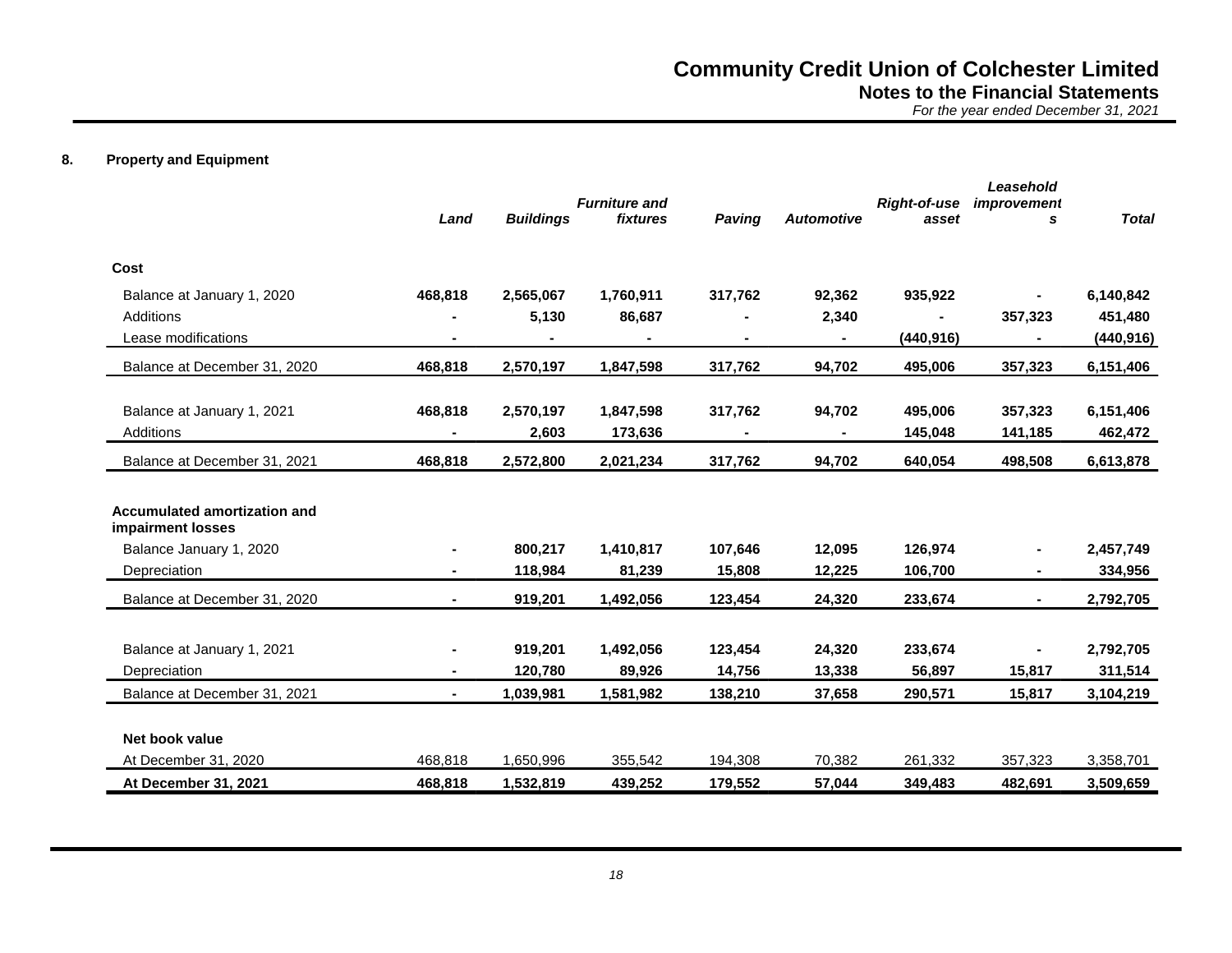## **8. Property and Equipment**

|                                                          |                |                  |                                  |                |                   |                              | Leasehold        |              |
|----------------------------------------------------------|----------------|------------------|----------------------------------|----------------|-------------------|------------------------------|------------------|--------------|
|                                                          | Land           | <b>Buildings</b> | <b>Furniture and</b><br>fixtures | <b>Paving</b>  | <b>Automotive</b> | <b>Right-of-use</b><br>asset | improvement<br>s | <b>Total</b> |
| Cost                                                     |                |                  |                                  |                |                   |                              |                  |              |
| Balance at January 1, 2020                               | 468,818        | 2,565,067        | 1,760,911                        | 317,762        | 92,362            | 935,922                      | $\blacksquare$   | 6,140,842    |
| Additions                                                |                | 5,130            | 86,687                           |                | 2,340             |                              | 357,323          | 451,480      |
| Lease modifications                                      |                |                  |                                  | $\blacksquare$ | $\blacksquare$    | (440, 916)                   | $\blacksquare$   | (440, 916)   |
| Balance at December 31, 2020                             | 468,818        | 2,570,197        | 1,847,598                        | 317,762        | 94,702            | 495,006                      | 357,323          | 6,151,406    |
| Balance at January 1, 2021                               | 468,818        | 2,570,197        | 1,847,598                        | 317,762        | 94,702            | 495,006                      | 357,323          | 6,151,406    |
| <b>Additions</b>                                         |                | 2,603            | 173,636                          |                |                   | 145,048                      | 141,185          | 462,472      |
| Balance at December 31, 2021                             | 468,818        | 2,572,800        | 2,021,234                        | 317,762        | 94,702            | 640,054                      | 498,508          | 6,613,878    |
| <b>Accumulated amortization and</b><br>impairment losses |                |                  |                                  |                |                   |                              |                  |              |
| Balance January 1, 2020                                  |                | 800,217          | 1,410,817                        | 107,646        | 12,095            | 126,974                      |                  | 2,457,749    |
| Depreciation                                             |                | 118,984          | 81,239                           | 15,808         | 12,225            | 106,700                      | ۰                | 334,956      |
| Balance at December 31, 2020                             |                | 919,201          | 1,492,056                        | 123,454        | 24,320            | 233,674                      |                  | 2,792,705    |
| Balance at January 1, 2021                               |                | 919,201          | 1,492,056                        | 123,454        | 24,320            | 233,674                      |                  | 2,792,705    |
| Depreciation                                             |                | 120,780          | 89,926                           | 14,756         | 13,338            | 56,897                       | 15,817           | 311,514      |
| Balance at December 31, 2021                             | $\blacksquare$ | 1,039,981        | 1,581,982                        | 138,210        | 37,658            | 290,571                      | 15,817           | 3,104,219    |
| Net book value                                           |                |                  |                                  |                |                   |                              |                  |              |
| At December 31, 2020                                     | 468,818        | 1,650,996        | 355,542                          | 194,308        | 70,382            | 261,332                      | 357,323          | 3,358,701    |
| At December 31, 2021                                     | 468,818        | 1,532,819        | 439,252                          | 179,552        | 57,044            | 349,483                      | 482,691          | 3,509,659    |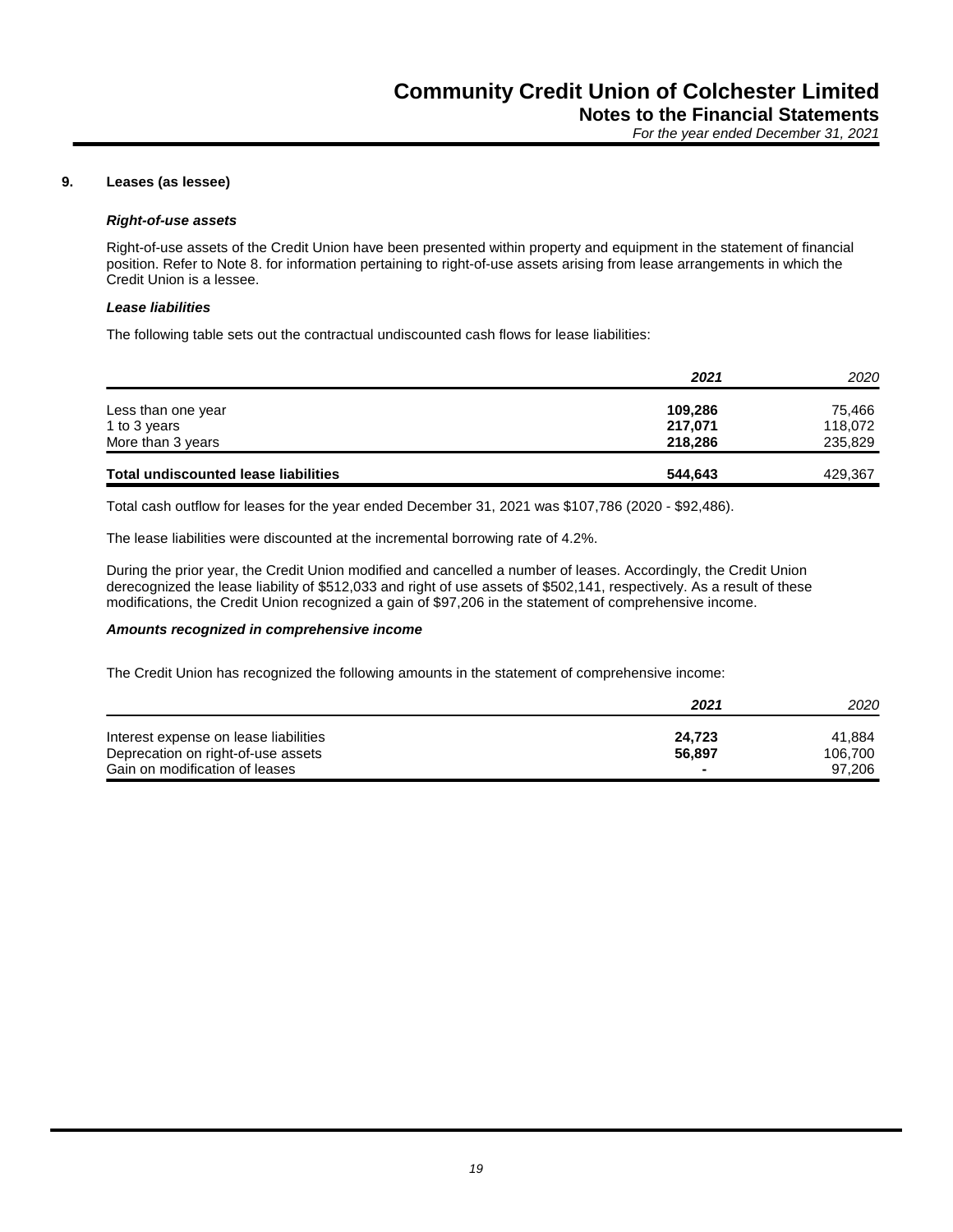#### **9. Leases (as lessee)**

#### *Right-of-use assets*

Right-of-use assets of the Credit Union have been presented within property and equipment in the statement of financial position. Refer to Note 8. for information pertaining to right-of-use assets arising from lease arrangements in which the Credit Union is a lessee.

#### *Lease liabilities*

The following table sets out the contractual undiscounted cash flows for lease liabilities:

|                                      | 2021    | 2020    |
|--------------------------------------|---------|---------|
| Less than one year                   | 109.286 | 75.466  |
| 1 to 3 years                         | 217,071 | 118,072 |
| More than 3 years                    | 218,286 | 235,829 |
| Total undiscounted lease liabilities | 544,643 | 429,367 |

Total cash outflow for leases for the year ended December 31, 2021 was \$107,786 (2020 - \$92,486).

The lease liabilities were discounted at the incremental borrowing rate of 4.2%.

During the prior year, the Credit Union modified and cancelled a number of leases. Accordingly, the Credit Union derecognized the lease liability of \$512,033 and right of use assets of \$502,141, respectively. As a result of these modifications, the Credit Union recognized a gain of \$97,206 in the statement of comprehensive income.

#### *Amounts recognized in comprehensive income*

The Credit Union has recognized the following amounts in the statement of comprehensive income:

|                                       | 2021   | 2020    |
|---------------------------------------|--------|---------|
| Interest expense on lease liabilities | 24.723 | 41.884  |
| Deprecation on right-of-use assets    | 56.897 | 106.700 |
| Gain on modification of leases        |        | 97.206  |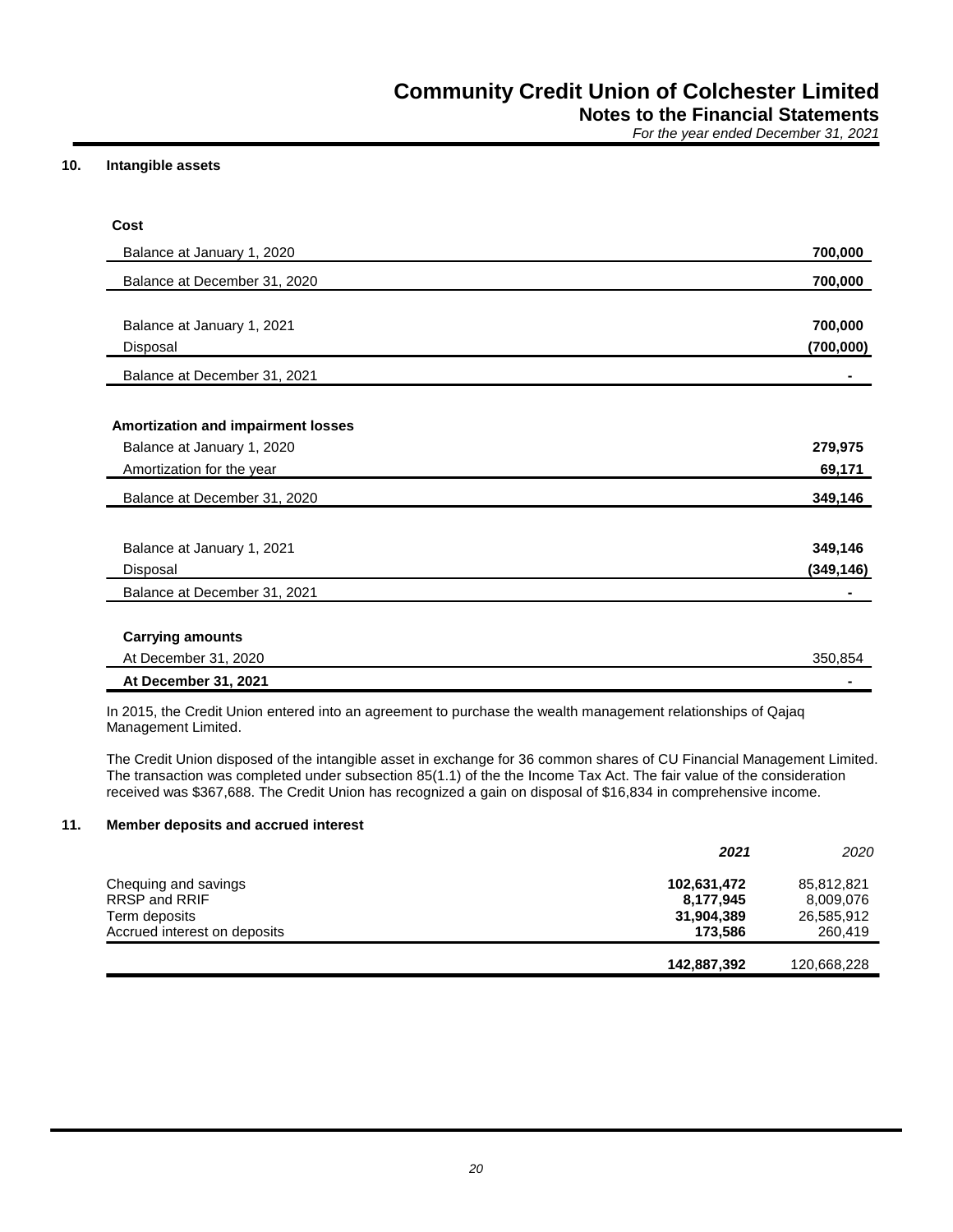#### **10. Intangible assets**

| Cost                                      |            |
|-------------------------------------------|------------|
| Balance at January 1, 2020                | 700,000    |
| Balance at December 31, 2020              | 700,000    |
| Balance at January 1, 2021                | 700,000    |
| Disposal                                  | (700, 000) |
| Balance at December 31, 2021              |            |
|                                           |            |
| <b>Amortization and impairment losses</b> |            |
| Balance at January 1, 2020                | 279,975    |
| Amortization for the year                 | 69,171     |
| Balance at December 31, 2020              | 349,146    |
|                                           |            |
| Balance at January 1, 2021                | 349,146    |
| Disposal                                  | (349, 146) |
| Balance at December 31, 2021              |            |
|                                           |            |
| <b>Carrying amounts</b>                   |            |
| At December 31, 2020                      | 350,854    |
| At December 31, 2021                      |            |

In 2015, the Credit Union entered into an agreement to purchase the wealth management relationships of Qajaq Management Limited.

The Credit Union disposed of the intangible asset in exchange for 36 common shares of CU Financial Management Limited. The transaction was completed under subsection 85(1.1) of the the Income Tax Act. The fair value of the consideration received was \$367,688. The Credit Union has recognized a gain on disposal of \$16,834 in comprehensive income.

#### **11. Member deposits and accrued interest**

|                              | 2021        | 2020        |
|------------------------------|-------------|-------------|
| Chequing and savings         | 102,631,472 | 85,812,821  |
| <b>RRSP and RRIF</b>         | 8,177,945   | 8,009,076   |
| Term deposits                | 31,904,389  | 26,585,912  |
| Accrued interest on deposits | 173.586     | 260,419     |
|                              | 142,887,392 | 120,668,228 |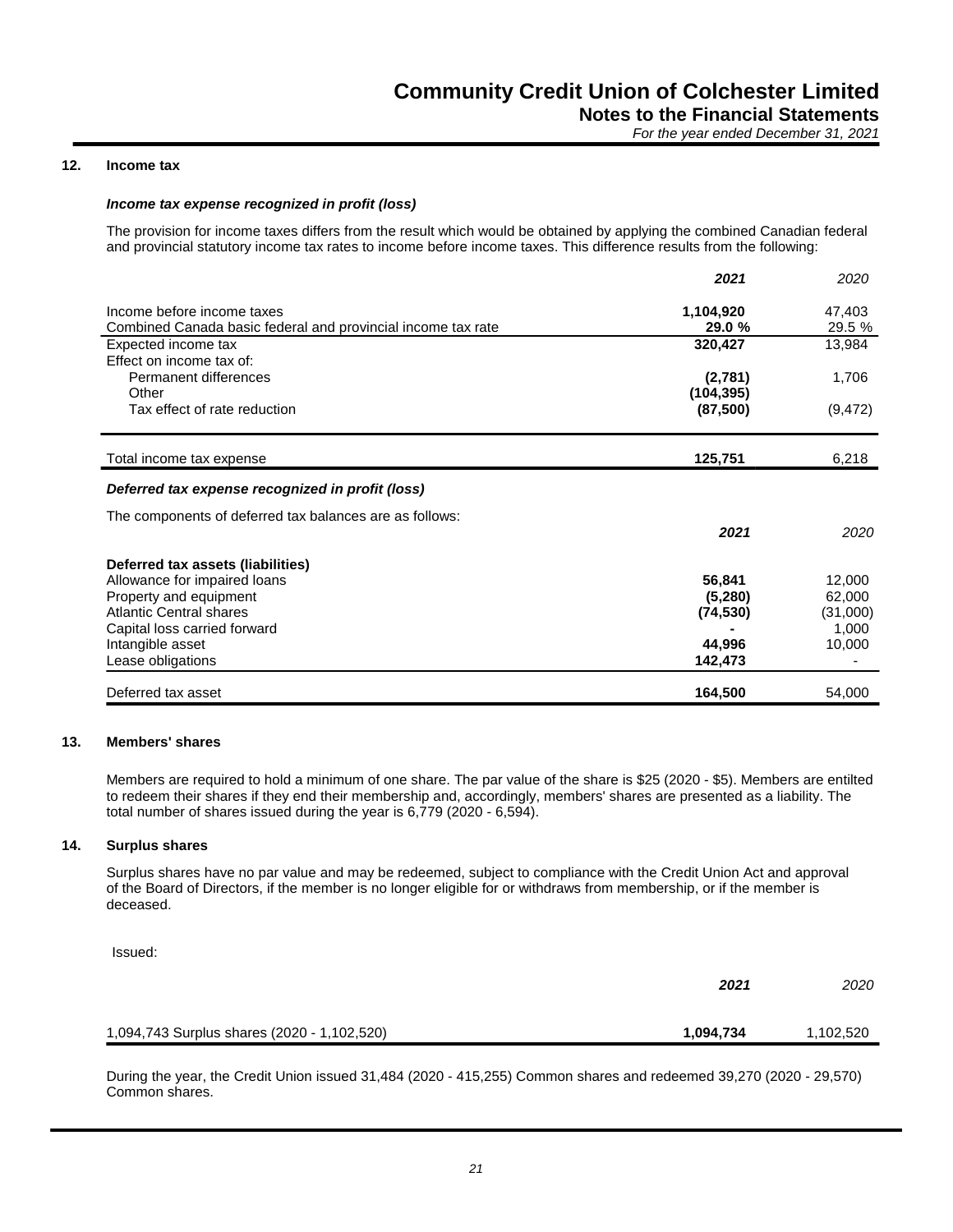#### **12. Income tax**

#### *Income tax expense recognized in profit (loss)*

The provision for income taxes differs from the result which would be obtained by applying the combined Canadian federal and provincial statutory income tax rates to income before income taxes. This difference results from the following:

|                                                                                            | 2021                  | 2020             |
|--------------------------------------------------------------------------------------------|-----------------------|------------------|
| Income before income taxes<br>Combined Canada basic federal and provincial income tax rate | 1,104,920<br>29.0 %   | 47,403<br>29.5 % |
| Expected income tax                                                                        | 320,427               | 13,984           |
| Effect on income tax of:<br>Permanent differences<br>Other                                 | (2,781)<br>(104, 395) | 1,706            |
| Tax effect of rate reduction                                                               | (87, 500)             | (9, 472)         |
| Total income tax expense                                                                   | 125,751               | 6,218            |
| Deferred tax expense recognized in profit (loss)                                           |                       |                  |
| The components of deferred tax balances are as follows:                                    |                       |                  |
|                                                                                            | 2021                  | 2020             |
| Deferred tax assets (liabilities)                                                          |                       |                  |
| Allowance for impaired loans                                                               | 56,841                | 12,000           |
| Property and equipment                                                                     | (5,280)               | 62,000           |
| <b>Atlantic Central shares</b>                                                             | (74, 530)             | (31,000)         |
| Capital loss carried forward                                                               |                       | 1,000            |
| Intangible asset                                                                           | 44,996                | 10,000           |
| Lease obligations                                                                          | 142,473               |                  |
| Deferred tax asset                                                                         | 164,500               | 54,000           |

#### **13. Members' shares**

Members are required to hold a minimum of one share. The par value of the share is \$25 (2020 - \$5). Members are entilted to redeem their shares if they end their membership and, accordingly, members' shares are presented as a liability. The total number of shares issued during the year is 6,779 (2020 - 6,594).

#### **14. Surplus shares**

Surplus shares have no par value and may be redeemed, subject to compliance with the Credit Union Act and approval of the Board of Directors, if the member is no longer eligible for or withdraws from membership, or if the member is deceased.

Issued:

|                                             | 2021      | 2020      |
|---------------------------------------------|-----------|-----------|
|                                             |           |           |
| 1,094,743 Surplus shares (2020 - 1,102,520) | 1.094.734 | 1,102,520 |

During the year, the Credit Union issued 31,484 (2020 - 415,255) Common shares and redeemed 39,270 (2020 - 29,570) Common shares.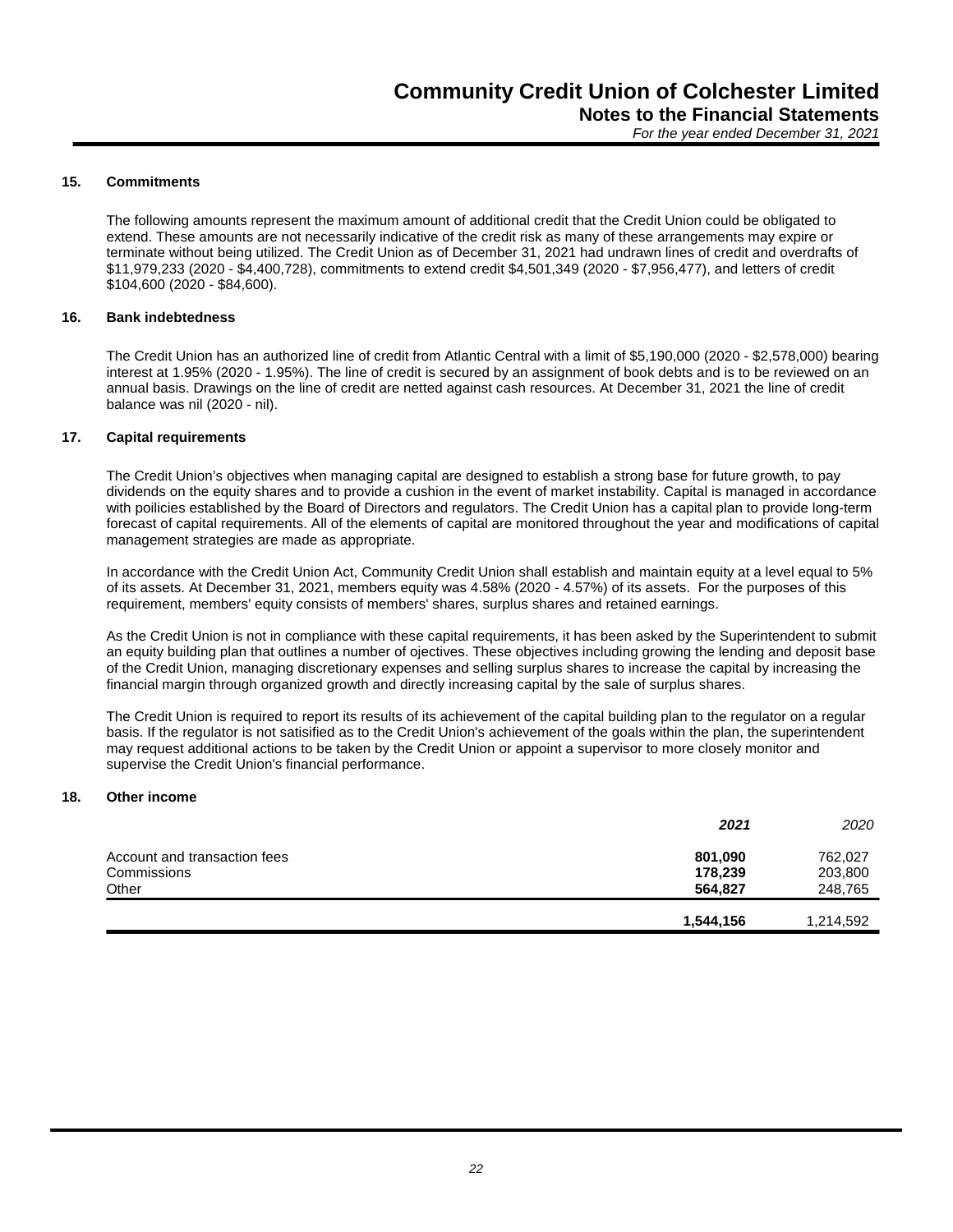#### **15. Commitments**

The following amounts represent the maximum amount of additional credit that the Credit Union could be obligated to extend. These amounts are not necessarily indicative of the credit risk as many of these arrangements may expire or terminate without being utilized. The Credit Union as of December 31, 2021 had undrawn lines of credit and overdrafts of \$11,979,233 (2020 - \$4,400,728), commitments to extend credit \$4,501,349 (2020 - \$7,956,477), and letters of credit \$104,600 (2020 - \$84,600).

#### **16. Bank indebtedness**

The Credit Union has an authorized line of credit from Atlantic Central with a limit of \$5,190,000 (2020 - \$2,578,000) bearing interest at 1.95% (2020 - 1.95%). The line of credit is secured by an assignment of book debts and is to be reviewed on an annual basis. Drawings on the line of credit are netted against cash resources. At December 31, 2021 the line of credit balance was nil (2020 - nil).

### **17. Capital requirements**

The Credit Union's objectives when managing capital are designed to establish a strong base for future growth, to pay dividends on the equity shares and to provide a cushion in the event of market instability. Capital is managed in accordance with poilicies established by the Board of Directors and regulators. The Credit Union has a capital plan to provide long-term forecast of capital requirements. All of the elements of capital are monitored throughout the year and modifications of capital management strategies are made as appropriate.

In accordance with the Credit Union Act, Community Credit Union shall establish and maintain equity at a level equal to 5% of its assets. At December 31, 2021, members equity was 4.58% (2020 - 4.57%) of its assets. For the purposes of this requirement, members' equity consists of members' shares, surplus shares and retained earnings.

As the Credit Union is not in compliance with these capital requirements, it has been asked by the Superintendent to submit an equity building plan that outlines a number of ojectives. These objectives including growing the lending and deposit base of the Credit Union, managing discretionary expenses and selling surplus shares to increase the capital by increasing the financial margin through organized growth and directly increasing capital by the sale of surplus shares.

The Credit Union is required to report its results of its achievement of the capital building plan to the regulator on a regular basis. If the regulator is not satisified as to the Credit Union's achievement of the goals within the plan, the superintendent may request additional actions to be taken by the Credit Union or appoint a supervisor to more closely monitor and supervise the Credit Union's financial performance.

#### **18. Other income**

|                              | 2021      | 2020      |
|------------------------------|-----------|-----------|
| Account and transaction fees | 801,090   | 762,027   |
| Commissions                  | 178,239   | 203,800   |
| Other                        | 564.827   | 248,765   |
|                              |           |           |
|                              | 1,544,156 | 1,214,592 |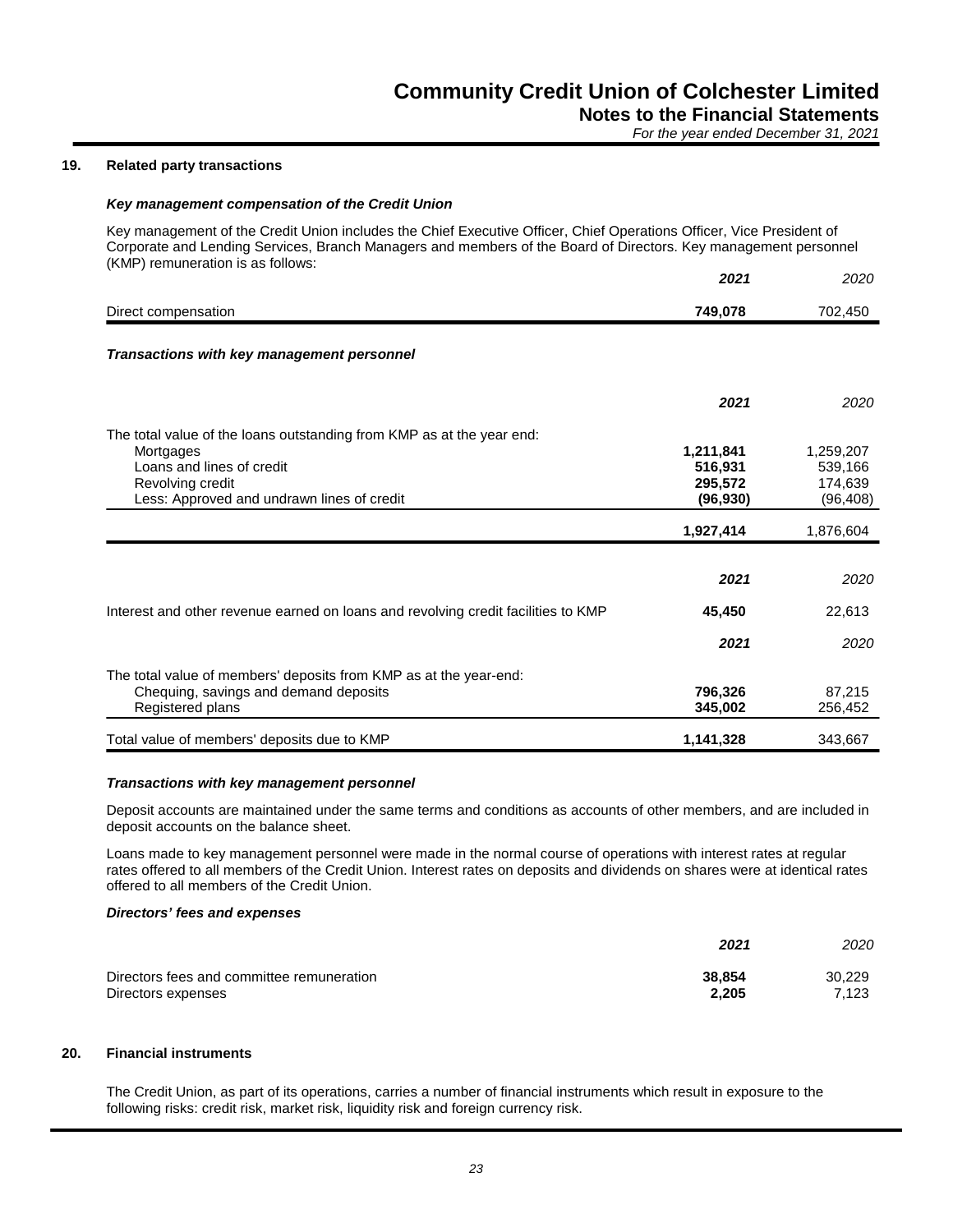#### **19. Related party transactions**

#### *Key management compensation of the Credit Union*

Key management of the Credit Union includes the Chief Executive Officer, Chief Operations Officer, Vice President of Corporate and Lending Services, Branch Managers and members of the Board of Directors. Key management personnel (KMP) remuneration is as follows:

|                                                                                                                                                                                   | 2021                                         | 2020                                         |
|-----------------------------------------------------------------------------------------------------------------------------------------------------------------------------------|----------------------------------------------|----------------------------------------------|
| Direct compensation                                                                                                                                                               | 749,078                                      | 702,450                                      |
| Transactions with key management personnel                                                                                                                                        |                                              |                                              |
|                                                                                                                                                                                   | 2021                                         | 2020                                         |
| The total value of the loans outstanding from KMP as at the year end:<br>Mortgages<br>Loans and lines of credit<br>Revolving credit<br>Less: Approved and undrawn lines of credit | 1,211,841<br>516,931<br>295.572<br>(96, 930) | 1,259,207<br>539,166<br>174,639<br>(96, 408) |
|                                                                                                                                                                                   | 1,927,414                                    | 1,876,604                                    |
|                                                                                                                                                                                   | 2021                                         | 2020                                         |
| Interest and other revenue earned on loans and revolving credit facilities to KMP                                                                                                 | 45,450                                       | 22,613                                       |
|                                                                                                                                                                                   | 2021                                         | 2020                                         |
| The total value of members' deposits from KMP as at the year-end:<br>Chequing, savings and demand deposits<br>Registered plans                                                    | 796,326<br>345,002                           | 87,215<br>256,452                            |
| Total value of members' deposits due to KMP                                                                                                                                       | 1,141,328                                    | 343,667                                      |

#### *Transactions with key management personnel*

Deposit accounts are maintained under the same terms and conditions as accounts of other members, and are included in deposit accounts on the balance sheet.

Loans made to key management personnel were made in the normal course of operations with interest rates at regular rates offered to all members of the Credit Union. Interest rates on deposits and dividends on shares were at identical rates offered to all members of the Credit Union.

#### *Directors' fees and expenses*

|                                           | 2021   | 2020   |
|-------------------------------------------|--------|--------|
| Directors fees and committee remuneration | 38,854 | 30.229 |
| Directors expenses                        | 2.205  | 7.123  |

## **20. Financial instruments**

The Credit Union, as part of its operations, carries a number of financial instruments which result in exposure to the following risks: credit risk, market risk, liquidity risk and foreign currency risk.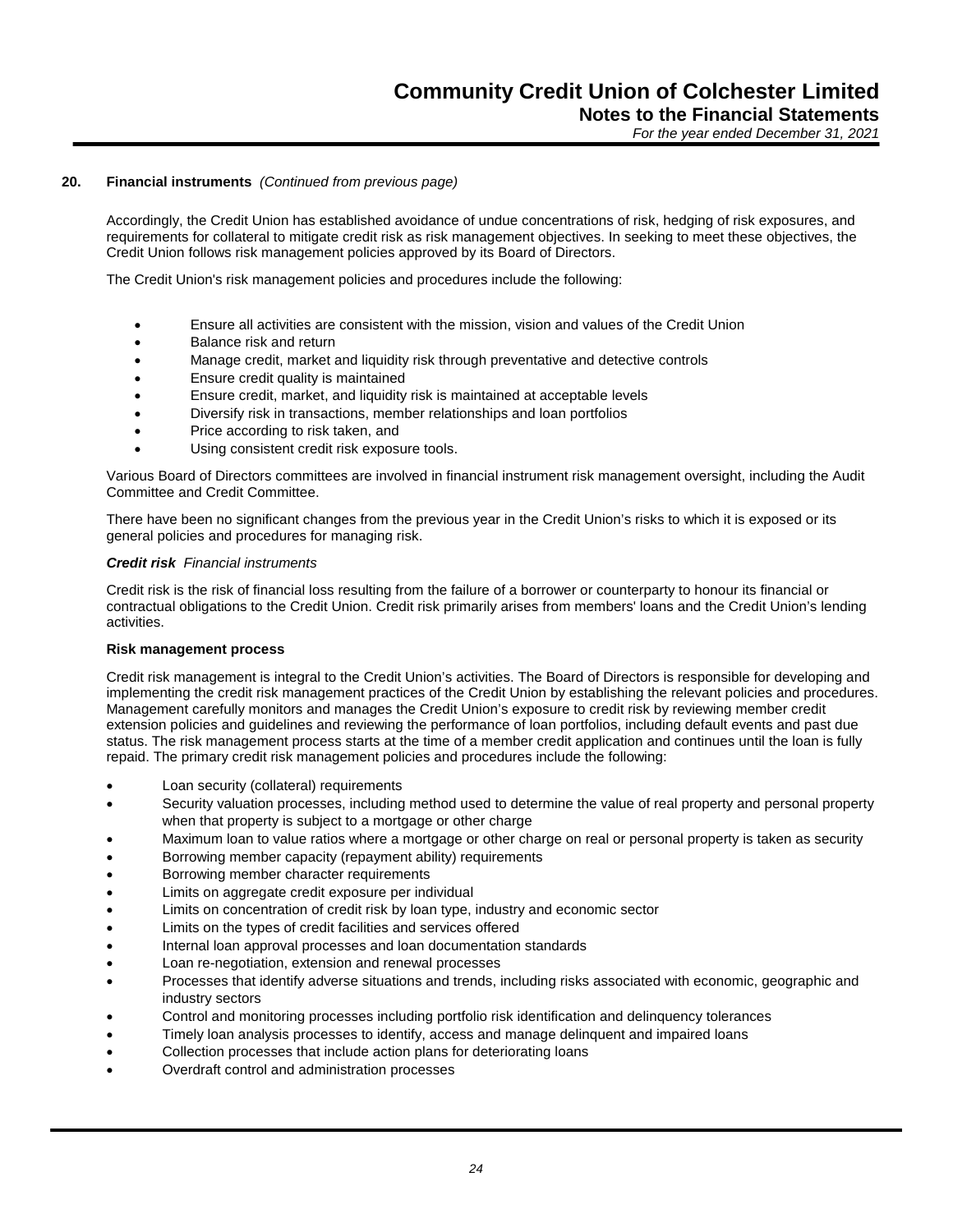#### **20. Financial instruments** *(Continued from previous page)*

Accordingly, the Credit Union has established avoidance of undue concentrations of risk, hedging of risk exposures, and requirements for collateral to mitigate credit risk as risk management objectives. In seeking to meet these objectives, the Credit Union follows risk management policies approved by its Board of Directors.

The Credit Union's risk management policies and procedures include the following:

- Ensure all activities are consistent with the mission, vision and values of the Credit Union
- Balance risk and return
- Manage credit, market and liquidity risk through preventative and detective controls
- Ensure credit quality is maintained
- Ensure credit, market, and liquidity risk is maintained at acceptable levels
- Diversify risk in transactions, member relationships and loan portfolios
- Price according to risk taken, and
- Using consistent credit risk exposure tools.

Various Board of Directors committees are involved in financial instrument risk management oversight, including the Audit Committee and Credit Committee.

There have been no significant changes from the previous year in the Credit Union's risks to which it is exposed or its general policies and procedures for managing risk.

#### *Credit risk Financial instruments*

Credit risk is the risk of financial loss resulting from the failure of a borrower or counterparty to honour its financial or contractual obligations to the Credit Union. Credit risk primarily arises from members' loans and the Credit Union's lending activities.

#### **Risk management process**

Credit risk management is integral to the Credit Union's activities. The Board of Directors is responsible for developing and implementing the credit risk management practices of the Credit Union by establishing the relevant policies and procedures. Management carefully monitors and manages the Credit Union's exposure to credit risk by reviewing member credit extension policies and guidelines and reviewing the performance of loan portfolios, including default events and past due status. The risk management process starts at the time of a member credit application and continues until the loan is fully repaid. The primary credit risk management policies and procedures include the following:

- Loan security (collateral) requirements
- Security valuation processes, including method used to determine the value of real property and personal property when that property is subject to a mortgage or other charge
- Maximum loan to value ratios where a mortgage or other charge on real or personal property is taken as security
- Borrowing member capacity (repayment ability) requirements
- Borrowing member character requirements
- Limits on aggregate credit exposure per individual
- Limits on concentration of credit risk by loan type, industry and economic sector
- Limits on the types of credit facilities and services offered
- Internal loan approval processes and loan documentation standards
- Loan re-negotiation, extension and renewal processes
- Processes that identify adverse situations and trends, including risks associated with economic, geographic and industry sectors
- Control and monitoring processes including portfolio risk identification and delinquency tolerances
- Timely loan analysis processes to identify, access and manage delinquent and impaired loans
- Collection processes that include action plans for deteriorating loans
- Overdraft control and administration processes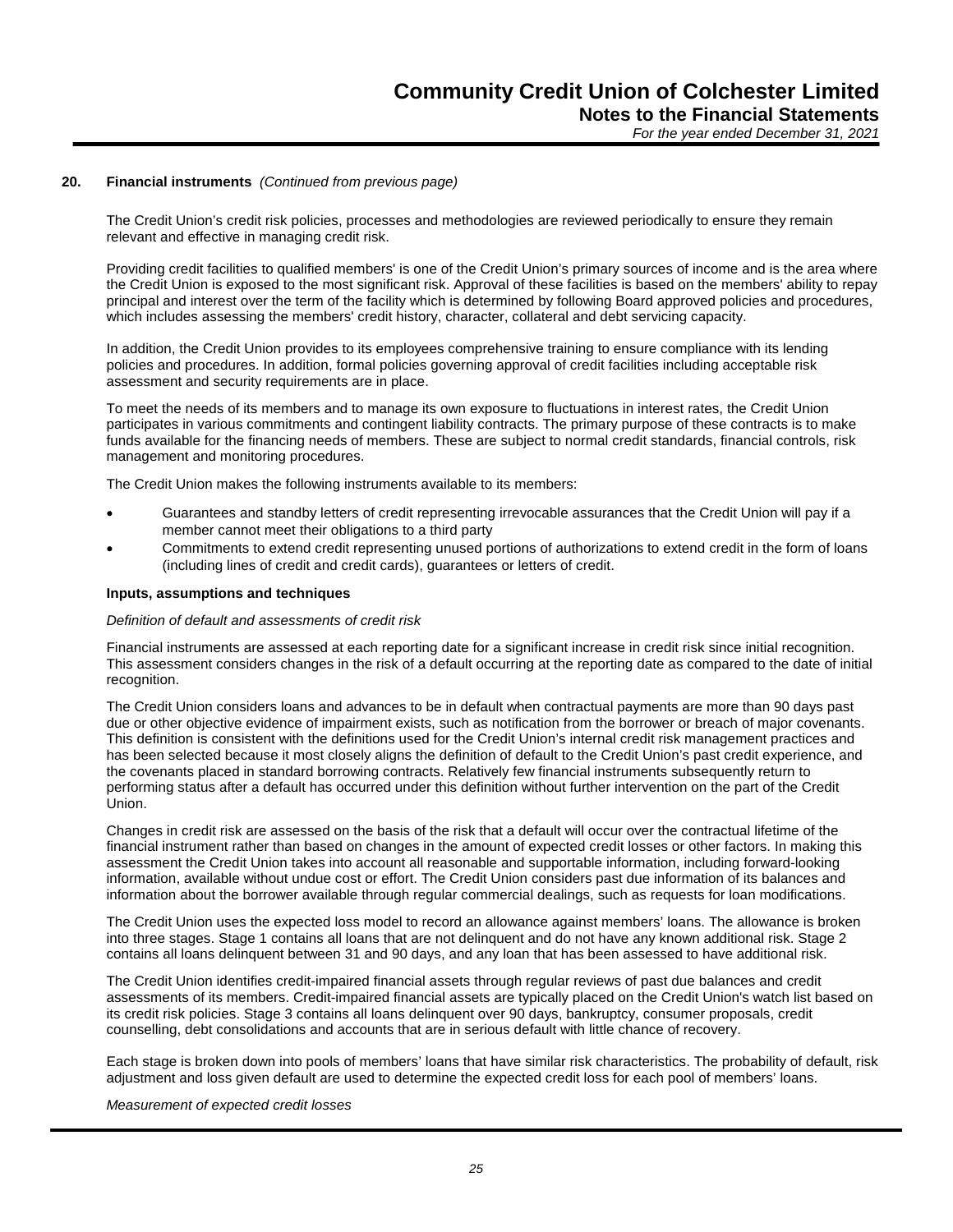#### **20. Financial instruments** *(Continued from previous page)*

The Credit Union's credit risk policies, processes and methodologies are reviewed periodically to ensure they remain relevant and effective in managing credit risk.

Providing credit facilities to qualified members' is one of the Credit Union's primary sources of income and is the area where the Credit Union is exposed to the most significant risk. Approval of these facilities is based on the members' ability to repay principal and interest over the term of the facility which is determined by following Board approved policies and procedures, which includes assessing the members' credit history, character, collateral and debt servicing capacity.

In addition, the Credit Union provides to its employees comprehensive training to ensure compliance with its lending policies and procedures. In addition, formal policies governing approval of credit facilities including acceptable risk assessment and security requirements are in place.

To meet the needs of its members and to manage its own exposure to fluctuations in interest rates, the Credit Union participates in various commitments and contingent liability contracts. The primary purpose of these contracts is to make funds available for the financing needs of members. These are subject to normal credit standards, financial controls, risk management and monitoring procedures.

The Credit Union makes the following instruments available to its members:

- Guarantees and standby letters of credit representing irrevocable assurances that the Credit Union will pay if a member cannot meet their obligations to a third party
- Commitments to extend credit representing unused portions of authorizations to extend credit in the form of loans (including lines of credit and credit cards), guarantees or letters of credit.

#### **Inputs, assumptions and techniques**

#### *Definition of default and assessments of credit risk*

Financial instruments are assessed at each reporting date for a significant increase in credit risk since initial recognition. This assessment considers changes in the risk of a default occurring at the reporting date as compared to the date of initial recognition.

The Credit Union considers loans and advances to be in default when contractual payments are more than 90 days past due or other objective evidence of impairment exists, such as notification from the borrower or breach of major covenants. This definition is consistent with the definitions used for the Credit Union's internal credit risk management practices and has been selected because it most closely aligns the definition of default to the Credit Union's past credit experience, and the covenants placed in standard borrowing contracts. Relatively few financial instruments subsequently return to performing status after a default has occurred under this definition without further intervention on the part of the Credit Union.

Changes in credit risk are assessed on the basis of the risk that a default will occur over the contractual lifetime of the financial instrument rather than based on changes in the amount of expected credit losses or other factors. In making this assessment the Credit Union takes into account all reasonable and supportable information, including forward-looking information, available without undue cost or effort. The Credit Union considers past due information of its balances and information about the borrower available through regular commercial dealings, such as requests for loan modifications.

The Credit Union uses the expected loss model to record an allowance against members' loans. The allowance is broken into three stages. Stage 1 contains all loans that are not delinquent and do not have any known additional risk. Stage 2 contains all loans delinquent between 31 and 90 days, and any loan that has been assessed to have additional risk.

The Credit Union identifies credit-impaired financial assets through regular reviews of past due balances and credit assessments of its members. Credit-impaired financial assets are typically placed on the Credit Union's watch list based on its credit risk policies. Stage 3 contains all loans delinquent over 90 days, bankruptcy, consumer proposals, credit counselling, debt consolidations and accounts that are in serious default with little chance of recovery.

Each stage is broken down into pools of members' loans that have similar risk characteristics. The probability of default, risk adjustment and loss given default are used to determine the expected credit loss for each pool of members' loans.

*Measurement of expected credit losses*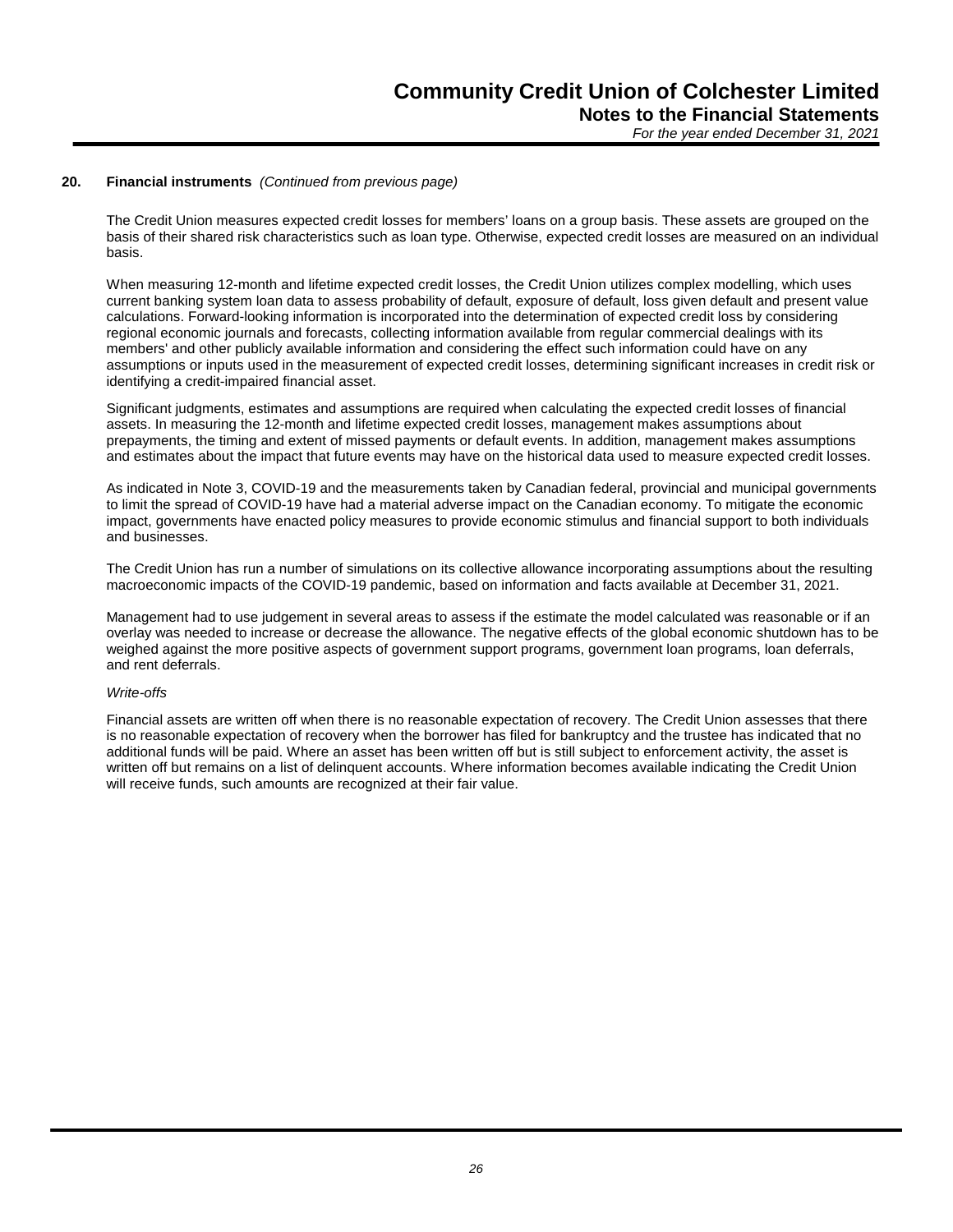#### **20. Financial instruments** *(Continued from previous page)*

The Credit Union measures expected credit losses for members' loans on a group basis. These assets are grouped on the basis of their shared risk characteristics such as loan type. Otherwise, expected credit losses are measured on an individual basis.

When measuring 12-month and lifetime expected credit losses, the Credit Union utilizes complex modelling, which uses current banking system loan data to assess probability of default, exposure of default, loss given default and present value calculations. Forward-looking information is incorporated into the determination of expected credit loss by considering regional economic journals and forecasts, collecting information available from regular commercial dealings with its members' and other publicly available information and considering the effect such information could have on any assumptions or inputs used in the measurement of expected credit losses, determining significant increases in credit risk or identifying a credit-impaired financial asset.

Significant judgments, estimates and assumptions are required when calculating the expected credit losses of financial assets. In measuring the 12-month and lifetime expected credit losses, management makes assumptions about prepayments, the timing and extent of missed payments or default events. In addition, management makes assumptions and estimates about the impact that future events may have on the historical data used to measure expected credit losses.

As indicated in Note 3, COVID-19 and the measurements taken by Canadian federal, provincial and municipal governments to limit the spread of COVID-19 have had a material adverse impact on the Canadian economy. To mitigate the economic impact, governments have enacted policy measures to provide economic stimulus and financial support to both individuals and businesses.

The Credit Union has run a number of simulations on its collective allowance incorporating assumptions about the resulting macroeconomic impacts of the COVID-19 pandemic, based on information and facts available at December 31, 2021.

Management had to use judgement in several areas to assess if the estimate the model calculated was reasonable or if an overlay was needed to increase or decrease the allowance. The negative effects of the global economic shutdown has to be weighed against the more positive aspects of government support programs, government loan programs, loan deferrals, and rent deferrals.

#### *Write-offs*

Financial assets are written off when there is no reasonable expectation of recovery. The Credit Union assesses that there is no reasonable expectation of recovery when the borrower has filed for bankruptcy and the trustee has indicated that no additional funds will be paid. Where an asset has been written off but is still subject to enforcement activity, the asset is written off but remains on a list of delinquent accounts. Where information becomes available indicating the Credit Union will receive funds, such amounts are recognized at their fair value.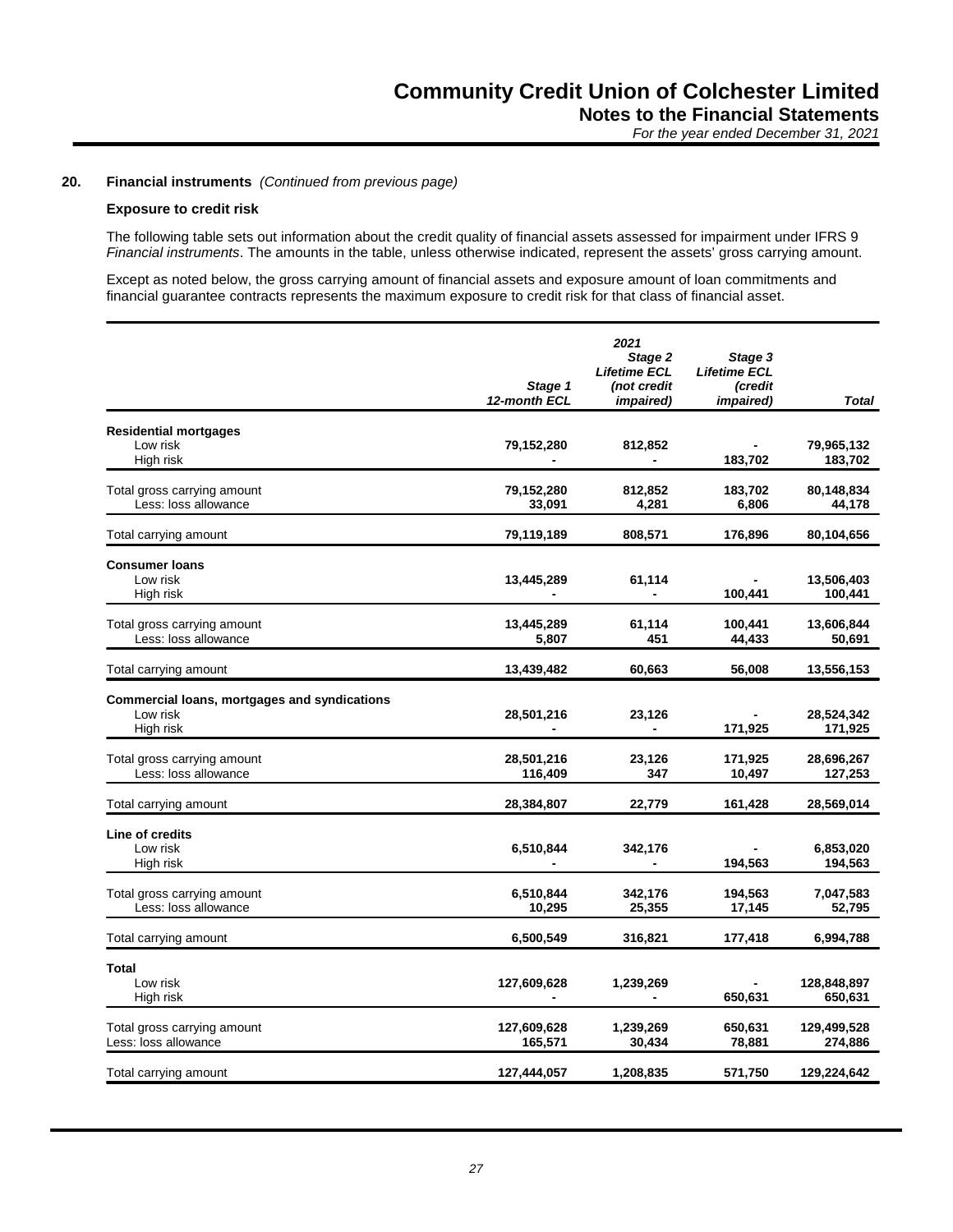#### **Exposure to credit risk**

The following table sets out information about the credit quality of financial assets assessed for impairment under IFRS 9 *Financial instruments*. The amounts in the table, unless otherwise indicated, represent the assets' gross carrying amount.

Except as noted below, the gross carrying amount of financial assets and exposure amount of loan commitments and financial guarantee contracts represents the maximum exposure to credit risk for that class of financial asset.

|                                                                       | Stage 1<br>12-month ECL | 2021<br>Stage 2<br><b>Lifetime ECL</b><br>(not credit<br><i>impaired</i> ) | Stage 3<br><b>Lifetime ECL</b><br>(credit<br><i>impaired</i> ) | <b>Total</b>           |
|-----------------------------------------------------------------------|-------------------------|----------------------------------------------------------------------------|----------------------------------------------------------------|------------------------|
| <b>Residential mortgages</b><br>Low risk<br>High risk                 | 79,152,280              | 812,852                                                                    | 183,702                                                        | 79,965,132<br>183,702  |
| Total gross carrying amount<br>Less: loss allowance                   | 79,152,280<br>33,091    | 812,852<br>4,281                                                           | 183,702<br>6,806                                               | 80,148,834<br>44,178   |
| Total carrying amount                                                 | 79,119,189              | 808,571                                                                    | 176,896                                                        | 80,104,656             |
| <b>Consumer loans</b><br>Low risk<br>High risk                        | 13,445,289              | 61,114<br>-                                                                | 100,441                                                        | 13,506,403<br>100,441  |
| Total gross carrying amount<br>Less: loss allowance                   | 13,445,289<br>5,807     | 61,114<br>451                                                              | 100,441<br>44,433                                              | 13,606,844<br>50,691   |
| Total carrying amount                                                 | 13,439,482              | 60,663                                                                     | 56,008                                                         | 13,556,153             |
| Commercial loans, mortgages and syndications<br>Low risk<br>High risk | 28,501,216              | 23,126<br>$\overline{\phantom{a}}$                                         | 171,925                                                        | 28,524,342<br>171,925  |
| Total gross carrying amount<br>Less: loss allowance                   | 28,501,216<br>116,409   | 23,126<br>347                                                              | 171,925<br>10,497                                              | 28,696,267<br>127,253  |
| Total carrying amount                                                 | 28,384,807              | 22,779                                                                     | 161,428                                                        | 28,569,014             |
| Line of credits<br>Low risk<br>High risk                              | 6,510,844               | 342,176                                                                    | 194,563                                                        | 6,853,020<br>194,563   |
| Total gross carrying amount<br>Less: loss allowance                   | 6,510,844<br>10,295     | 342,176<br>25,355                                                          | 194,563<br>17,145                                              | 7,047,583<br>52,795    |
| Total carrying amount                                                 | 6,500,549               | 316,821                                                                    | 177,418                                                        | 6,994,788              |
| Total<br>Low risk<br>High risk                                        | 127,609,628             | 1,239,269                                                                  | $\sim$<br>650,631                                              | 128,848,897<br>650,631 |
| Total gross carrying amount<br>Less: loss allowance                   | 127,609,628<br>165,571  | 1,239,269<br>30,434                                                        | 650,631<br>78,881                                              | 129,499,528<br>274,886 |
| Total carrying amount                                                 | 127,444,057             | 1,208,835                                                                  | 571,750                                                        | 129,224,642            |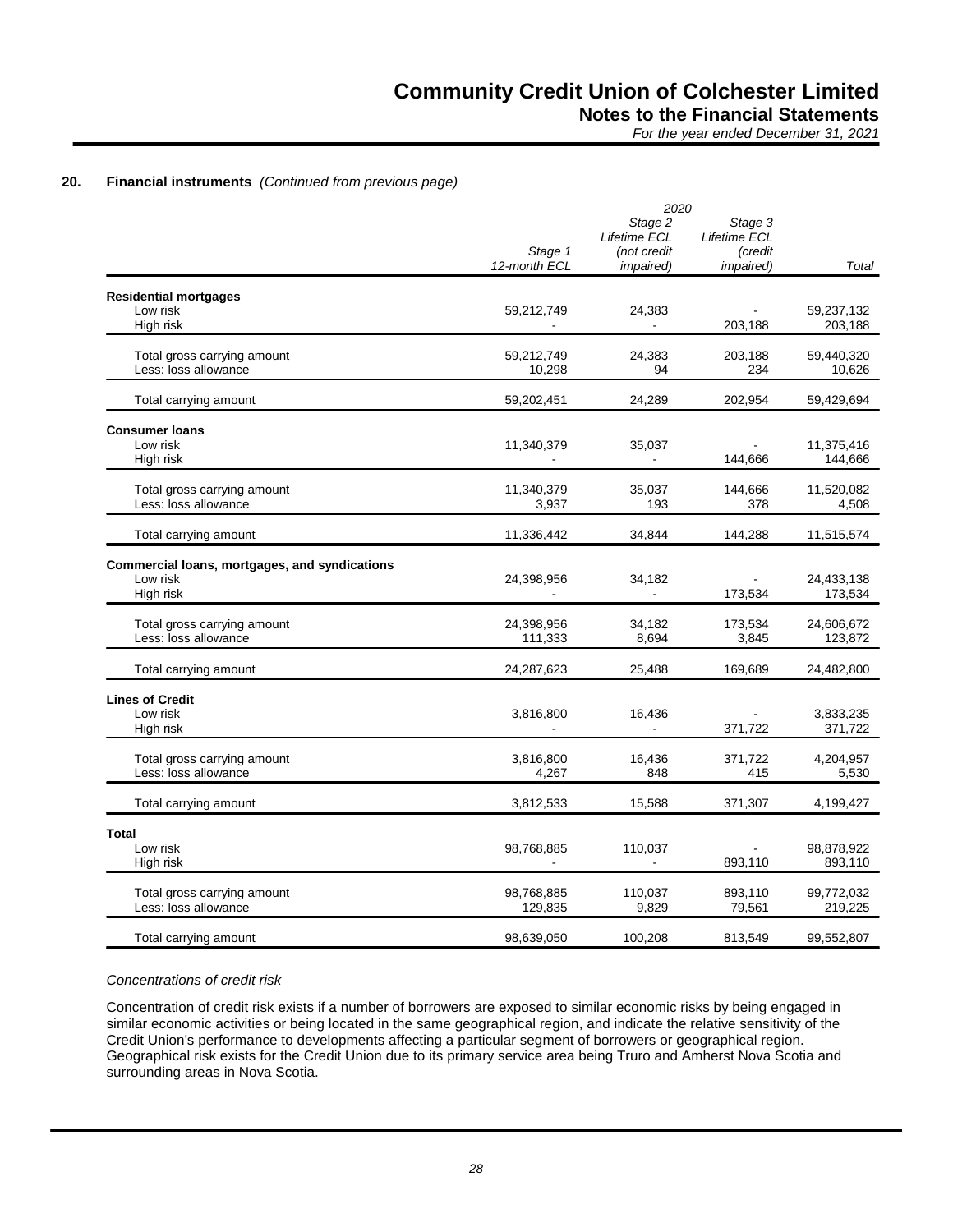#### **20. Financial instruments** *(Continued from previous page)*

|                                                                        | 2020                  |                                        |                                    |                       |
|------------------------------------------------------------------------|-----------------------|----------------------------------------|------------------------------------|-----------------------|
|                                                                        | Stage 1               | Stage 2<br>Lifetime ECL<br>(not credit | Stage 3<br>Lifetime ECL<br>(credit |                       |
|                                                                        | 12-month ECL          | <i>impaired</i> )                      | <i>impaired</i> )                  | Total                 |
| <b>Residential mortgages</b><br>Low risk<br>High risk                  | 59,212,749            | 24,383<br>$\omega$                     | 203,188                            | 59,237,132<br>203,188 |
| Total gross carrying amount<br>Less: loss allowance                    | 59,212,749<br>10,298  | 24,383<br>94                           | 203,188<br>234                     | 59,440,320<br>10,626  |
| Total carrying amount                                                  | 59,202,451            | 24,289                                 | 202,954                            | 59,429,694            |
| <b>Consumer loans</b><br>Low risk<br>High risk                         | 11,340,379            | 35,037<br>$\blacksquare$               | $\sim$<br>144,666                  | 11,375,416<br>144,666 |
| Total gross carrying amount<br>Less: loss allowance                    | 11,340,379<br>3,937   | 35,037<br>193                          | 144,666<br>378                     | 11,520,082<br>4,508   |
| Total carrying amount                                                  | 11,336,442            | 34,844                                 | 144,288                            | 11,515,574            |
| Commercial loans, mortgages, and syndications<br>Low risk<br>High risk | 24,398,956            | 34,182<br>$\sim$                       | 173,534                            | 24,433,138<br>173,534 |
| Total gross carrying amount<br>Less: loss allowance                    | 24,398,956<br>111,333 | 34,182<br>8,694                        | 173,534<br>3,845                   | 24,606,672<br>123,872 |
| Total carrying amount                                                  | 24,287,623            | 25,488                                 | 169,689                            | 24,482,800            |
| <b>Lines of Credit</b><br>Low risk<br>High risk                        | 3,816,800             | 16,436                                 | 371,722                            | 3,833,235<br>371,722  |
| Total gross carrying amount<br>Less: loss allowance                    | 3,816,800<br>4,267    | 16,436<br>848                          | 371,722<br>415                     | 4,204,957<br>5,530    |
| Total carrying amount                                                  | 3,812,533             | 15,588                                 | 371,307                            | 4,199,427             |
| <b>Total</b><br>Low risk<br>High risk                                  | 98,768,885            | 110,037<br>$\blacksquare$              | $\sim$<br>893,110                  | 98,878,922<br>893,110 |
| Total gross carrying amount<br>Less: loss allowance                    | 98,768,885<br>129,835 | 110,037<br>9,829                       | 893,110<br>79,561                  | 99,772,032<br>219,225 |
| Total carrying amount                                                  | 98,639,050            | 100,208                                | 813,549                            | 99,552,807            |

#### *Concentrations of credit risk*

Concentration of credit risk exists if a number of borrowers are exposed to similar economic risks by being engaged in similar economic activities or being located in the same geographical region, and indicate the relative sensitivity of the Credit Union's performance to developments affecting a particular segment of borrowers or geographical region. Geographical risk exists for the Credit Union due to its primary service area being Truro and Amherst Nova Scotia and surrounding areas in Nova Scotia.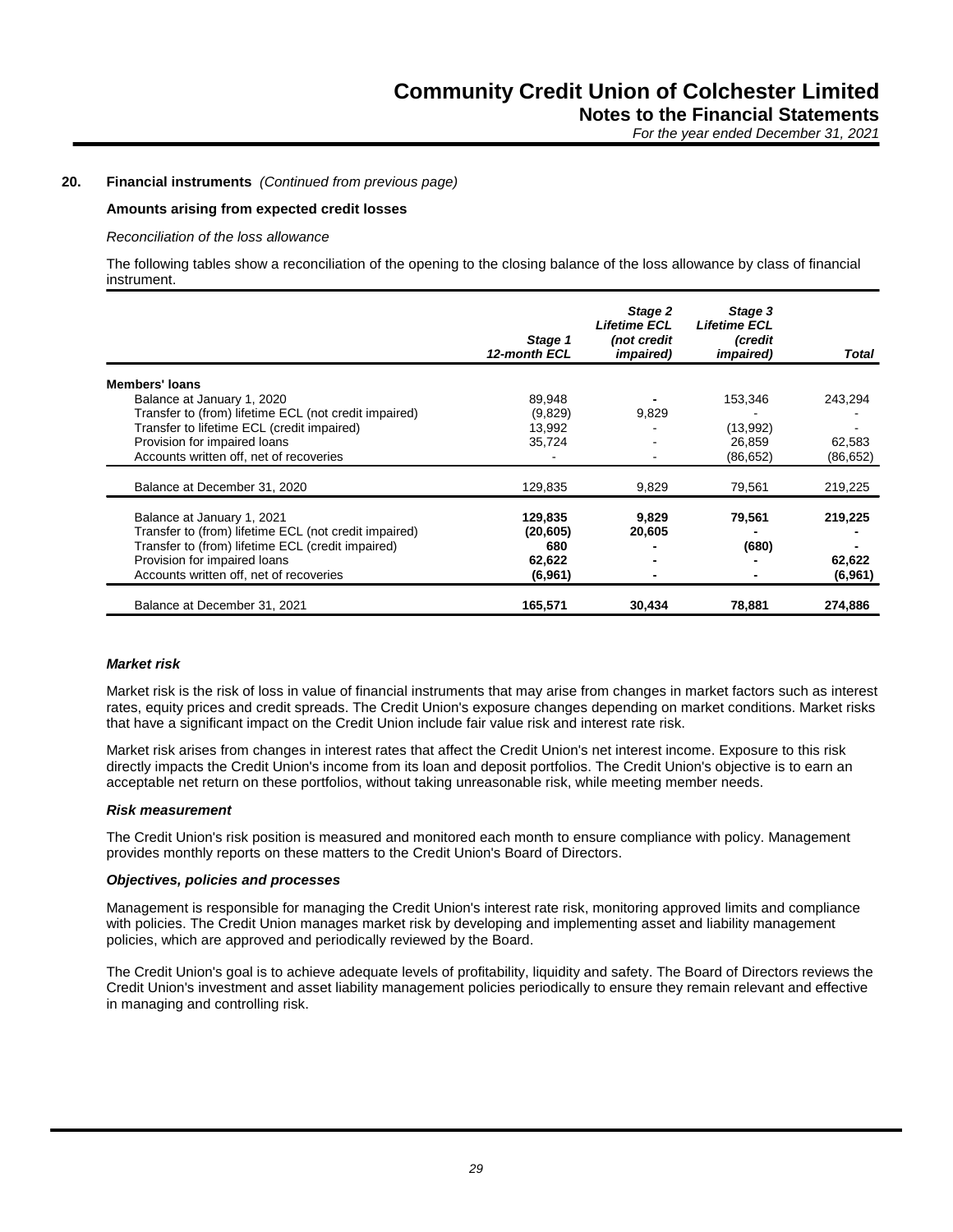#### **Amounts arising from expected credit losses**

#### *Reconciliation of the loss allowance*

The following tables show a reconciliation of the opening to the closing balance of the loss allowance by class of financial instrument.

|                                                       | Stage 1<br>12-month ECL | Stage 2<br><b>Lifetime ECL</b><br>(not credit<br><i>impaired</i> ) | Stage 3<br><b>Lifetime ECL</b><br>(credit<br><i>impaired</i> ) | Total     |
|-------------------------------------------------------|-------------------------|--------------------------------------------------------------------|----------------------------------------------------------------|-----------|
| <b>Members' loans</b>                                 |                         |                                                                    |                                                                |           |
| Balance at January 1, 2020                            | 89,948                  |                                                                    | 153,346                                                        | 243,294   |
| Transfer to (from) lifetime ECL (not credit impaired) | (9,829)                 | 9,829                                                              |                                                                |           |
| Transfer to lifetime ECL (credit impaired)            | 13,992                  |                                                                    | (13,992)                                                       |           |
| Provision for impaired loans                          | 35,724                  |                                                                    | 26,859                                                         | 62,583    |
| Accounts written off, net of recoveries               |                         |                                                                    | (86, 652)                                                      | (86, 652) |
|                                                       |                         |                                                                    |                                                                |           |
| Balance at December 31, 2020                          | 129,835                 | 9,829                                                              | 79,561                                                         | 219,225   |
| Balance at January 1, 2021                            | 129,835                 | 9,829                                                              | 79,561                                                         | 219,225   |
| Transfer to (from) lifetime ECL (not credit impaired) | (20, 605)               | 20,605                                                             |                                                                |           |
| Transfer to (from) lifetime ECL (credit impaired)     | 680                     |                                                                    | (680)                                                          |           |
| Provision for impaired loans                          | 62,622                  |                                                                    |                                                                | 62,622    |
| Accounts written off, net of recoveries               | (6,961)                 |                                                                    |                                                                | (6,961)   |
| Balance at December 31, 2021                          | 165,571                 | 30,434                                                             | 78,881                                                         | 274,886   |

#### *Market risk*

Market risk is the risk of loss in value of financial instruments that may arise from changes in market factors such as interest rates, equity prices and credit spreads. The Credit Union's exposure changes depending on market conditions. Market risks that have a significant impact on the Credit Union include fair value risk and interest rate risk.

Market risk arises from changes in interest rates that affect the Credit Union's net interest income. Exposure to this risk directly impacts the Credit Union's income from its loan and deposit portfolios. The Credit Union's objective is to earn an acceptable net return on these portfolios, without taking unreasonable risk, while meeting member needs.

#### *Risk measurement*

The Credit Union's risk position is measured and monitored each month to ensure compliance with policy. Management provides monthly reports on these matters to the Credit Union's Board of Directors.

#### *Objectives, policies and processes*

Management is responsible for managing the Credit Union's interest rate risk, monitoring approved limits and compliance with policies. The Credit Union manages market risk by developing and implementing asset and liability management policies, which are approved and periodically reviewed by the Board.

The Credit Union's goal is to achieve adequate levels of profitability, liquidity and safety. The Board of Directors reviews the Credit Union's investment and asset liability management policies periodically to ensure they remain relevant and effective in managing and controlling risk.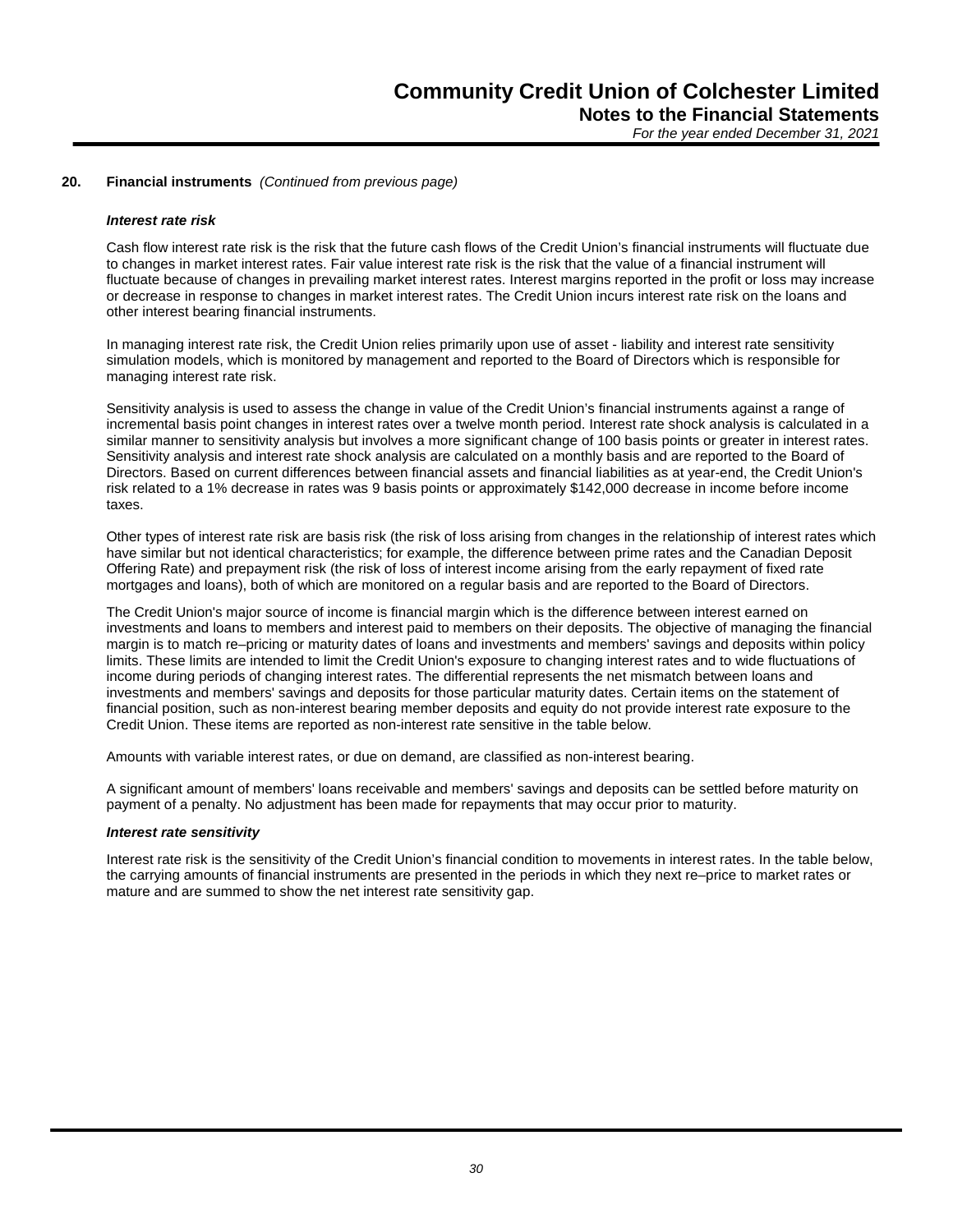#### *Interest rate risk*

Cash flow interest rate risk is the risk that the future cash flows of the Credit Union's financial instruments will fluctuate due to changes in market interest rates. Fair value interest rate risk is the risk that the value of a financial instrument will fluctuate because of changes in prevailing market interest rates. Interest margins reported in the profit or loss may increase or decrease in response to changes in market interest rates. The Credit Union incurs interest rate risk on the loans and other interest bearing financial instruments.

In managing interest rate risk, the Credit Union relies primarily upon use of asset - liability and interest rate sensitivity simulation models, which is monitored by management and reported to the Board of Directors which is responsible for managing interest rate risk.

Sensitivity analysis is used to assess the change in value of the Credit Union's financial instruments against a range of incremental basis point changes in interest rates over a twelve month period. Interest rate shock analysis is calculated in a similar manner to sensitivity analysis but involves a more significant change of 100 basis points or greater in interest rates. Sensitivity analysis and interest rate shock analysis are calculated on a monthly basis and are reported to the Board of Directors. Based on current differences between financial assets and financial liabilities as at year-end, the Credit Union's risk related to a 1% decrease in rates was 9 basis points or approximately \$142,000 decrease in income before income taxes.

Other types of interest rate risk are basis risk (the risk of loss arising from changes in the relationship of interest rates which have similar but not identical characteristics; for example, the difference between prime rates and the Canadian Deposit Offering Rate) and prepayment risk (the risk of loss of interest income arising from the early repayment of fixed rate mortgages and loans), both of which are monitored on a regular basis and are reported to the Board of Directors.

The Credit Union's major source of income is financial margin which is the difference between interest earned on investments and loans to members and interest paid to members on their deposits. The objective of managing the financial margin is to match re–pricing or maturity dates of loans and investments and members' savings and deposits within policy limits. These limits are intended to limit the Credit Union's exposure to changing interest rates and to wide fluctuations of income during periods of changing interest rates. The differential represents the net mismatch between loans and investments and members' savings and deposits for those particular maturity dates. Certain items on the statement of financial position, such as non-interest bearing member deposits and equity do not provide interest rate exposure to the Credit Union. These items are reported as non-interest rate sensitive in the table below.

Amounts with variable interest rates, or due on demand, are classified as non-interest bearing.

A significant amount of members' loans receivable and members' savings and deposits can be settled before maturity on payment of a penalty. No adjustment has been made for repayments that may occur prior to maturity.

#### *Interest rate sensitivity*

Interest rate risk is the sensitivity of the Credit Union's financial condition to movements in interest rates. In the table below, the carrying amounts of financial instruments are presented in the periods in which they next re–price to market rates or mature and are summed to show the net interest rate sensitivity gap.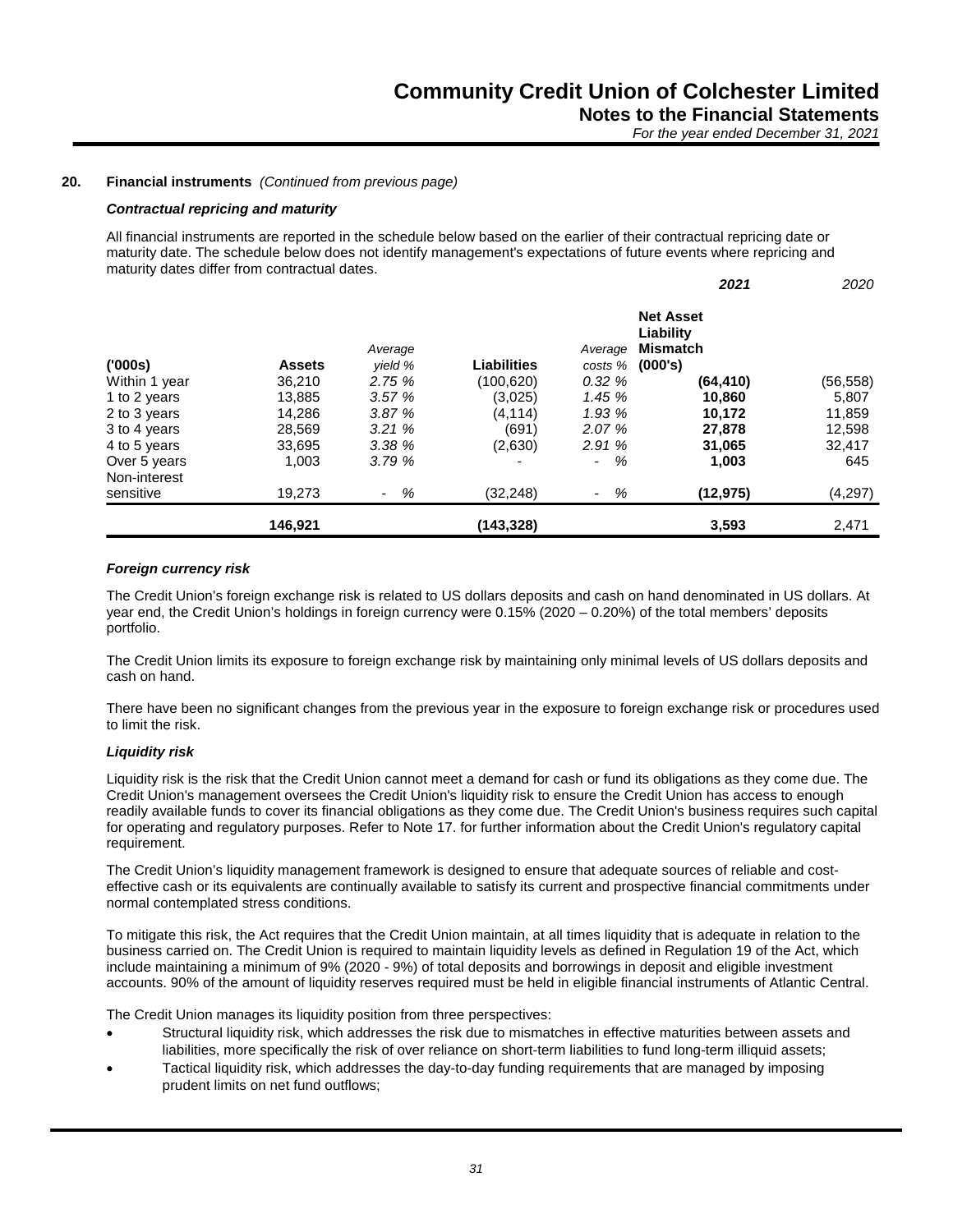#### *Contractual repricing and maturity*

All financial instruments are reported in the schedule below based on the earlier of their contractual repricing date or maturity date. The schedule below does not identify management's expectations of future events where repricing and maturity dates differ from contractual dates.

|               |               |                    |                    |                               | 2021                                                        | 2020      |
|---------------|---------------|--------------------|--------------------|-------------------------------|-------------------------------------------------------------|-----------|
| (000s)        | <b>Assets</b> | Average<br>vield % | <b>Liabilities</b> | Average<br>costs %            | <b>Net Asset</b><br>Liability<br><b>Mismatch</b><br>(000's) |           |
| Within 1 year | 36,210        | 2.75%              | (100,620)          | 0.32%                         | (64,410)                                                    | (56, 558) |
| 1 to 2 years  | 13,885        | 3.57%              | (3,025)            | 1.45%                         | 10,860                                                      | 5,807     |
| 2 to 3 years  | 14,286        | 3.87%              | (4, 114)           | 1.93%                         | 10,172                                                      | 11,859    |
| 3 to 4 years  | 28,569        | 3.21%              | (691)              | 2.07 %                        | 27,878                                                      | 12,598    |
| 4 to 5 years  | 33,695        | 3.38%              | (2,630)            | 2.91 %                        | 31,065                                                      | 32,417    |
| Over 5 years  | 1,003         | 3.79%              |                    | %<br>$\sim$                   | 1,003                                                       | 645       |
| Non-interest  |               |                    |                    |                               |                                                             |           |
| sensitive     | 19,273        | %<br>$\sim$        | (32, 248)          | %<br>$\overline{\phantom{a}}$ | (12, 975)                                                   | (4, 297)  |
|               | 146,921       |                    | (143,328)          |                               | 3,593                                                       | 2,471     |

#### *Foreign currency risk*

The Credit Union's foreign exchange risk is related to US dollars deposits and cash on hand denominated in US dollars. At year end, the Credit Union's holdings in foreign currency were 0.15% (2020 – 0.20%) of the total members' deposits portfolio.

The Credit Union limits its exposure to foreign exchange risk by maintaining only minimal levels of US dollars deposits and cash on hand.

There have been no significant changes from the previous year in the exposure to foreign exchange risk or procedures used to limit the risk.

#### *Liquidity risk*

Liquidity risk is the risk that the Credit Union cannot meet a demand for cash or fund its obligations as they come due. The Credit Union's management oversees the Credit Union's liquidity risk to ensure the Credit Union has access to enough readily available funds to cover its financial obligations as they come due. The Credit Union's business requires such capital for operating and regulatory purposes. Refer to Note 17. for further information about the Credit Union's regulatory capital requirement.

The Credit Union's liquidity management framework is designed to ensure that adequate sources of reliable and costeffective cash or its equivalents are continually available to satisfy its current and prospective financial commitments under normal contemplated stress conditions.

To mitigate this risk, the Act requires that the Credit Union maintain, at all times liquidity that is adequate in relation to the business carried on. The Credit Union is required to maintain liquidity levels as defined in Regulation 19 of the Act, which include maintaining a minimum of 9% (2020 - 9%) of total deposits and borrowings in deposit and eligible investment accounts. 90% of the amount of liquidity reserves required must be held in eligible financial instruments of Atlantic Central.

The Credit Union manages its liquidity position from three perspectives:

- Structural liquidity risk, which addresses the risk due to mismatches in effective maturities between assets and liabilities, more specifically the risk of over reliance on short-term liabilities to fund long-term illiquid assets;
- Tactical liquidity risk, which addresses the day-to-day funding requirements that are managed by imposing prudent limits on net fund outflows;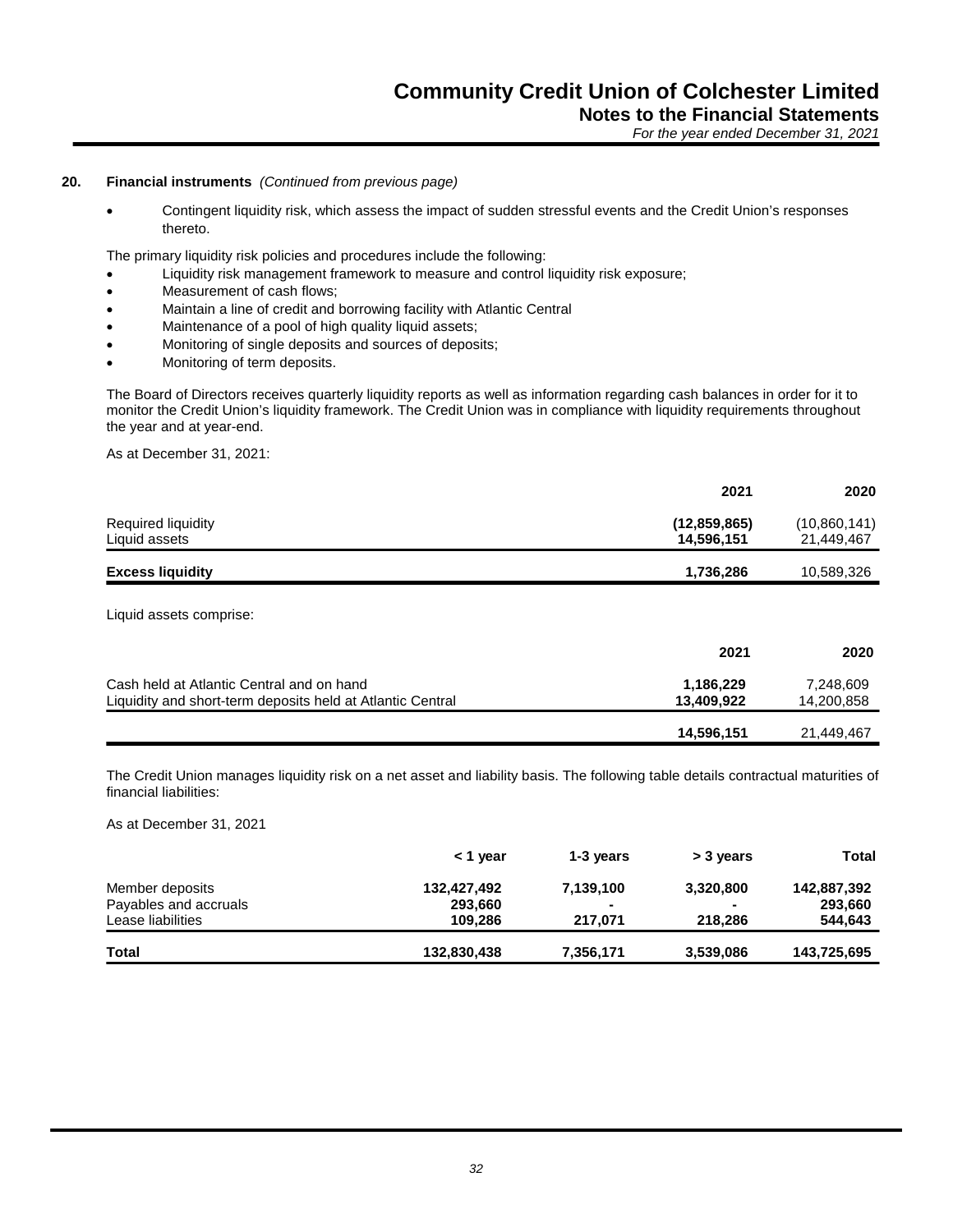Contingent liquidity risk, which assess the impact of sudden stressful events and the Credit Union's responses thereto.

The primary liquidity risk policies and procedures include the following:

- Liquidity risk management framework to measure and control liquidity risk exposure;
- Measurement of cash flows;
- Maintain a line of credit and borrowing facility with Atlantic Central
- Maintenance of a pool of high quality liquid assets;
- Monitoring of single deposits and sources of deposits;
- Monitoring of term deposits.

The Board of Directors receives quarterly liquidity reports as well as information regarding cash balances in order for it to monitor the Credit Union's liquidity framework. The Credit Union was in compliance with liquidity requirements throughout the year and at year-end.

As at December 31, 2021:

|                                     | 2021                       | 2020                       |
|-------------------------------------|----------------------------|----------------------------|
| Required liquidity<br>Liquid assets | (12,859,865)<br>14.596.151 | (10,860,141)<br>21.449.467 |
| <b>Excess liquidity</b>             | 1,736,286                  | 10,589,326                 |

Liquid assets comprise:

|                                                                                                         | 2021                    | 2020                    |
|---------------------------------------------------------------------------------------------------------|-------------------------|-------------------------|
| Cash held at Atlantic Central and on hand<br>Liquidity and short-term deposits held at Atlantic Central | 1,186,229<br>13.409.922 | 7,248,609<br>14,200,858 |
|                                                                                                         | 14,596,151              | 21,449,467              |

The Credit Union manages liquidity risk on a net asset and liability basis. The following table details contractual maturities of financial liabilities:

As at December 31, 2021

|                       | < 1 year    | 1-3 years                | > 3 years      | Total       |
|-----------------------|-------------|--------------------------|----------------|-------------|
| Member deposits       | 132,427,492 | 7,139,100                | 3,320,800      | 142,887,392 |
| Payables and accruals | 293,660     | $\overline{\phantom{a}}$ | $\blacksquare$ | 293,660     |
| Lease liabilities     | 109.286     | 217.071                  | 218,286        | 544,643     |
| Total                 | 132,830,438 | 7,356,171                | 3,539,086      | 143,725,695 |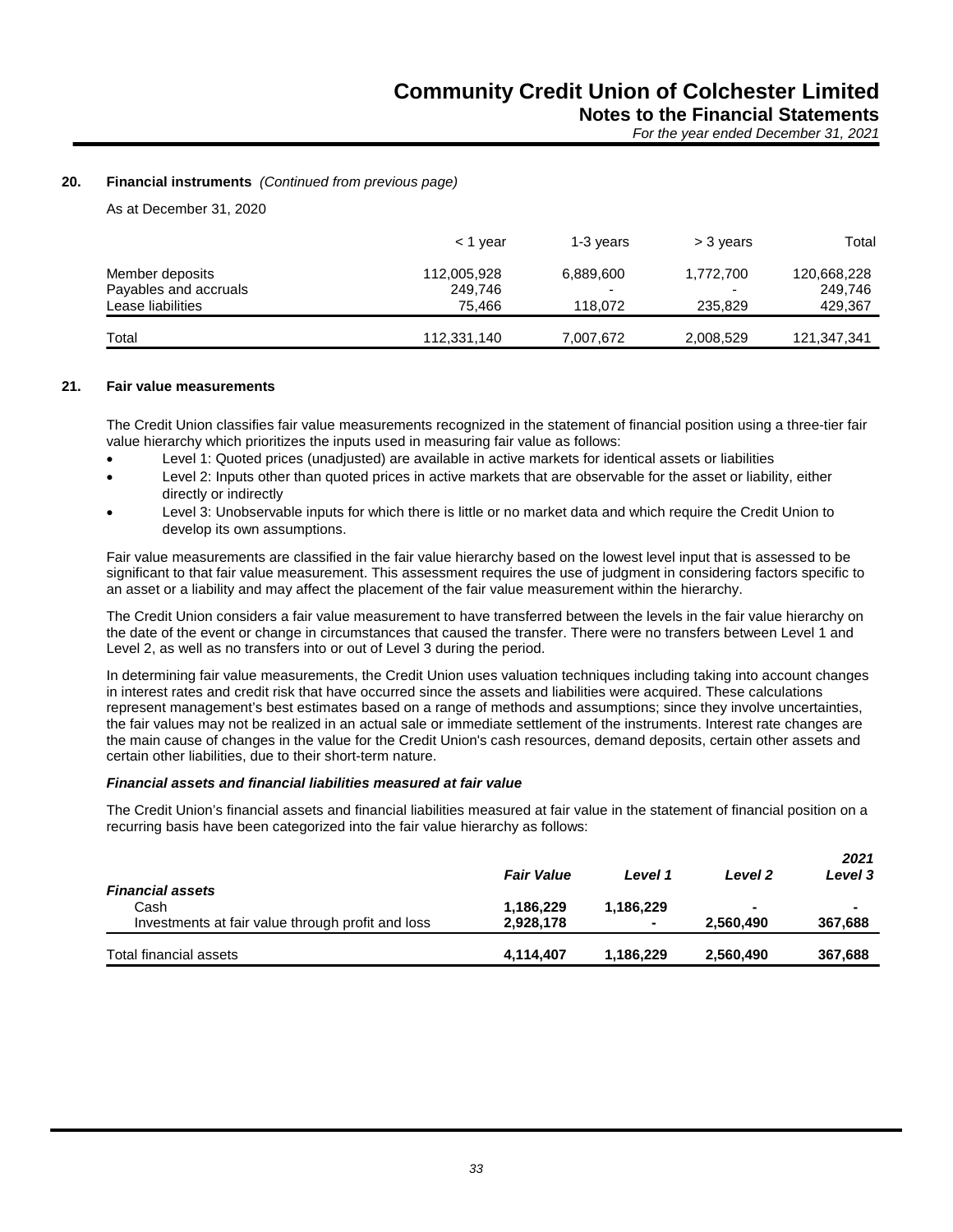*2021*

#### **20. Financial instruments** *(Continued from previous page)*

As at December 31, 2020

|                       | < 1 year    | 1-3 years | > 3 years                | Total       |
|-----------------------|-------------|-----------|--------------------------|-------------|
| Member deposits       | 112,005,928 | 6,889,600 | 1,772,700                | 120,668,228 |
| Payables and accruals | 249.746     | -         | $\overline{\phantom{0}}$ | 249.746     |
| Lease liabilities     | 75.466      | 118.072   | 235.829                  | 429,367     |
| Total                 | 112,331,140 | 7,007,672 | 2,008,529                | 121,347,341 |

#### **21. Fair value measurements**

The Credit Union classifies fair value measurements recognized in the statement of financial position using a three-tier fair value hierarchy which prioritizes the inputs used in measuring fair value as follows:

- Level 1: Quoted prices (unadjusted) are available in active markets for identical assets or liabilities
- Level 2: Inputs other than quoted prices in active markets that are observable for the asset or liability, either directly or indirectly
- Level 3: Unobservable inputs for which there is little or no market data and which require the Credit Union to develop its own assumptions.

Fair value measurements are classified in the fair value hierarchy based on the lowest level input that is assessed to be significant to that fair value measurement. This assessment requires the use of judgment in considering factors specific to an asset or a liability and may affect the placement of the fair value measurement within the hierarchy.

The Credit Union considers a fair value measurement to have transferred between the levels in the fair value hierarchy on the date of the event or change in circumstances that caused the transfer. There were no transfers between Level 1 and Level 2, as well as no transfers into or out of Level 3 during the period.

In determining fair value measurements, the Credit Union uses valuation techniques including taking into account changes in interest rates and credit risk that have occurred since the assets and liabilities were acquired. These calculations represent management's best estimates based on a range of methods and assumptions; since they involve uncertainties, the fair values may not be realized in an actual sale or immediate settlement of the instruments. Interest rate changes are the main cause of changes in the value for the Credit Union's cash resources, demand deposits, certain other assets and certain other liabilities, due to their short-term nature.

#### *Financial assets and financial liabilities measured at fair value*

The Credit Union's financial assets and financial liabilities measured at fair value in the statement of financial position on a recurring basis have been categorized into the fair value hierarchy as follows:

| Total financial assets                                    | 4.114.407              | 1.186.229 | 2,560,490           | 367.688         |
|-----------------------------------------------------------|------------------------|-----------|---------------------|-----------------|
| Cash<br>Investments at fair value through profit and loss | 1.186.229<br>2,928,178 | 1.186.229 | $\sim$<br>2.560.490 | ٠<br>367,688    |
| <b>Financial assets</b>                                   | <b>Fair Value</b>      | Level 1   | Level 2             | 2021<br>Level 3 |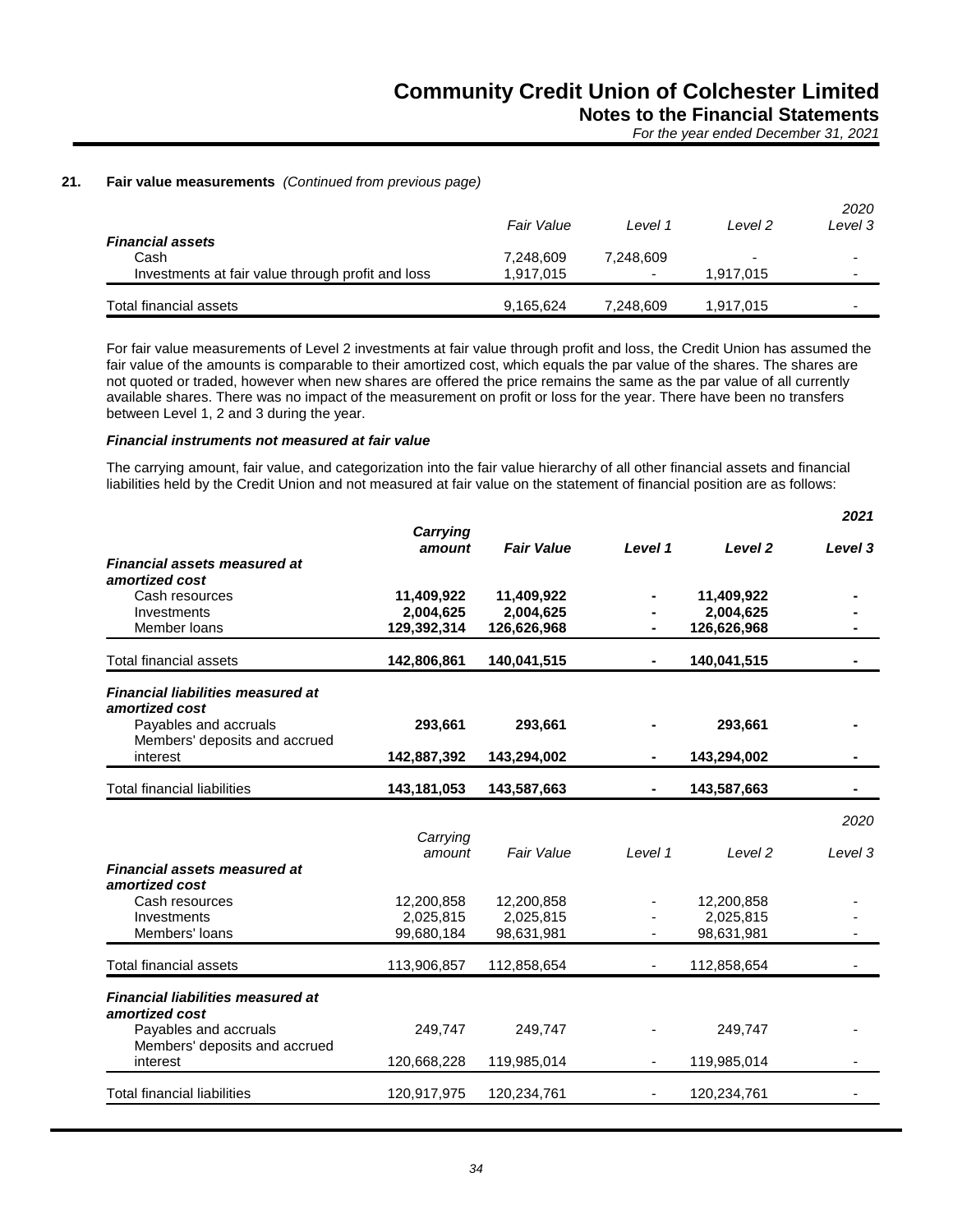**Notes to the Financial Statements**

*For the year ended December 31, 2021*

## **21. Fair value measurements** *(Continued from previous page)*

|                                                                                      | <b>Fair Value</b>      | Level 1                               | Level 2                               | 2020<br>Level 3                                      |
|--------------------------------------------------------------------------------------|------------------------|---------------------------------------|---------------------------------------|------------------------------------------------------|
| <b>Financial assets</b><br>Cash<br>Investments at fair value through profit and loss | 7,248,609<br>1,917,015 | 7.248.609<br>$\overline{\phantom{0}}$ | $\overline{\phantom{a}}$<br>1,917,015 | $\overline{\phantom{0}}$<br>$\overline{\phantom{0}}$ |
| Total financial assets                                                               | 9,165,624              | 7.248.609                             | 1,917,015                             | $\overline{\phantom{a}}$                             |

For fair value measurements of Level 2 investments at fair value through profit and loss, the Credit Union has assumed the fair value of the amounts is comparable to their amortized cost, which equals the par value of the shares. The shares are not quoted or traded, however when new shares are offered the price remains the same as the par value of all currently available shares. There was no impact of the measurement on profit or loss for the year. There have been no transfers between Level 1, 2 and 3 during the year.

#### *Financial instruments not measured at fair value*

The carrying amount, fair value, and categorization into the fair value hierarchy of all other financial assets and financial liabilities held by the Credit Union and not measured at fair value on the statement of financial position are as follows:

|                                                        |                    |                   |         |                    | 2021    |
|--------------------------------------------------------|--------------------|-------------------|---------|--------------------|---------|
|                                                        | Carrying<br>amount | <b>Fair Value</b> | Level 1 | Level <sub>2</sub> | Level 3 |
| <b>Financial assets measured at</b>                    |                    |                   |         |                    |         |
| amortized cost                                         |                    |                   |         |                    |         |
| Cash resources                                         | 11,409,922         | 11,409,922        |         | 11,409,922         |         |
| Investments                                            | 2,004,625          | 2,004,625         |         | 2,004,625          |         |
| Member Ioans                                           | 129,392,314        | 126,626,968       |         | 126,626,968        |         |
| <b>Total financial assets</b>                          | 142,806,861        | 140,041,515       |         | 140,041,515        |         |
| <b>Financial liabilities measured at</b>               |                    |                   |         |                    |         |
| amortized cost                                         |                    |                   |         |                    |         |
| Payables and accruals<br>Members' deposits and accrued | 293,661            | 293,661           |         | 293,661            |         |
| interest                                               | 142,887,392        | 143,294,002       |         | 143,294,002        |         |
| <b>Total financial liabilities</b>                     | 143,181,053        | 143,587,663       |         | 143,587,663        |         |
|                                                        |                    |                   |         |                    | 2020    |
|                                                        | Carrying           |                   |         |                    |         |
|                                                        | amount             | Fair Value        | Level 1 | Level 2            | Level 3 |
| <b>Financial assets measured at</b>                    |                    |                   |         |                    |         |
| amortized cost                                         |                    |                   |         |                    |         |
| Cash resources                                         | 12,200,858         | 12,200,858        |         | 12,200,858         |         |
| Investments                                            | 2,025,815          | 2,025,815         |         | 2,025,815          |         |
| Members' loans                                         | 99,680,184         | 98,631,981        |         | 98,631,981         |         |
| <b>Total financial assets</b>                          | 113,906,857        | 112,858,654       |         | 112,858,654        |         |
| <b>Financial liabilities measured at</b>               |                    |                   |         |                    |         |
| amortized cost                                         |                    |                   |         |                    |         |
| Payables and accruals                                  | 249,747            | 249,747           |         | 249,747            |         |
| Members' deposits and accrued                          |                    |                   |         |                    |         |
| interest                                               | 120,668,228        | 119,985,014       |         | 119,985,014        |         |
| <b>Total financial liabilities</b>                     | 120,917,975        | 120,234,761       |         | 120,234,761        |         |
|                                                        |                    |                   |         |                    |         |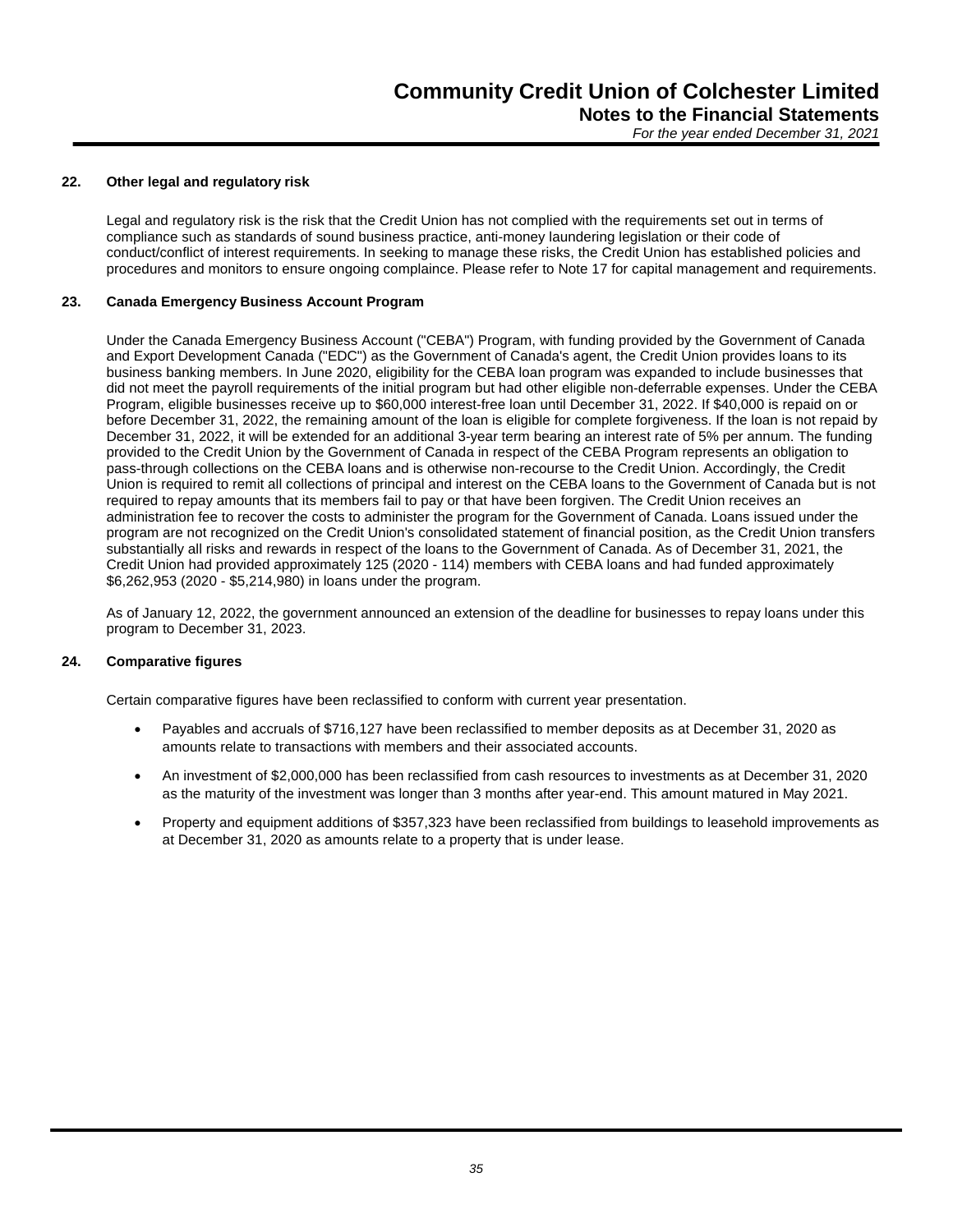#### **22. Other legal and regulatory risk**

Legal and regulatory risk is the risk that the Credit Union has not complied with the requirements set out in terms of compliance such as standards of sound business practice, anti-money laundering legislation or their code of conduct/conflict of interest requirements. In seeking to manage these risks, the Credit Union has established policies and procedures and monitors to ensure ongoing complaince. Please refer to Note 17 for capital management and requirements.

### **23. Canada Emergency Business Account Program**

Under the Canada Emergency Business Account ("CEBA") Program, with funding provided by the Government of Canada and Export Development Canada ("EDC") as the Government of Canada's agent, the Credit Union provides loans to its business banking members. In June 2020, eligibility for the CEBA loan program was expanded to include businesses that did not meet the payroll requirements of the initial program but had other eligible non-deferrable expenses. Under the CEBA Program, eligible businesses receive up to \$60,000 interest-free loan until December 31, 2022. If \$40,000 is repaid on or before December 31, 2022, the remaining amount of the loan is eligible for complete forgiveness. If the loan is not repaid by December 31, 2022, it will be extended for an additional 3-year term bearing an interest rate of 5% per annum. The funding provided to the Credit Union by the Government of Canada in respect of the CEBA Program represents an obligation to pass-through collections on the CEBA loans and is otherwise non-recourse to the Credit Union. Accordingly, the Credit Union is required to remit all collections of principal and interest on the CEBA loans to the Government of Canada but is not required to repay amounts that its members fail to pay or that have been forgiven. The Credit Union receives an administration fee to recover the costs to administer the program for the Government of Canada. Loans issued under the program are not recognized on the Credit Union's consolidated statement of financial position, as the Credit Union transfers substantially all risks and rewards in respect of the loans to the Government of Canada. As of December 31, 2021, the Credit Union had provided approximately 125 (2020 - 114) members with CEBA loans and had funded approximately \$6,262,953 (2020 - \$5,214,980) in loans under the program.

As of January 12, 2022, the government announced an extension of the deadline for businesses to repay loans under this program to December 31, 2023.

#### **24. Comparative figures**

Certain comparative figures have been reclassified to conform with current year presentation.

- Payables and accruals of \$716,127 have been reclassified to member deposits as at December 31, 2020 as amounts relate to transactions with members and their associated accounts.
- An investment of \$2,000,000 has been reclassified from cash resources to investments as at December 31, 2020 as the maturity of the investment was longer than 3 months after year-end. This amount matured in May 2021.
- Property and equipment additions of \$357,323 have been reclassified from buildings to leasehold improvements as at December 31, 2020 as amounts relate to a property that is under lease.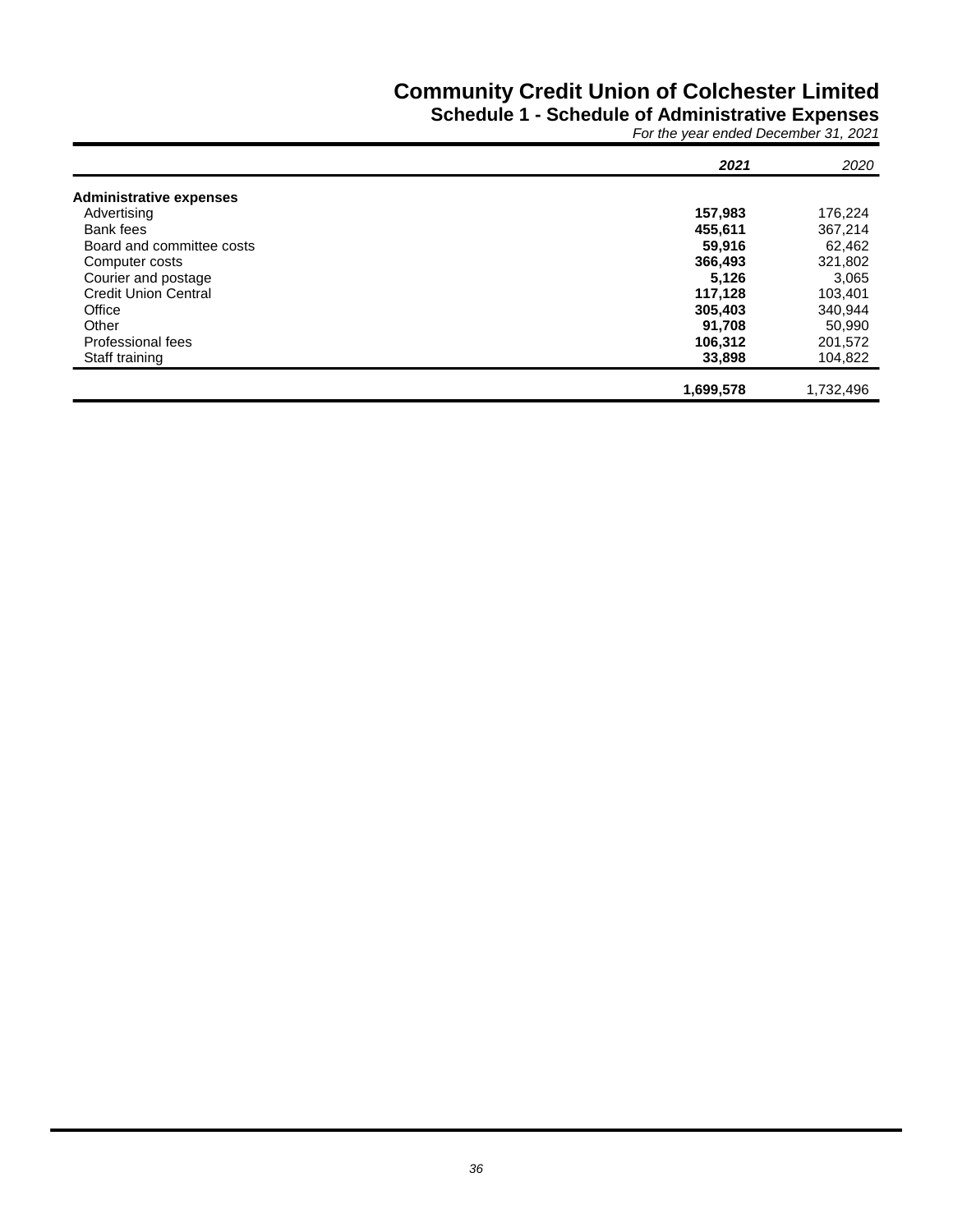## **Schedule 1 - Schedule of Administrative Expenses**

*For the year ended December 31, 2021*

|                                | 2021      | 2020      |
|--------------------------------|-----------|-----------|
| <b>Administrative expenses</b> |           |           |
| Advertising                    | 157,983   | 176.224   |
| Bank fees                      | 455,611   | 367.214   |
| Board and committee costs      | 59,916    | 62,462    |
| Computer costs                 | 366,493   | 321,802   |
| Courier and postage            | 5.126     | 3,065     |
| <b>Credit Union Central</b>    | 117,128   | 103,401   |
| Office                         | 305.403   | 340.944   |
| Other                          | 91,708    | 50,990    |
| Professional fees              | 106,312   | 201,572   |
| Staff training                 | 33,898    | 104,822   |
|                                | 1,699,578 | 1,732,496 |